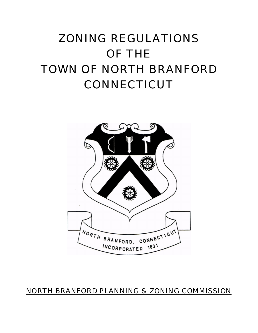# ZONING REGULATIONS OF THE TOWN OF NORTH BRANFORD CONNECTICUT



# NORTH BRANFORD PLANNING & ZONING COMMISSION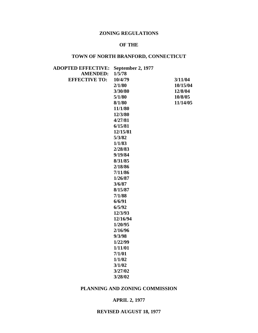# **ZONING REGULATIONS**

### **OF THE**

# **TOWN OF NORTH BRANFORD, CONNECTICUT**

| <b>ADOPTED EFFECTIVE:</b> | <b>September 2, 1977</b> |          |
|---------------------------|--------------------------|----------|
| <b>AMENDED:</b>           | 1/5/78                   |          |
| <b>EFFECTIVE TO:</b>      | 10/4/79                  | 3/11/04  |
|                           | 2/1/80                   | 10/15/04 |
|                           | 3/30/80                  | 12/8/04  |
|                           | 5/1/80                   | 10/8/05  |
|                           | 8/1/80                   | 11/14/05 |
|                           | 11/1/80                  |          |
|                           | 12/3/80                  |          |
|                           | 4/27/81                  |          |
|                           | 6/15/81                  |          |
|                           | 12/15/81                 |          |
|                           | 5/3/82                   |          |
|                           | 1/1/83                   |          |
|                           | 2/28/83                  |          |
|                           | 9/19/84                  |          |
|                           | 8/31/85                  |          |
|                           | 2/18/86                  |          |
|                           | 7/11/86                  |          |
|                           | 1/26/87                  |          |
|                           | 3/6/87                   |          |
|                           | 8/15/87                  |          |
|                           | 7/1/88                   |          |
|                           | 6/6/91                   |          |
|                           | 6/5/92                   |          |
|                           | 12/3/93                  |          |
|                           | 12/16/94                 |          |
|                           | 1/20/95                  |          |
|                           | 2/16/96                  |          |
|                           | 9/3/98                   |          |
|                           | 1/22/99                  |          |
|                           | 1/11/01                  |          |
|                           | 7/1/01                   |          |
|                           | 1/1/02                   |          |
|                           | 3/1/02                   |          |
|                           | 3/27/02                  |          |
|                           | 3/28/02                  |          |

### **PLANNING AND ZONING COMMISSION**

### **APRIL 2, 1977**

### **REVISED AUGUST 18, 1977**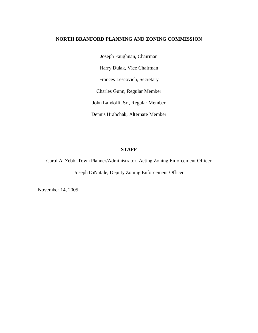### **NORTH BRANFORD PLANNING AND ZONING COMMISSION**

Joseph Faughnan, Chairman Harry Dulak, Vice Chairman Frances Lescovich, Secretary Charles Gunn, Regular Member John Landolfi, Sr., Regular Member Dennis Hrabchak, Alternate Member

### **STAFF**

Carol A. Zebb, Town Planner/Administrator, Acting Zoning Enforcement Officer Joseph DiNatale, Deputy Zoning Enforcement Officer

November 14, 2005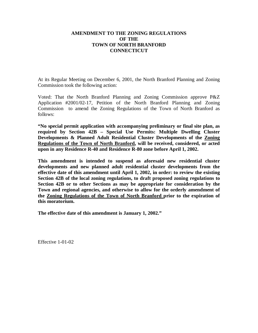### **AMENDMENT TO THE ZONING REGULATIONS OF THE TOWN OF NORTH BRANFORD CONNECTICUT**

At its Regular Meeting on December 6, 2001, the North Branford Planning and Zoning Commission took the following action:

Voted: That the North Branford Planning and Zoning Commission approve P&Z Application #2001/02-17, Petition of the North Branford Planning and Zoning Commission to amend the Zoning Regulations of the Town of North Branford as follows:

**"No special permit application with accompanying preliminary or final site plan, as required by Section 42B – Special Use Permits: Multiple Dwelling Cluster Developments & Planned Adult Residential Cluster Developments of the Zoning Regulations of the Town of North Branford, will be received, considered, or acted upon in any Residence R-40 and Residence R-80 zone before April 1, 2002.**

**This amendment is intended to suspend as aforesaid new residential cluster developments and new planned adult residential cluster developments from the effective date of this amendment until April 1, 2002, in order: to review the existing Section 42B of the local zoning regulations, to draft proposed zoning regulations to Section 42B or to other Sections as may be appropriate for consideration by the Town and regional agencies, and otherwise to allow for the orderly amendment of the Zoning Regulations of the Town of North Branford prior to the expiration of this moratorium.**

**The effective date of this amendment is January 1, 2002."**

Effective 1-01-02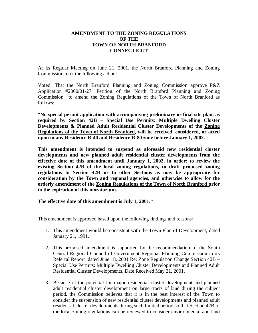### **AMENDMENT TO THE ZONING REGULATIONS OF THE TOWN OF NORTH BRANFORD CONNECTICUT**

At its Regular Meeting on June 21, 2001, the North Branford Planning and Zoning Commission took the following action:

Voted: That the North Branford Planning and Zoning Commission approve P&Z Application #2000/01-27, Petition of the North Branford Planning and Zoning Commission to amend the Zoning Regulations of the Town of North Branford as follows:

**"No special permit application with accompanying preliminary or final site plan, as required by Section 42B – Special Use Permits: Multiple Dwelling Cluster Developments & Planned Adult Residential Cluster Developments of the Zoning Regulations of the Town of North Branford, will be received, considered, or acted upon in any Residence R-40 and Residence R-80 zone before January 1, 2002.**

**This amendment is intended to suspend as aforesaid new residential cluster developments and new planned adult residential cluster developments from the effective date of this amendment until January 1, 2002, in order: to review the existing Section 42B of the local zoning regulations, to draft proposed zoning regulations to Section 42B or to other Sections as may be appropriate for consideration by the Town and regional agencies, and otherwise to allow for the orderly amendment of the Zoning Regulations of the Town of North Branford prior to the expiration of this moratorium.**

**The effective date of this amendment is July 1, 2001."**

This amendment is approved based upon the following findings and reasons:

- 1. This amendment would be consistent with the Town Plan of Development, dated January 21, 1991.
- 2. This proposed amendment is supported by the recommendation of the South Central Regional Council of Government Regional Planning Commission in its Referral Report dated June 18, 2001 Re: Zone Regulation Change Section 42B -Special Use Permits: Multiple Dwelling Cluster Developments and Planned Adult Residential Cluster Developments, Date Received May 21, 2001.
- 3. Because of the potential for major residential cluster development and planned adult residential cluster development on large tracts of land during the subject period, the Commission believes that it is in the best interest of the Town to consider the suspension of new residential cluster developments and planned adult residential cluster developments during such limited period so that Section 42B of the local zoning regulations can be reviewed to consider environmental and land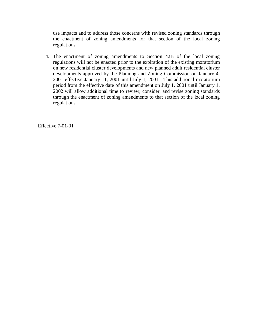use impacts and to address those concerns with revised zoning standards through the enactment of zoning amendments for that section of the local zoning regulations.

4. The enactment of zoning amendments to Section 42B of the local zoning regulations will not be enacted prior to the expiration of the existing moratorium on new residential cluster developments and new planned adult residential cluster developments approved by the Planning and Zoning Commission on January 4, 2001 effective January 11, 2001 until July 1, 2001. This additional moratorium period from the effective date of this amendment on July 1, 2001 until January 1, 2002 will allow additional time to review, consider, and revise zoning standards through the enactment of zoning amendments to that section of the local zoning regulations.

Effective 7-01-01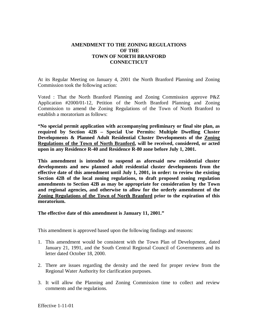### **AMENDMENT TO THE ZONING REGULATIONS OF THE TOWN OF NORTH BRANFORD CONNECTICUT**

At its Regular Meeting on January 4, 2001 the North Branford Planning and Zoning Commission took the following action:

Voted : That the North Branford Planning and Zoning Commission approve P&Z Application #2000/01-12, Petition of the North Branford Planning and Zoning Commission to amend the Zoning Regulations of the Town of North Branford to establish a moratorium as follows:

**"No special permit application with accompanying preliminary or final site plan, as required by Section 42B – Special Use Permits: Multiple Dwelling Cluster Developments & Planned Adult Residential Cluster Developments of the Zoning Regulations of the Town of North Branford, will be received, considered, or acted upon in any Residence R-40 and Residence R-80 zone before July 1, 2001.**

**This amendment is intended to suspend as aforesaid new residential cluster developments and new planned adult residential cluster developments from the effective date of this amendment until July 1, 2001, in order: to review the existing Section 42B of the local zoning regulations, to draft proposed zoning regulation amendments to Section 42B as may be appropriate for consideration by the Town and regional agencies, and otherwise to allow for the orderly amendment of the Zoning Regulations of the Town of North Branford prior to the expiration of this moratorium.**

**The effective date of this amendment is January 11, 2001."**

This amendment is approved based upon the following findings and reasons:

- 1. This amendment would be consistent with the Town Plan of Development, dated January 21, 1991, and the South Central Regional Council of Governments and its letter dated October 18, 2000.
- 2. There are issues regarding the density and the need for proper review from the Regional Water Authority for clarification purposes.
- 3. It will allow the Planning and Zoning Commission time to collect and review comments and the regulations.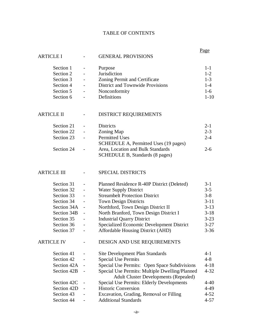## TABLE OF CONTENTS

|                    |                          |                                                  | <u>Page</u> |
|--------------------|--------------------------|--------------------------------------------------|-------------|
| <b>ARTICLE I</b>   |                          | <b>GENERAL PROVISIONS</b>                        |             |
| Section 1          |                          | Purpose                                          | $1-1$       |
| Section 2          |                          | Jurisdiction                                     | $1 - 2$     |
| Section 3          |                          | Zoning Permit and Certificate                    | $1-3$       |
| Section 4          |                          | <b>District and Townwide Provisions</b>          | $1-4$       |
| Section 5          |                          | Nonconformity                                    | $1-6$       |
| Section 6          |                          | Definitions                                      | $1 - 10$    |
|                    |                          |                                                  |             |
| <b>ARTICLE II</b>  |                          | <b>DISTRICT REQUIREMENTS</b>                     |             |
| Section 21         |                          | <b>Districts</b>                                 | $2 - 1$     |
| Section 22         |                          | Zoning Map                                       | $2 - 3$     |
| Section 23         | $\overline{\phantom{0}}$ | <b>Permitted Uses</b>                            | $2 - 4$     |
|                    |                          | SCHEDULE A, Permitted Uses (19 pages)            |             |
| Section 24         |                          | Area, Location and Bulk Standards                | $2-6$       |
|                    |                          | SCHEDULE B, Standards (8 pages)                  |             |
|                    |                          |                                                  |             |
| <b>ARTICLE III</b> |                          | <b>SPECIAL DISTRICTS</b>                         |             |
| Section 31         |                          | Planned Residence R-40P District (Deleted)       | $3 - 1$     |
| Section 32         |                          | <b>Water Supply District</b>                     | $3 - 5$     |
| Section 33         |                          | <b>Streambelt Protection District</b>            | $3 - 8$     |
| Section 34         |                          | <b>Town Design Districts</b>                     | $3 - 11$    |
| Section 34A        | $\overline{\phantom{a}}$ | Northford, Town Design District II               | $3 - 13$    |
| Section 34B        | $\overline{\phantom{a}}$ | North Branford, Town Design District I           | $3-18$      |
| Section 35         |                          | <b>Industrial Quarry District</b>                | $3 - 23$    |
| Section 36         |                          | Specialized Economic Development District        | $3 - 27$    |
| Section 37         |                          | Affordable Housing District (AHD)                | $3 - 36$    |
|                    |                          |                                                  |             |
| <b>ARTICLE IV</b>  |                          | DESIGN AND USE REQUIREMENTS                      |             |
| Section 41         |                          | Site Development Plan Standards                  | $4 - 1$     |
| Section 42         |                          | <b>Special Use Permits</b>                       | $4 - 8$     |
| Section 42A        |                          | Special Use Permits: Open Space Subdivisions     | $4 - 18$    |
| Section 42B        |                          | Special Use Permits: Multiple Dwelling/Planned   | $4 - 32$    |
|                    |                          | <b>Adult Cluster Developments (Repealed)</b>     |             |
| Section 42C        |                          | <b>Special Use Permits: Elderly Developments</b> | $4 - 40$    |
| Section 42D        |                          | <b>Historic Conversion</b>                       | $4 - 49$    |
| Section 43         |                          | Excavation, Grading, Removal or Filling          | $4 - 52$    |
| Section 44         |                          | <b>Additional Standards</b>                      | $4 - 57$    |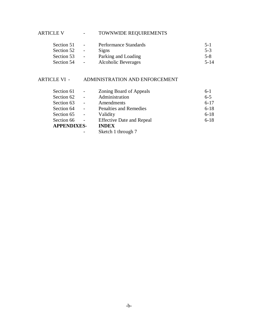ARTICLE V - TOWNWIDE REQUIREMENTS

| $\blacksquare$           | Performance Standards      | $5 - 1$  |
|--------------------------|----------------------------|----------|
| $\sim$                   | Signs                      | $5-3$    |
| $\overline{\phantom{a}}$ | Parking and Loading        | $5 - 8$  |
| $\overline{\phantom{a}}$ | <b>Alcoholic Beverages</b> | $5 - 14$ |
|                          |                            |          |

# ARTICLE VI - ADMINISTRATION AND ENFORCEMENT

| Section 61         | $\blacksquare$           | Zoning Board of Appeals          | $6-1$    |
|--------------------|--------------------------|----------------------------------|----------|
| Section 62         | $\mathbf{r}$             | Administration                   | $6 - 5$  |
| Section 63         | $\overline{\phantom{a}}$ | Amendments                       | $6 - 17$ |
| Section 64         | $\overline{a}$           | <b>Penalties and Remedies</b>    | $6 - 18$ |
| Section 65         | $\overline{a}$           | Validity                         | $6 - 18$ |
| Section 66         | $\sim$                   | <b>Effective Date and Repeal</b> | $6 - 18$ |
| <b>APPENDIXES-</b> |                          | <b>INDEX</b>                     |          |
|                    |                          | Sketch 1 through 7               |          |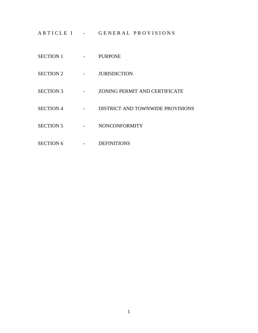ARTICLE I - GENERAL PROVISIONS

- SECTION 1 PURPOSE
- SECTION 2 JURISDICTION
- SECTION 3 ZONING PERMIT AND CERTIFICATE
- SECTION 4 DISTRICT AND TOWNWIDE PROVISIONS
- SECTION 5 NONCONFORMITY
- SECTION 6 DEFINITIONS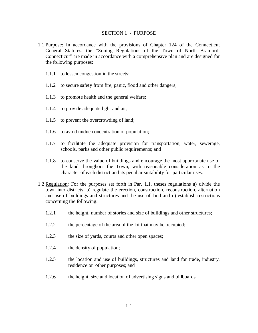#### SECTION 1 - PURPOSE

- 1.1 Purpose: In accordance with the provisions of Chapter 124 of the Connecticut General Statutes, the "Zoning Regulations of the Town of North Branford, Connecticut" are made in accordance with a comprehensive plan and are designed for the following purposes:
	- 1.1.1 to lessen congestion in the streets;
	- 1.1.2 to secure safety from fire, panic, flood and other dangers;
	- 1.1.3 to promote health and the general welfare;
	- 1.1.4 to provide adequate light and air;
	- 1.1.5 to prevent the overcrowding of land;
	- 1.1.6 to avoid undue concentration of population;
	- 1.1.7 to facilitate the adequate provision for transportation, water, sewerage, schools, parks and other public requirements; and
	- 1.1.8 to conserve the value of buildings and encourage the most appropriate use of the land throughout the Town, with reasonable consideration as to the character of each district and its peculiar suitability for particular uses.
- 1.2 Regulation: For the purposes set forth in Par. 1.1, theses regulations a) divide the town into districts, b) regulate the erection, construction, reconstruction, alternation and use of buildings and structures and the use of land and c) establish restrictions concerning the following:
	- 1.2.1 the height, number of stories and size of buildings and other structures;
	- 1.2.2 the percentage of the area of the lot that may be occupied;
	- 1.2.3 the size of yards, courts and other open spaces;
	- 1.2.4 the density of population;
	- 1.2.5 the location and use of buildings, structures and land for trade, industry, residence or other purposes; and
	- 1.2.6 the height, size and location of advertising signs and billboards.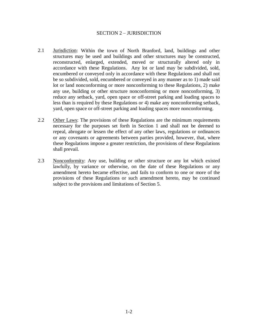### SECTION 2 - JURISDICTION

- 2.1 Jurisdiction: Within the town of North Branford, land, buildings and other structures may be used and buildings and other structures may be constructed, reconstructed, enlarged, extended, moved or structurally altered only in accordance with these Regulations. Any lot or land may be subdivided, sold, encumbered or conveyed only in accordance with these Regulations and shall not be so subdivided, sold, encumbered or conveyed in any manner as to 1) made said lot or land nonconforming or more nonconforming to these Regulations, 2) make any use, building or other structure nonconforming or more nonconforming, 3) reduce any setback, yard, open space or off-street parking and loading spaces to less than is required by these Regulations or 4) make any nonconforming setback, yard, open space or off-street parking and loading spaces more nonconforming.
- 2.2 Other Laws: The provisions of these Regulations are the minimum requirements necessary for the purposes set forth in Section 1 and shall not be deemed to repeal, abrogate or lessen the effect of any other laws, regulations or ordinances or any covenants or agreements between parties provided, however, that, where these Regulations impose a greater restriction, the provisions of these Regulations shall prevail.
- 2.3 Nonconformity: Any use, building or other structure or any lot which existed lawfully, by variance or otherwise, on the date of these Regulations or any amendment hereto became effective, and fails to conform to one or more of the provisions of these Regulations or such amendment hereto, may be continued subject to the provisions and limitations of Section 5.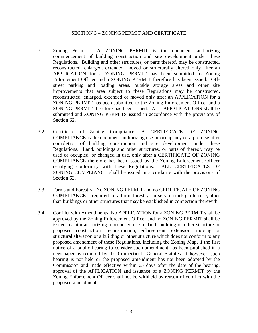### SECTION 3 - ZONING PERMIT AND CERTIFICATE

- 3.1 Zoning Permit: A ZONING PERMIT is the document authorizing commencement of building construction and site development under these Regulations. Building and other structures, or parts thereof, may be constructed, reconstructed, enlarged, extended, moved or structurally altered only after an APPLICATION for a ZONING PERMIT has been submitted to Zoning Enforcement Officer and a ZONING PERMIT therefore has been issued. Offstreet parking and loading areas, outside storage areas and other site improvements that area subject to these Regulations may be constructed, reconstructed, enlarged, extended or moved only after an APPLICATION for a ZONING PERMIT has been submitted to the Zoning Enforcement Officer and a ZONING PERMIT therefore has been issued. ALL APPPLICATIONS shall be submitted and ZONING PERMITS issued in accordance with the provisions of Section 62.
- 3.2 Certificate of Zoning Compliance: A CERTIFICATE OF ZONING COMPLIANCE is the document authorizing use or occupancy of a premise after completion of building construction and site development under these Regulations. Land, buildings and other structures, or parts of thereof, may be used or occupied, or changed in use, only after a CERTIFICATE OF ZONING COMPLIANCE therefore has been issued by the Zoning Enforcement Officer certifying conformity with these Regulations. ALL CERTIFICATES OF ZONING COMPLIANCE shall be issued in accordance with the provisions of Section 62.
- 3.3 Farms and Forestry: No ZONING PERMIT and no CERTIFICATE OF ZONING COMPLIANCE is required for a farm, forestry, nursery or truck garden use, other than buildings or other structures that may be established in connection therewith.
- 3.4 Conflict with Amendments: No APPLICATION for a ZONING PERMIT shall be approved by the Zoning Enforcement Officer and no ZONING PERMIT shall be issued by him authorizing a proposed use of land, building or other structure or proposed construction, reconstruction, enlargement, extension, moving or structural alteration of a building or other structure which does not conform to any proposed amendment of these Regulations, including the Zoning Map, if the first notice of a public hearing to consider such amendment has been published in a newspaper as required by the Connecticut General Statutes. If however, such hearing is not held or the proposed amendment has not been adopted by the Commission and made effective within 65 days after the date of the hearing, approval of the APPLICATION and issuance of a ZONING PERMIT by the Zoning Enforcement Officer shall not be withheld by reason of conflict with the proposed amendment.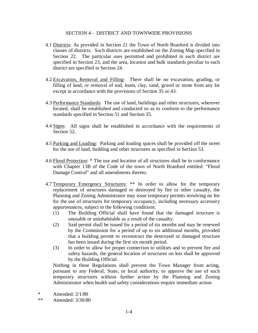### SECTION 4 - DISTRICT AND TOWNWIDE PROVISIONS

- 4.1 Districts: As provided in Section 21 the Town of North Branford is divided into classes of districts. Such districts are established on the Zoning Map specified in Section 22. The particular uses permitted and prohibited in each district are specified in Section 23, and the area, location and bulk standards peculiar to each district are specified in Section 24.
- 4.2 Excavation, Removal and Filling: There shall be no excavation, grading, or filling of land, or removal of sod, loam, clay, sand, gravel or stone from any lot except in accordance with the provisions of Section 35 or 43.
- 4.3 Performance Standards: The use of land, buildings and other structures, wherever located, shall be established and conducted so as to conform to the performance standards specified in Section 51 and Section 35.
- 4.4 Signs: All signs shall be established in accordance with the requirements of Section 52.
- 4.5 Parking and Loading: Parking and loading spaces shall be provided off the street for the use of land, building and other structures as specified in Section 53.
- 4.6 Flood Protection: \* The use and location of all structures shall be in conformance with Chapter 13B of the Code of the town of North Branford entitled: "Flood Damage Control" and all amendments thereto.
- 4.7 Temporary Emergency Structures: \*\* In order to allow for the temporary replacement of structures damaged or destroyed by fire or other casualty, the Planning and Zoning Administrator may issue temporary permits involving no fee for the use of structures for temporary occupancy, including necessary accessory appurtenances, subject to the following conditions:
	- (1) The Building Official shall have found that the damaged structure is unusable or uninhabitable as a result of the casualty.
	- (2) Said permit shall be issued for a period of six months and may be renewed by the Commission for a period of up to six additional months, provided that a building permit to reconstruct the destroyed or damaged structure has been issued during the first six month period.
	- (3) In order to allow for proper connection to utilities and to prevent fire and safety hazards, the general location of structures on lots shall be approved by the Building Official.

Nothing in these Regulations shall prevent the Town Manager from acting, pursuant to any Federal, State, or local authority, to approve the use of such temporary structures without further action by the Planning and Zoning Administrator when health and safety considerations require immediate action.

\* Amended: 2/1/80

\*\* Amended: 3/30/80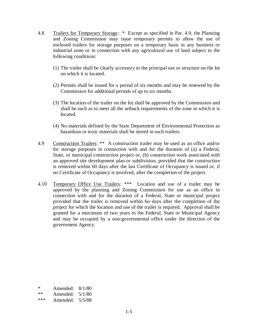- 4.8 Trailers for Temporary Storage : \* Except as specified in Par. 4.9, the Planning and Zoning Commission may issue temporary permits to allow the use of enclosed trailers for storage purposes on a temporary basis in any business or industrial zone or in connection with any agricultural use of land subject to the following conditions:
	- (1) The trailer shall be clearly accessory to the principal use or structure on the lot on which it is located.
	- (2) Permits shall be issued for a period of six months and may be renewed by the Commission for additional periods of up to six months.
	- (3) The location of the trailer on the lot shall be approved by the Commission and shall be such as to meet all the setback requirements of the zone in which it is located.
	- (4) No materials defined by the State Department of Environmental Protection as hazardous or toxic materials shall be stored in such trailers.
- 4.9 Construction Trailers: \*\* A construction trailer may be used as an office and/or for storage purposes in connection with and for the duration of (a) a Federal, State, or municipal construction project or, (b) construction work associated with an approved site development plan or subdivision, provided that the construction is removed within 60 days after the last Certificate of Occupancy is issued or, if no Certificate of Occupancy is involved, after the completion of the project.
- 4.10 Temporary Office Use Trailers: \*\*\* Location and use of a trailer may be approved by the planning and Zoning Commission for use as an office in connection with and for the duration of a Federal, State or municipal project provided that the trailer is removed within 6o days after the completion of the project for which the location and use of the trailer is required. Approval shall be granted for a maximum of two years to the Federal, State or Municipal Agency and may be occupied by a non-governmental office under the direction of the government Agency.

| 8/1/80 |
|--------|
|        |

| **<br>Amended: | 5/1/80 |
|----------------|--------|
|----------------|--------|

<sup>\*\*\*</sup> Amended: 5/5/88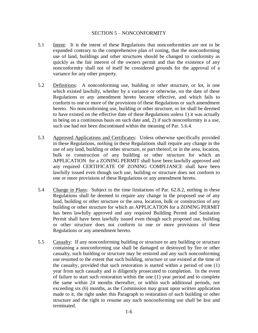### SECTION 5 - NONCONFORMITY

- 5.1 Intent: It is the intent of these Regulations that nonconformities are not to be expanded contrary to the comprehensive plan of zoning, that the nonconforming use of land, buildings and other structures should be changed to conformity as quickly as the fair interest of the owners permit and that the existence of any nonconformity shall not of itself be considered grounds for the approval of a variance for any other property.
- 5.2 Definitions: A nonconforming use, building or other structure, or lot, is one which existed lawfully, whether by a variance or otherwise, on the date of these Regulations or any amendment hereto became effective, and which fails to conform to one or more of the provisions of these Regulations or such amendment hereto. No nonconforming use, building or other structure, or lot shall be deemed to have existed on the effective date of these Regulations unless 1) it was actually in being on a continuous basis on such date and, 2) if such nonconformity is a use, such use had not been discontinued within the meaning of Par. 5.6.4.
- 5.3 Approved Applications and Certificates: Unless otherwise specifically provided in these Regulations, nothing in these Regulations shall require any change in the use of any land, building or other structure, or part thereof, or in the area, location, bulk or construction of any building or other structure for which an APPLICATION for a ZONING PERMIT shall have been lawfully approved and any required CERTIFICATE OF ZONING COMPLIANCE shall have been lawfully issued even though such use, building or structure does not conform to one or more provisions of these Regulations or any amendment hereto.
- 5.4 Change in Plans: Subject to the time limitations of Par. 62.8.2, nothing in these Regulations shall be deemed to require any change in the proposed use of any land, building or other structure or the area, location, bulk or construction of any building or other structure for which an APPLICATION for a ZONING PERMIT has been lawfully approved and any required Building Permit and Sanitation Permit shall have been lawfully issued even though such proposed use, building or other structure does not conform to one or more provisions of these Regulations or any amendment hereto.
- 5.5 Casualty: If any nonconforming building or structure or any building or structure containing a nonconforming use shall be damaged or destroyed by fire or other casualty, such building or structure may be restored and any such nonconforming use resumed to the extent that such building, structure or use existed at the time of the casualty, provided that such restoration is started within a period of one (1) year from such casualty and is diligently prosecuted to completion. In the event of failure to start such restoration within the one (1) year period and to complete the same within 24 months thereafter, or within such additional periods, not exceeding six (6) months, as the Commission may grant upon written application made to it, the right under this Paragraph to restoration of such building or other structure and the right to resume any such nonconforming use shall be lost and terminated.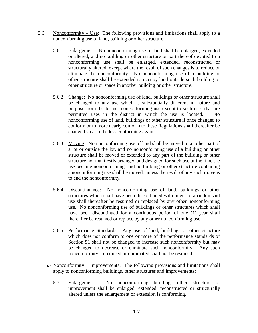- 5.6 Nonconformity  $-$  Use: The following provisions and limitations shall apply to a nonconforming use of land, building or other structure:
	- 5.6.1 Enlargement: No nonconforming use of land shall be enlarged, extended or altered, and no building or other structure or part thereof devoted to a nonconforming use shall be enlarged, extended, reconstructed or structurally altered, except where the result of such changes is to reduce or eliminate the nonconformity. No nonconforming use of a building or other structure shall be extended to occupy land outside such building or other structure or space in another building or other structure.
	- 5.6.2 Change: No nonconforming use of land, buildings or other structure shall be changed to any use which is substantially different in nature and purpose from the former nonconforming use except to such uses that are permitted uses in the district in which the use is located. No nonconforming use of land, buildings or other structure if once changed to conform or to more nearly conform to these Regulations shall thereafter be changed so as to be less conforming again.
	- 5.6.3 Moving: No nonconforming use of land shall be moved to another part of a lot or outside the lot, and no nonconforming use of a building or other structure shall be moved or extended to any part of the building or other structure not manifestly arranged and designed for such use at the time the use became nonconforming, and no building or other structure containing a nonconforming use shall be moved, unless the result of any such move is to end the nonconformity.
	- 5.6.4 Discontinuance: No nonconforming use of land, buildings or other structures which shall have been discontinued with intent to abandon said use shall thereafter be resumed or replaced by any other nonconforming use. No nonconforming use of buildings or other structures which shall have been discontinued for a continuous period of one (1) year shall thereafter be resumed or replace by any other nonconforming use.
	- 5.6.5 Performance Standards: Any use of land, buildings or other structure which does not conform to one or more of the performance standards of Section 51 shall not be changed to increase such nonconformity but may be changed to decrease or eliminate such nonconformity. Any such nonconformity so reduced or eliminated shall not be resumed.
	- 5.7 Nonconformity Improvements: The following provisions and limitations shall apply to nonconforming buildings, other structures and improvements:
		- 5.7.1 Enlargement: No nonconforming building, other structure or improvement shall be enlarged, extended, reconstructed or structurally altered unless the enlargement or extension is conforming.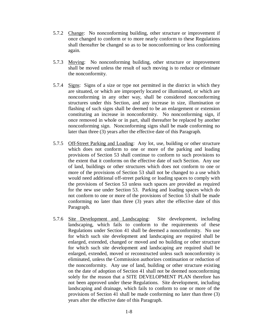- 5.7.2 Change: No nonconforming building, other structure or improvement if once changed to conform or to more nearly conform to these Regulations shall thereafter be changed so as to be nonconforming or less conforming again.
- 5.7.3 Moving: No nonconforming building, other structure or improvement shall be moved unless the result of such moving is to reduce or eliminate the nonconformity.
- 5.7.4 Signs: Signs of a size or type not permitted in the district in which they are situated, or which are improperly located or illuminated, or which are nonconforming in any other way, shall be considered nonconforming structures under this Section, and any increase in size, illumination or flashing of such signs shall be deemed to be an enlargement or extension constituting an increase in nonconformity. No nonconforming sign, if once removed in whole or in part, shall thereafter be replaced by another nonconforming sign. Nonconforming signs shall be made conforming no later than three (3) years after the effective date of this Paragraph.
- 5.7.5 Off-Street Parking and Loading: Any lot, use, building or other structure which does not conform to one or more of the parking and loading provisions of Section 53 shall continue to conform to such provisions to the extent that it conforms on the effective date of such Section. Any use of land, buildings or other structures which does not conform to one or more of the provisions of Section 53 shall not be changed to a use which would need additional off-street parking or loading spaces to comply with the provisions of Section 53 unless such spaces are provided as required for the new use under Section 53. Parking and loading spaces which do not conform to one or more of the provisions of Section 53 shall be made conforming no later than three (3) years after the effective date of this Paragraph.
- 5.7.6 Site Development and Landscaping: Site development, including landscaping, which fails to conform to the requirements of these Regulations under Section 41 shall be deemed a nonconformity. No use for which such site development and landscaping are required shall be enlarged, extended, changed or moved and no building or other structure for which such site development and landscaping are required shall be enlarged, extended, moved or reconstructed unless such nonconformity is eliminated, unless the Commission authorizes continuation or reduction of the nonconformity. Any use of land, building or other structure existing on the date of adoption of Section 41 shall not be deemed nonconforming solely for the reason that a SITE DEVELOPMENT PLAN therefore has not been approved under these Regulations. Site development, including landscaping and drainage, which fails to conform to one or more of the provisions of Section 41 shall be made conforming no later than three (3) years after the effective date of this Paragraph.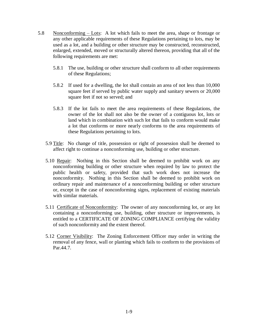- 5.8 Nonconforming Lots: A lot which fails to meet the area, shape or frontage or any other applicable requirements of these Regulations pertaining to lots, may be used as a lot, and a building or other structure may be constructed, reconstructed, enlarged, extended, moved or structurally altered thereon, providing that all of the following requirements are met:
	- 5.8.1 The use, building or other structure shall conform to all other requirements of these Regulations;
	- 5.8.2 If used for a dwelling, the lot shall contain an area of not less than 10,000 square feet if served by public water supply and sanitary sewers or 20,000 square feet if not so served; and
	- 5.8.3 If the lot fails to meet the area requirements of these Regulations, the owner of the lot shall not also be the owner of a contiguous lot, lots or land which in combination with such lot that fails to conform would make a lot that conforms or more nearly conforms to the area requirements of these Regulations pertaining to lots.
	- 5.9 Title: No change of title, possession or right of possession shall be deemed to affect right to continue a nonconforming use, building or other structure.
	- 5.10 Repair: Nothing in this Section shall be deemed to prohibit work on any nonconforming building or other structure when required by law to protect the public health or safety, provided that such work does not increase the nonconformity. Nothing in this Section shall be deemed to prohibit work on ordinary repair and maintenance of a nonconforming building or other structure or, except in the case of nonconforming signs, replacement of existing materials with similar materials.
	- 5.11 Certificate of Nonconformity: The owner of any nonconforming lot, or any lot containing a nonconforming use, building, other structure or improvements, is entitled to a CERTIFICATE OF ZONING COMPLIANCE certifying the validity of such nonconformity and the extent thereof.
	- 5.12 Corner Visibility: The Zoning Enforcement Officer may order in writing the removal of any fence, wall or planting which fails to conform to the provisions of Par.44.7.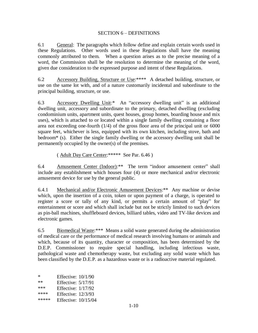### SECTION 6 - DEFINITIONS

6.1 General: The paragraphs which follow define and explain certain words used in these Regulations. Other words used in these Regulations shall have the meaning commonly attributed to them. When a question arises as to the precise meaning of a word, the Commission shall be the resolution to determine the meaning of the word, given due consideration to the expressed purpose and intent of these Regulations.

6.2 Accessory Building, Structure or Use:\*\*\*\* A detached building, structure, or use on the same lot with, and of a nature customarily incidental and subordinate to the principal building, structure, or use.

6.3 Accessory Dwelling Unit:\* An "accessory dwelling unit" is an additional dwelling unit, accessory and subordinate to the primary, detached dwelling (excluding condominium units, apartment units, quest houses, group homes, boarding house and mix uses), which is attached to or located within a single family dwelling containing a floor area not exceeding one-fourth (1/4) of the gross floor area of the principal unit or 6000 square feet, whichever is less, equipped with its own kitchen, including stove, bath and bedroom\* (s). Either the single family dwelling or the accessory dwelling unit shall be permanently occupied by the owner(s) of the premises.

( Adult Day Care Center:\*\*\*\*\* See Par. 6.46 )

6.4 Amusement Center (Indoor):\*\* The term "indoor amusement center" shall include any establishment which houses four (4) or more mechanical and/or electronic amusement device for use by the general public.

6.4.1 Mechanical and/or Electronic Amusement Devices:\*\* Any machine or devise which, upon the insertion of a coin, token or upon payment of a charge, is operated to register a score or tally of any kind, or permits a certain amount of "play" for entertainment or score and which shall include but not be strictly limited to such devices as pin-ball machines, shuffleboard devices, billiard tables, video and TV-like devices and electronic games.

6.5 Biomedical Waste:\*\*\* Means a solid waste generated during the administration of medical care or the performance of medical research involving humans or animals and which, because of its quantity, character or composition, has been determined by the D.E.P. Commissioner to require special handling, including infectious waste, pathological waste and chemotherapy waste, but excluding any solid waste which has been classified by the D.E.P. as a hazardous waste or is a radioactive material regulated.

| *     | Effective: 10/1/90        |  |
|-------|---------------------------|--|
| $**$  | <b>Effective: 5/17/91</b> |  |
| ***   | <b>Effective: 1/17/92</b> |  |
| ****  | Effective: $12/3/93$      |  |
| ***** | Effective: 10/15/04       |  |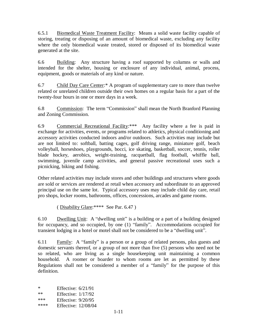6.5.1 Biomedical Waste Treatment Facility: Means a solid waste facility capable of storing, treating or disposing of an amount of biomedical waste, excluding any facility where the only biomedical waste treated, stored or disposed of its biomedical waste generated at the site.

6.6 Building: Any structure having a roof supported by columns or walls and intended for the shelter, housing or enclosure of any individual, animal, process, equipment, goods or materials of any kind or nature.

6.7 Child Day Care Center:\* A program of supplementary care to more than twelve related or unrelated children outside their own homes on a regular basis for a part of the twenty-four hours in one or more days in a week.

6.8 Commission: The term "Commission" shall mean the North Branford Planning and Zoning Commission.

6.9 Commercial Recreational Facility:\*\*\* Any facility where a fee is paid in exchange for activities, events, or programs related to athletics, physical conditioning and accessory activities conducted indoors and/or outdoors. Such activities may include but are not limited to: softball, batting cages, golf driving range, miniature golf, beach volleyball, horseshoes, playgrounds, bocci, ice skating, basketball, soccer, tennis, roller blade hockey, aerobics, weight-training, racquetball, flag football, whiffle ball, swimming, juvenile camp activities, and general passive recreational uses such a picnicking, biking and fishing.

Other related activities may include stores and other buildings and structures where goods are sold or services are rendered at retail when accessory and subordinate to an approved principal use on the same lot. Typical accessory uses may include child day care, retail pro shops, locker rooms, bathrooms, offices, concessions, arcades and game rooms.

( Disability Glare:\*\*\*\* See Par. 6.47 )

6.10 Dwelling Unit: A "dwelling unit" is a building or a part of a building designed for occupancy, and so occupied, by one  $(1)$  "family". Accommodations occupied for transient lodging in a hotel or motel shall not be considered to be a "dwelling unit".

6.11 Family: A "family" is a person or a group of related persons, plus guests and domestic servants thereof, or a group of not more than five (5) persons who need not be so related, who are living as a single housekeeping unit maintaining a common household. A roomer or boarder to whom rooms are let as permitted by these Regulations shall not be considered a member of a "family" for the purpose of this definition.

\* Effective:  $6/21/91$ <br>\*\* Effective:  $1/17/92$ **Effective: 1/17/92** \*\*\* Effective: 9/20/95 \*\*\*\* Effective: 12/08/04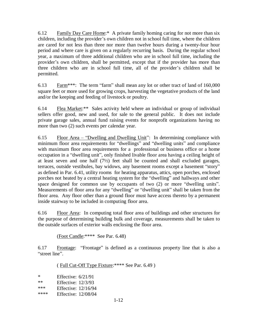6.12 Family Day Care Home:\* A private family homing caring for not more than six children, including the provider's own children not in school full time, where the children are cared for not less than three nor more than twelve hours during a twenty-four hour period and where care is given on a regularly recurring basis. During the regular school year, a maximum of three additional children who are in school full time, including the provider's own children, shall be permitted, except that if the provider has more than three children who are in school full time, all of the provider's children shall be permitted.

6.13 Farm\*\*\*: The term "farm" shall mean any lot or other tract of land of  $160,000$ square feet or more used for growing crops, harvesting the vegetative products of the land and/or the keeping and feeding of livestock or poultry.

6.14 Flea Market:\*\* Sales activity held where an individual or group of individual sellers offer good, new and used, for sale to the general public. It does not include private garage sales, annual fund raising events for nonprofit organizations having no more than two (2) such events per calendar year.

6.15 Floor Area  $-$  "Dwelling and Dwelling Unit": In determining compliance with minimum floor area requirements for "dwellings" and "dwelling units" and compliance with maximum floor area requirements for a professional or business office or a home occupation in a "dwelling unit", only finished livable floor area having a ceiling height of at least seven and one half  $(7\frac{1}{2})$  feet shall be counted and shall excluded garages, terraces, outside vestibules, bay widows, any basement rooms except a basement "story" as defined in Par. 6.41, utility rooms for heating apparatus, attics, open porches, enclosed porches not heated by a central heating system for the "dwelling" and hallways and other space designed for common use by occupants of two  $(2)$  or more "dwelling units". Measurements of floor area for any "dwelling" or "dwelling unit" shall be taken from the floor area. Any floor other than a ground floor must have access thereto by a permanent inside stairway to be included in computing floor area.

6.16 Floor Area: In computing total floor area of buildings and other structures for the purpose of determining building bulk and coverage, measurements shall be taken to the outside surfaces of exterior walls enclosing the floor area.

(Foot Candle:\*\*\*\* See Par. 6.48)

6.17 Frontage: ³Frontage´ is defined as a continuous property line that is also a "street line".

( Full Cut-Off Type Fixture:\*\*\*\* See Par. 6.49 )

\* Effective: 6/21/91

- \*\* Effective: 12/3/93
- \*\*\* Effective:  $12/16/94$ <br>\*\*\*\* Effective:  $12/08/04$
- **Effective: 12/08/04**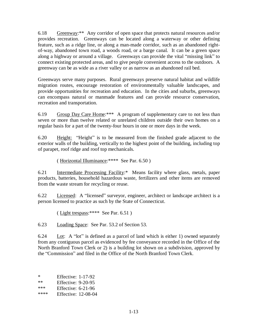6.18 Greenway:\*\* Any corridor of open space that protects natural resources and/or provides recreation. Greenways can be located along a waterway or other defining feature, such as a ridge line, or along a man-made corridor, such as an abandoned rightof-way, abandoned town road, a woods road, or a barge canal. It can be a green space along a highway or around a village. Greenways can provide the vital "missing link" to connect existing protected areas, and to give people convenient access to the outdoors. A greenway can be as wide as a river valley or as narrow as an abandoned rail bed.

Greenways serve many purposes. Rural greenways preserve natural habitat and wildlife migration routes, encourage restoration of environmentally valuable landscapes, and provide opportunities for recreation and education. In the cities and suburbs, greenways can encompass natural or manmade features and can provide resource conservation, recreation and transportation.

6.19 Group Day Care Home: \*\*\* A program of supplementary care to not less than seven or more than twelve related or unrelated children outside their own homes on a regular basis for a part of the twenty-four hours in one or more days in the week.

6.20 Height: "Height" is to be measured from the finished grade adjacent to the exterior walls of the building, vertically to the highest point of the building, including top of parapet, roof ridge and roof top mechanicals.

( Horizontal Illuminance:\*\*\*\* See Par. 6.50 )

6.21 Intermediate Processing Facility:\* Means facility where glass, metals, paper products, batteries, household hazardous waste, fertilizers and other items are removed from the waste stream for recycling or reuse.

6.22 Licensed: A "licensed" surveyor, engineer, architect or landscape architect is a person licensed to practice as such by the State of Connecticut.

( Light trespass:\*\*\*\* See Par. 6.51 )

6.23 Loading Space: See Par. 53.2 of Section 53.

6.24 Lot: A "lot" is defined as a parcel of land which is either 1) owned separately from any contiguous parcel as evidenced by fee conveyance recorded in the Office of the North Branford Town Clerk or 2) is a building lot shown on a subdivision, approved by the "Commission" and filed in the Office of the North Branford Town Clerk.

| *                         | Effective: $1-17-92$ |                             |
|---------------------------|----------------------|-----------------------------|
| $\cdot \cdot \cdot \cdot$ | $ \sim$              | $\sim$ $\sim$ $\sim$ $\sim$ |

| $**$        | Effective: $9-20-95$      |
|-------------|---------------------------|
| ماء ماء ماء | $\mathbf{r}$<br>- - - - - |

- \*\*\* Effective: 6-21-96<br>\*\*\*\* Effective: 12-08-04
- **Effective: 12-08-04**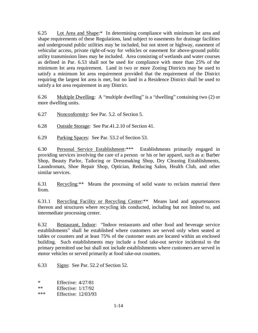6.25 Lot Area and Shape:\* In determining compliance with minimum lot area and shape requirements of these Regulations, land subject to easements for drainage facilities and underground public utilities may be included, but not street or highway, easement of vehicular access, private right-of-way for vehicles or easement for above-ground public utility transmission lines may be included. Area consisting of wetlands and water courses as defined in Par. 6.53 shall not be used for compliance with more than 25% of the minimum lot area requirement. Land in two or more Zoning Districts may be used to satisfy a minimum lot area requirement provided that the requirement of the District requiring the largest lot area is met, but no land in a Residence District shall be used to satisfy a lot area requirement in any District.

6.26 Multiple Dwelling: A "multiple dwelling" is a "dwelling" containing two  $(2)$  or more dwelling units.

6.27 Nonconformity: See Par. 5.2. of Section 5.

6.28 Outside Storage: See Par.41.2.10 of Section 41.

6.29 Parking Spaces: See Par. 53.2 of Section 53.

6.30 Personal Service Establishment:\*\*\* Establishments primarily engaged in providing services involving the care of a person or his or her apparel, such as a: Barber Shop, Beauty Parlor, Tailoring or Dressmaking Shop, Dry Cleaning Establishments, Laundromats, Shoe Repair Shop, Optician, Reducing Salon, Health Club, and other similar services.

6.31 Recycling:\*\* Means the processing of solid waste to reclaim material there from.

6.31.1 Recycling Facility or Recycling Center:\*\* Means land and appurtenances thereon and structures where recycling ids conducted, including but not limited to, and intermediate processing center.

6.32 Restaurant, Indoor: ³Indoor restaurants and other food and beverage service establishments" shall be established where customers are served only when seated at tables or counters and at least 75% of the customer seats are located within an enclosed building. Such establishments may include a food take-out service incidental to the primary permitted use but shall not include establishments where customers are served in motor vehicles or served primarily at food take-out counters.

6.33 Signs: See Par. 52.2 of Section 52.

\* Effective: 4/27/81

\*\* Effective: 1/17/92

\*\*\* Effective: 12/03/93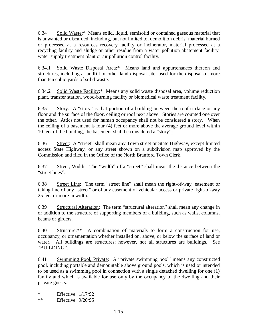6.34 Solid Waste:\* Means solid, liquid, semisolid or contained gaseous material that is unwanted or discarded, including, but not limited to, demolition debris, material burned or processed at a resources recovery facility or incinerator, material processed at a recycling facility and sludge or other residue from a water pollution abatement facility, water supply treatment plant or air pollution control facility.

6.34.1 Solid Waste Disposal Area:\* Means land and appurtenances thereon and structures, including a landfill or other land disposal site, used for the disposal of more than ten cubic yards of solid waste.

6.34.2 Solid Waste Facility:\* Means any solid waste disposal area, volume reduction plant, transfer station, wood-burning facility or biomedical waste treatment facility.

6.35 Story: A "story" is that portion of a building between the roof surface or any floor and the surface of the floor, ceiling or roof next above. Stories are counted one over the other. Attics not used for human occupancy shall not be considered a story. When the ceiling of a basement is four (4) feet or more above the average ground level within 10 feet of the building, the basement shall be considered a "story".

6.36 Street: A "street" shall mean any Town street or State Highway, except limited access State Highway, or any street shown on a subdivision map approved by the Commission and filed in the Office of the North Branford Town Clerk.

6.37 Street, Width: The "width" of a "street" shall mean the distance between the "street lines".

6.38 Street Line: The term "street line" shall mean the right-of-way, easement or taking line of any "street" or of any easement of vehicular access or private right-of-way 25 feet or more in width.

6.39 Structural Alteration: The term "structural alteration" shall mean any change in or addition to the structure of supporting members of a building, such as walls, columns, beams or girders.

6.40 Structure:\*\* A combination of materials to form a construction for use, occupancy, or ornamentation whether installed on, above, or below the surface of land or water. All buildings are structures; however, not all structures are buildings. See "BUILDING".

6.41 Swimming Pool, Private: A "private swimming pool" means any constructed pool, including portable and demountable above ground pools, which is used or intended to be used as a swimming pool in connection with a single detached dwelling for one (1) family and which is available for use only by the occupancy of the dwelling and their private guests.

\* Effective: 1/17/92 \*\* Effective: 9/20/95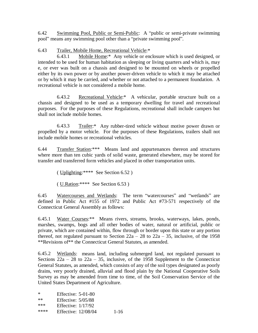6.42 Swimming Pool, Public or Semi-Public: A "public or semi-private swimming pool" means any swimming pool other than a "private swimming pool".

### 6.43 Trailer, Mobile Home, Recreational Vehicle:\*

 6.43.1 Mobile Home:\* Any vehicle or enclosure which is used designed, or intended to be used for human habitation as sleeping or living quarters and which is, may e, or ever was built on a chassis and designed to be mounted on wheels or propelled either by its own power or by another power-driven vehicle to which it may be attached or by which it may be carried, and whether or not attached to a permanent foundation. A recreational vehicle is not considered a mobile home.

 6.43.2 Recreational Vehicle:\* A vehicular, portable structure built on a chassis and designed to be used as a temporary dwelling for travel and recreational purposes. For the purposes of these Regulations, recreational shall include campers but shall not include mobile homes.

 6.43.3 Trailer:\* Any rubber-tired vehicle without motive power drawn or propelled by a motor vehicle. For the purposes of these Regulations, trailers shall not include mobile homes or recreational vehicles.

6.44 Transfer Station:\*\*\* Means land and appurtenances thereon and structures where more than ten cubic yards of solid waste, generated elsewhere, may be stored for transfer and transferred form vehicles and placed in other transportation units.

( Uplighting:\*\*\*\* See Section 6.52 )

( U.Ration:\*\*\*\* See Section 6.53 )

6.45 Watercourses and Wetlands: The term "watercourses" and "wetlands" are defined in Public Act #155 of 1972 and Public Act #73-571 respectively of the Connecticut General Assembly as follows:

6.45.1 Water Courses:\*\* Means rivers, streams, brooks, waterways, lakes, ponds, marshes, swamps, bogs and all other bodies of water, natural or artificial, public or private, which are contained within, flow through or border upon this state or any portion thereof, not regulated pursuant to Section  $22a - 28$  to  $22a - 35$ , inclusive, of the 1958 \*\*Revisions of\*\* the Connecticut General Statutes, as amended.

6.45.2 Wetlands: means land, including submerged land, not regulated pursuant to Sections  $22a - 28$  to  $22a - 35$ , inclusive, of the 1958 Supplement to the Connecticut General Statutes, as amended, which consists of any of the soil types designated as poorly drains, very poorly drained, alluvial and flood plain by the National Cooperative Soils Survey as may be amended from time to time, of the Soil Conservation Service of the United States Department of Agriculture.

| *    | Effective: $5-01-80$       |          |
|------|----------------------------|----------|
| $**$ | Effective: $5/05/88$       |          |
| ***  | Effective: $1/17/92$       |          |
| **** | <b>Effective: 12/08/04</b> | $1 - 16$ |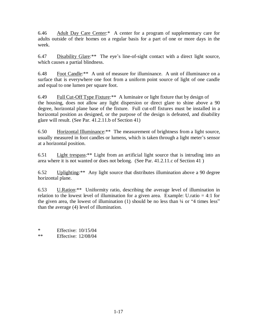6.46 Adult Day Care Center:\* A center for a program of supplementary care for adults outside of their homes on a regular basis for a part of one or more days in the week.

 $6.47$  Disability Glare: \*\* The eye's line-of-sight contact with a direct light source, which causes a partial blindness.

6.48 Foot Candle:\*\* A unit of measure for illuminance. A unit of illuminance on a surface that is everywhere one foot from a uniform point source of light of one candle and equal to one lumen per square foot.

6.49 Full Cut-Off Type Fixture:\*\* A luminaire or light fixture that by design of the housing, does not allow any light dispersion or direct glare to shine above a 90 degree, horizontal plane base of the fixture. Full cut-off fixtures must be installed in a horizontal position as designed, or the purpose of the design is defeated, and disability glare will result. (See Par. 41.2.11.b of Section 41)

6.50 Horizontal Illuminance:\*\* The measurement of brightness from a light source, usually measured in foot candles or lumens, which is taken through a light meter's sensor at a horizontal position.

6.51 Light trespass:\*\* Light from an artificial light source that is intruding into an area where it is not wanted or does not belong. (See Par. 41.2.11.c of Section 41 )

6.52 Uplighting:\*\* Any light source that distributes illumination above a 90 degree horizontal plane.

6.53 U.Ration:\*\* Uniformity ratio, describing the average level of illumination in relation to the lowest level of illumination for a given area. Example: U.ratio  $= 4:1$  for the given area, the lowest of illumination  $(1)$  should be no less than  $\frac{1}{4}$  or "4 times less" than the average (4) level of illumination.

\* Effective:  $10/15/04$ <br>\*\* Effective:  $12/08/04$ **Effective: 12/08/04**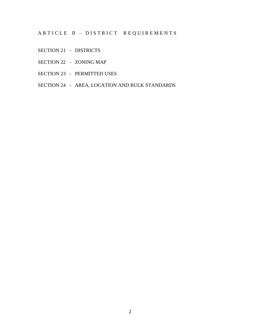ARTICLE II - DISTRICT REQUIREMENTS

- SECTION 21 DISTRICTS
- SECTION 22 ZONING MAP
- SECTION 23 PERMITTED USES
- SECTION 24 AREA, LOCATION AND BULK STANDARDS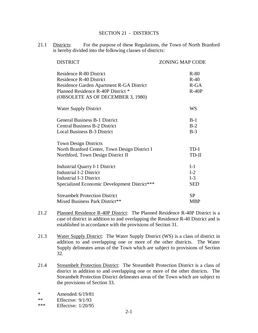### SECTION 21 - DISTRICTS

21.1 Districts: For the purpose of these Regulations, the Town of North Branford is hereby divided into the following classes of districts:

| <b>DISTRICT</b>                                                                                                                                                                         | <b>ZONING MAP CODE</b>                |
|-----------------------------------------------------------------------------------------------------------------------------------------------------------------------------------------|---------------------------------------|
| <b>Residence R-80 District</b><br><b>Residence R-40 District</b><br>Residence Garden Apartment R-GA District<br>Planned Residence R-40P District *<br>(OBSOLETE AS OF DECEMBER 3, 1980) | $R-80$<br>$R-40$<br>$R-GA$<br>$R-40P$ |
| <b>Water Supply District</b>                                                                                                                                                            | WS                                    |
| <b>General Business B-1 District</b><br><b>Central Business B-2 District</b><br><b>Local Business B-3 District</b>                                                                      | $B-1$<br>$B-2$<br>$B-3$               |
| <b>Town Design Districts</b><br>North Branford Center, Town Design District I<br>Northford, Town Design District II                                                                     | TD-I<br>TD-II                         |
| <b>Industrial Quarry I-1 District</b><br><b>Industrial I-2 District</b><br><b>Industrial I-3 District</b><br>Specialized Economic Development District***                               | $I-1$<br>$I-2$<br>$I-3$<br><b>SED</b> |
| <b>Streambelt Protection District</b><br>Mixed Business Park District**                                                                                                                 | <b>SP</b><br><b>MBP</b>               |

- 21.2 Planned Residence R-40P District: The Planned Residence R-40P District is a case of district in addition to and overlapping the Residence R-40 District and is established in accordance with the provisions of Section 31.
- 21.3 Water Supply District: The Water Supply District (WS) is a class of district in addition to and overlapping one or more of the other districts. The Water Supply delineates areas of the Town which are subject to provisions of Section 32.
- 21.4 Streambelt Protection District: The Streambelt Protection District is a class of district in addition to and overlapping one or more of the other districts. The Streambelt Protection District delineates areas of the Town which are subject to the provisions of Section 33.
- \* Amended: 6/19/81
- \*\* Effective: 9/1/93
- \*\*\* Effective: 1/20/95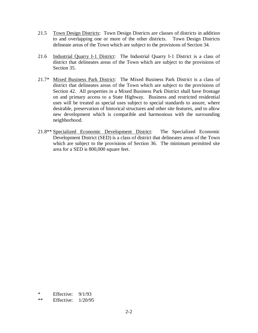- 21.5 Town Design Districts: Town Design Districts are classes of districts in addition to and overlapping one or more of the other districts. Town Design Districts delineate areas of the Town which are subject to the provisions of Section 34.
- 21.6 Industrial Quarry I-1 District: The Industrial Quarry I-1 District is a class of district that delineates areas of the Town which are subject to the provisions of Section 35.
- 21.7\* Mixed Business Park District: The Mixed Business Park District is a class of district that delineates areas of the Town which are subject to the provisions of Section 42. All properties in a Mixed Business Park District shall have frontage on and primary access to a State Highway. Business and restricted residential uses will be treated as special uses subject to special standards to assure, where desirable, preservation of historical structures and other site features, and to allow new development which is compatible and harmonious with the surrounding neighborhood.
- 21.8\*\* Specialized Economic Development District: The Specialized Economic Development District (SED) is a class of district that delineates areas of the Town which are subject to the provisions of Section 36. The minimum permitted site area for a SED is 800,000 square feet.

\* Effective: 9/1/93

\*\* Effective: 1/20/95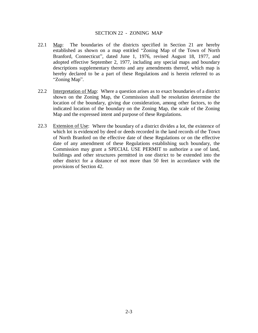### SECTION 22 - ZONING MAP

- 22.1 Map: The boundaries of the districts specified in Section 21 are hereby established as shown on a map entitled "Zoning Map of the Town of North Branford, Connecticut", dated June 1, 1976, revised August 18, 1977, and adopted effective September 2, 1977, including any special maps and boundary descriptions supplementary thereto and any amendments thereof, which map is hereby declared to be a part of these Regulations and is herein referred to as "Zoning Map".
- 22.2 Interpretation of Map: Where a question arises as to exact boundaries of a district shown on the Zoning Map, the Commission shall be resolution determine the location of the boundary, giving due consideration, among other factors, to the indicated location of the boundary on the Zoning Map, the scale of the Zoning Map and the expressed intent and purpose of these Regulations.
- 22.3 Extension of Use: Where the boundary of a district divides a lot, the existence of which lot is evidenced by deed or deeds recorded in the land records of the Town of North Branford on the effective date of these Regulations or on the effective date of any amendment of these Regulations establishing such boundary, the Commission may grant a SPECIAL USE PERMIT to authorize a use of land, buildings and other structures permitted in one district to be extended into the other district for a distance of not more than 50 feet in accordance with the provisions of Section 42.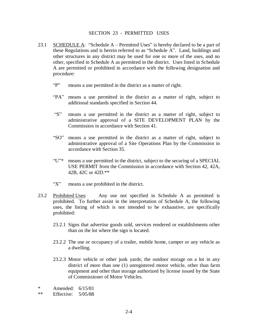### SECTION 23 - PERMITTED USES

- 23.1 SCHEDULE A: "Schedule  $A -$  Permitted Uses" is hereby declared to be a part of these Regulations and is herein referred to as "Schedule A". Land, buildings and other structures in any district may be used for one or more of the uses, and no other, specified in Schedule A as permitted in the district. Uses listed in Schedule A are permitted or prohibited in accordance with the following designation and procedure:
	- "P" means a use permitted in the district as a matter of right.
	- ³PA´ means a use permitted in the district as a matter of right, subject to additional standards specified in Section 44.
	- "S" means a use permitted in the district as a matter of right, subject to administrative approval of a SITE DEVELOPMENT PLAN by the Commission in accordance with Section 41.
	- ³SO´ means a use permitted in the district as a matter of right, subject to administrative approval of a Site Operations Plan by the Commission in accordance with Section 35.
	- $\text{``U''}^*$  means a use permitted in the district, subject to the securing of a SPECIAL USE PERMIT from the Commission in accordance with Section 42, 42A, 42B, 42C or 42D.\*\*
	- "X" means a use prohibited in the district.
- 23.2 Prohibited Uses: Any use not specified in Schedule A as permitted is prohibited. To further assist in the interpretation of Schedule A, the following uses, the listing of which is not intended to be exhaustive, are specifically prohibited:
	- 23.2.1 Signs that advertise goods sold, services rendered or establishments other than on the lot where the sign is located.
	- 23.2.2 The use or occupancy of a trailer, mobile home, camper or any vehicle as a dwelling.
	- 23.2.3 Motor vehicle or other junk yards; the outdoor storage on a lot in any district of more than one (1) unregistered motor vehicle, other than farm equipment and other than storage authorized by license issued by the State of Commissioner of Motor Vehicles.

\* Amended:  $6/15/81$ <br>\*\* Effective:  $5/05/88$ 

Effective: 5/05/88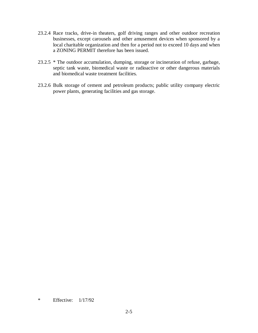- 23.2.4 Race tracks, drive-in theaters, golf driving ranges and other outdoor recreation businesses, except carousels and other amusement devices when sponsored by a local charitable organization and then for a period not to exceed 10 days and when a ZONING PERMIT therefore has been issued.
- 23.2.5 \* The outdoor accumulation, dumping, storage or incineration of refuse, garbage, septic tank waste, biomedical waste or radioactive or other dangerous materials and biomedical waste treatment facilities.
- 23.2.6 Bulk storage of cement and petroleum products; public utility company electric power plants, generating facilities and gas storage.

\* Effective: 1/17/92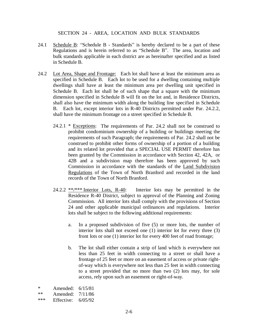### SECTION 24 - AREA, LOCATION AND BULK STANDARDS

- 24.1 Schedule B: "Schedule B Standards" is hereby declared to be a part of these Regulations and is herein referred to as "Schedule B". The area, location and bulk standards applicable in each district are as hereinafter specified and as listed in Schedule B.
- 24.2 Lot Area, Shape and Frontage: Each lot shall have at least the minimum area as specified in Schedule B. Each lot to be used for a dwelling containing multiple dwellings shall have at least the minimum area per dwelling unit specified in Schedule B. Each lot shall be of such shape that a square with the minimum dimension specified in Schedule B will fit on the lot and, in Residence Districts, shall also have the minimum width along the building line specified in Schedule B. Each lot, except interior lots in R-40 Districts permitted under Par. 24.2.2, shall have the minimum frontage on a street specified in Schedule B.
	- 24.2.1 \* Exceptions: The requirements of Par. 24.2 shall not be construed to prohibit condominium ownership of a building or buildings meeting the requirements of such Paragraph; the requirements of Par. 24.2 shall not be construed to prohibit other forms of ownership of a portion of a building and its related lot provided that a SPECIAL USE PERMIT therefore has been granted by the Commission in accordance with Section 42, 42A, or 42B and a subdivision map therefore has been approved by such Commission in accordance with the standards of the Land Subdivision Regulations of the Town of North Branford and recorded in the land records of the Town of North Branford.
	- 24.2.2 \*\*/\*\*\* Interior Lots, R-40: Interior lots may be permitted in the Residence R-40 District, subject to approval of the Planning and Zoning Commission. All interior lots shall comply with the provisions of Section 24 and other applicable municipal ordinances and regulations. Interior lots shall be subject to the following additional requirements:
		- a. In a proposed subdivision of five (5) or more lots, the number of interior lots shall not exceed one (1) interior lot for every three (3) front lots or one (1) interior lot for every 400 feet of road frontage;
		- b. The lot shall either contain a strip of land which is everywhere not less than 25 feet in width connecting to a street or shall have a frontage of 25 feet or more on an easement of access or private rightof-way which is everywhere not less than 25 feet in width connecting to a street provided that no more than two (2) lots may, for sole access, rely upon such an easement or right-of-way.

\* Amended:  $6/15/81$ <br>\*\* Amended:  $7/11/86$ Amended: 7/11/86 \*\*\* Effective: 6/05/92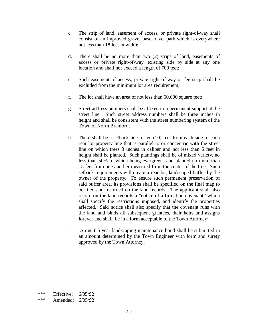- c. The strip of land, easement of access, or private right-of-way shall consist of an improved gravel base travel path which is everywhere not less than 18 feet in width;
- d. There shall be no more than two (2) strips of land, easements of access or private right-of-way, existing side by side at any one location and shall not exceed a length of 700 feet;
- e. Such easement of access, private right-of-way or fee strip shall be excluded from the minimum lot area requirement;
- f. The lot shall have an area of not less than 60,000 square feet;
- g. Street address numbers shall be affixed to a permanent support at the street line. Such street address numbers shall be three inches in height and shall be consistent with the street numbering system of the Town of North Branford;
- h. There shall be a setback line of ten (10) feet from each side of each rear lot property line that is parallel to or concentric with the street line on which trees 3 inches in caliper and not less than 6 feet in height shall be planted. Such plantings shall be of mixed variety, no less than 50% of which being evergreens and planted no more than 15 feet from one another measured from the center of the tree. Such setback requirements will create a rear lot, landscaped buffer by the owner of the property. To ensure such permanent preservation of said buffer area, its provisions shall be specified on the final map to be filed and recorded on the land records. The applicant shall also record on the land records a "notice of affirmation covenant" which shall specify the restrictions imposed, and identify the properties affected. Said notice shall also specify that the covenant runs with the land and binds all subsequent grantees, their heirs and assigns forever and shall be in a form acceptable to the Town Attorney;
- i. A one (1) year landscaping maintenance bond shall be submitted in an amount determined by the Town Engineer with form and surety approved by the Town Attorney;

\*\*\* Effective: 6/05/92 \*\*\* Amended: 6/05/92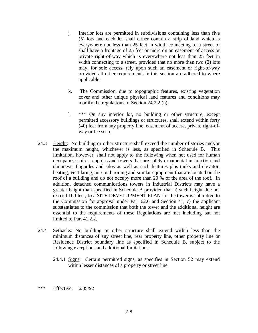- j. Interior lots are permitted in subdivisions containing less than five (5) lots and each lot shall either contain a strip of land which is everywhere not less than 25 feet in width connecting to a street or shall have a frontage of 25 feet or more on an easement of access or private right-of-way which is everywhere not less than 25 feet in width connecting to a street, provided that no more than two (2) lots may, for sole access, rely upon such an easement or right-of-way provided all other requirements in this section are adhered to where applicable;
- k. The Commission, due to topographic features, existing vegetation cover and other unique physical land features and conditions may modify the regulations of Section 24.2.2 (h);
- l. \*\*\* On any interior lot, no building or other structure, except permitted accessory buildings or structures, shall extend within forty (40) feet from any property line, easement of access, private right-ofway or fee strip.
- 24.3 Height: No building or other structure shall exceed the number of stories and//or the maximum height, whichever is less, as specified in Schedule B. This limitation, however, shall not apply to the following when not used for human occupancy: spires, cupolas and towers that are solely ornamental in function and chimneys, flagpoles and silos as well as such features plus tanks and elevator, heating, ventilating, air conditioning and similar equipment that are located on the roof of a building and do not occupy more than 20 % of the area of the roof. In addition, detached communications towers in Industrial Districts may have a greater height than specified in Schedule B provided that a) such height doe not exceed 100 feet, b) a SITE DEVELOPMENT PLAN for the tower is submitted to the Commission for approval under Par. 62.6 and Section 41, c) the applicant substantiates to the commission that both the tower and the additional height are essential to the requirements of these Regulations are met including but not limited to Par. 41.2.2.
- 24.4 Setbacks: No building or other structure shall extend within less than the minimum distances of any street line, rear property line, other property line or Residence District boundary line as specified in Schedule B, subject to the following exceptions and additional limitations:
	- 24.4.1 Signs: Certain permitted signs, as specifies in Section 52 may extend within lesser distances of a property or street line.
- \*\*\* Effective: 6/05/92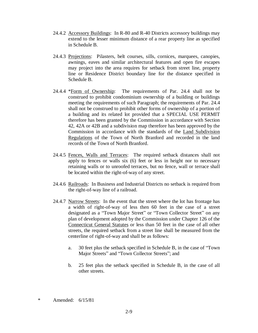- 24.4.2 Accessory Buildings: In R-80 and R-40 Districts accessory buildings may extend to the lesser minimum distance of a rear property line as specified in Schedule B.
- 24.4.3 Projections: Pilasters, belt courses, sills, cornices, marquees, canopies, awnings, eaves and similar architectural features and open fire escapes may project into the area requires for setback from street line, property line or Residence District boundary line for the distance specified in Schedule B.
- 24.4.4 \*Form of Ownership: The requirements of Par. 24.4 shall not be construed to prohibit condominium ownership of a building or buildings meeting the requirements of such Paragraph; the requirements of Par. 24.4 shall not be construed to prohibit other forms of ownership of a portion of a building and its related lot provided that a SPECIAL USE PERMIT therefore has been granted by the Commission in accordance with Section 42, 42A or 42B and a subdivision map therefore has been approved by the Commission in accordance with the standards of the Land Subdivision Regulations of the Town of North Branford and recorded in the land records of the Town of North Branford.
- 24.4.5 Fences, Walls and Terraces: The required setback distances shall not apply to fences or walls six (6) feet or less in height nor to necessary retaining walls or to unroofed terraces, but no fence, wall or terrace shall be located within the right-of-way of any street.
- 24.4.6 Railroads: In Business and Industrial Districts no setback is required from the right-of-way line of a railroad.
- 24.4.7 Narrow Streets: In the event that the street where the lot has frontage has a width of right-of-way of less then 60 feet in the case of a street designated as a "Town Major Street" or "Town Collector Street" on any plan of development adopted by the Commission under Chapter 126 of the Connecticut General Statutes or less than 50 feet in the case of all other streets, the required setback from a street line shall be measured from the centerline of right-of-way and shall be as follows:
	- a. 30 feet plus the setback specified in Schedule B, in the case of "Town" Major Streets" and "Town Collector Streets"; and
	- b. 25 feet plus the setback specified in Schedule B, in the case of all other streets.

\* Amended: 6/15/81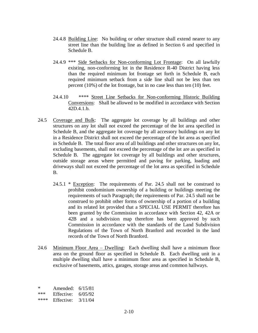- 24.4.8 Building Line: No building or other structure shall extend nearer to any street line than the building line as defined in Section 6 and specified in Schedule B.
- 24.4.9 \*\*\* Side Setbacks for Non-conforming Lot Frontage: On all lawfully existing, non-conforming lot in the Residence R-40 District having less than the required minimum lot frontage set forth in Schedule B, each required minimum setback from a side line shall not be less than ten percent (10%) of the lot frontage, but in no case less than ten (10) feet.
- 24.4.10 \*\*\*\* Street Line Setbacks for Non-conforming Historic Building Conversions: Shall be allowed to be modified in accordance with Section 42D.4.1.b.
- 24.5 Coverage and Bulk: The aggregate lot coverage by all buildings and other structures on any lot shall not exceed the percentage of the lot area specified in Schedule B, and the aggregate lot coverage by all accessory buildings on any lot in a Residence District shall not exceed the percentage of the lot area as specified in Schedule B. The total floor area of all buildings and other structures on any lot, excluding basements, shall not exceed the percentage of the lot are as specified in Schedule B. The aggregate lot coverage by all buildings and other structures, outside storage areas where permitted and paving for parking, loading and driveways shall not exceed the percentage of the lot area as specified in Schedule B.
	- $24.5.1 *$  Exception: The requirements of Par. 24.5 shall not be construed to prohibit condominium ownership of a building or buildings meeting the requirements of such Paragraph; the requirements of Par. 24.5 shall not be construed to prohibit other forms of ownership of a portion of a building and its related lot provided that a SPECIAL USE PERMIT therefore has been granted by the Commission in accordance with Section 42, 42A or 42B and a subdivision map therefore has been approved by such Commission in accordance with the standards of the Land Subdivision Regulations of the Town of North Branford and recorded in the land records of the Town of North Branford.
- 24.6 Minimum Floor Area Dwelling: Each dwelling shall have a minimum floor area on the ground floor as specified in Schedule B. Each dwelling unit in a multiple dwelling shall have a minimum floor area as specified in Schedule B, exclusive of basements, attics, garages, storage areas and common hallways.

\* Amended:  $6/15/81$ <br>\*\*\* Effective:  $6/05/92$ Effective:  $6/05/92$ \*\*\*\* Effective: 3/11/04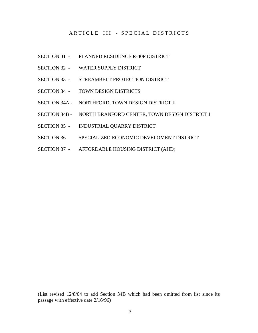## ARTICLE III - SPECIAL DISTRICTS

- SECTION 31 PLANNED RESIDENCE R-40P DISTRICT
- SECTION 32 WATER SUPPLY DISTRICT
- SECTION 33 STREAMBELT PROTECTION DISTRICT
- SECTION 34 TOWN DESIGN DISTRICTS
- SECTION 34A NORTHFORD, TOWN DESIGN DISTRICT II
- SECTION 34B NORTH BRANFORD CENTER, TOWN DESIGN DISTRICT I
- SECTION 35 INDUSTRIAL QUARRY DISTRICT
- SECTION 36 SPECIALIZED ECONOMIC DEVELOMENT DISTRICT
- SECTION 37 AFFORDABLE HOUSING DISTRICT (AHD)

(List revised 12/8/04 to add Section 34B which had been omitted from list since its passage with effective date 2/16/96)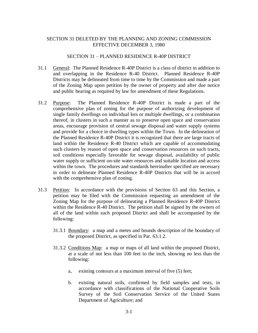### SECTION 31 DELETED BY THE PLANNING AND ZONING COMMISSION EFFECTIVE DECEMBER 3, 1980

#### SECTION 31 - PLANNED RESIDENCE R-40P DISTRICT

- 31.1 General: The Planned Residence R-40P District is a class of district in addition to and overlapping in the Residence R-40 District. Planned Residence R-40P Districts may be delineated from time to time by the Commission and made a part of the Zoning Map upon petition by the owner of property and after due notice and public hearing as required by law for amendment of these Regulations.
- 31.2 Purpose: The Planned Residence R-40P District is made a part of the comprehensive plan of zoning for the purpose of authorizing development of single family dwellings on individual lots or multiple dwellings, or a combination thereof, in clusters in such a manner as to preserve open space and conservation areas, encourage provision of central sewage disposal and water supply systems and provide for a choice in dwelling types within the Town. In the delineation of the Planned Residence R-40P District it is recognized that there are large tracts of land within the Residence R-40 District which are capable of accommodating such clusters by reason of open space and conservation resources on such tracts, soil conditions especially favorable for sewage disposal, availability of public water supply or sufficient on-site water resources and suitable location and access within the town. The procedures and standards hereinafter specified are necessary in order to delineate Planned Residence R-40P Districts that will be in accord with the comprehensive plan of zoning.
- 31.3 Petition: In accordance with the provisions of Section 63 and this Section, a petition may be filed with the Commission requesting an amendment of the Zoning Map for the purpose of delineating a Planned Residence R-40P District within the Residence R-40 District. The petition shall be signed by the owners of all of the land within such proposed District and shall be accompanied by the following:
	- 31.3.1 Boundary: a map and a metes and bounds description of the boundary of the proposed District, as specified in Par. 63.1.2.
	- 31.3.2 Conditions Map: a map or maps of all land within the proposed District, at a scale of not less than 100 feet to the inch, showing no less than the following:
		- a, existing contours at a maximum interval of five (5) feet;
		- b. existing natural soils, confirmed by field samples and tests, in accordance with classifications of the National Cooperative Soils Survey of the Soil Conservation Service of the United States Department of Agriculture; and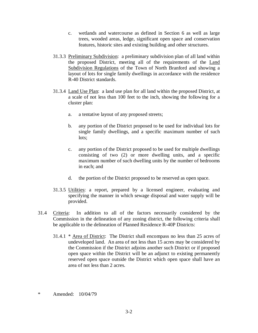- c. wetlands and watercourse as defined in Section 6 as well as large trees, wooded areas, ledge, significant open space and conservation features, historic sites and existing building and other structures.
- 31.3.3 Preliminary Subdivision: a preliminary subdivision plan of all land within the proposed District, meeting all of the requirements of the Land Subdivision Regulations of the Town of North Branford and showing a layout of lots for single family dwellings in accordance with the residence R-40 District standards.
- 31.3.4 Land Use Plan: a land use plan for all land within the proposed District, at a scale of not less than 100 feet to the inch, showing the following for a cluster plan:
	- a. a tentative layout of any proposed streets;
	- b. any portion of the District proposed to be used for individual lots for single family dwellings, and a specific maximum number of such lots;
	- c. any portion of the District proposed to be used for multiple dwellings consisting of two (2) or more dwelling units, and a specific maximum number of such dwelling units by the number of bedrooms in each; and
	- d. the portion of the District proposed to be reserved as open space.
- 31.3.5 Utilities: a report, prepared by a licensed engineer, evaluating and specifying the manner in which sewage disposal and water supply will be provided.
- 31.4 Criteria: In addition to all of the factors necessarily considered by the Commission in the delineation of any zoning district, the following criteria shall be applicable to the delineation of Planned Residence R-40P Districts:
	- 31.4.1 \* Area of District: The District shall encompass no less than 25 acres of undeveloped land. An area of not less than 15 acres may be considered by the Commission if the District adjoins another such District or if proposed open space within the District will be an adjunct to existing permanently reserved open space outside the District which open space shall have an area of not less than 2 acres.
- \* Amended: 10/04/79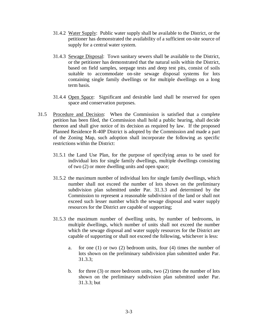- 31.4.2 Water Supply: Public water supply shall be available to the District, or the petitioner has demonstrated the availability of a sufficient on-site source of supply for a central water system.
- 31.4.3 Sewage Disposal: Town sanitary sewers shall be available to the District, or the petitioner has demonstrated that the natural soils within the District, based on field samples, seepage tests and deep test pits, consist of soils suitable to accommodate on-site sewage disposal systems for lots containing single family dwellings or for multiple dwellings on a long term basis.
- 31.4.4 Open Space: Significant and desirable land shall be reserved for open space and conservation purposes.
- 31.5 Procedure and Decision: When the Commission is satisfied that a complete petition has been filed, the Commission shall hold a public hearing, shall decide thereon and shall give notice of its decision as required by law. If the proposed Planned Residence R-40P District is adopted by the Commission and made a part of the Zoning Map, such adoption shall incorporate the following as specific restrictions within the District:
	- 31.5.1 the Land Use Plan, for the purpose of specifying areas to be used for individual lots for single family dwellings, multiple dwellings consisting of two (2) or more dwelling units and open space;
	- 31.5.2 the maximum number of individual lots for single family dwellings, which number shall not exceed the number of lots shown on the preliminary subdivision plan submitted under Par. 31.3.3 and determined by the Commission to represent a reasonable subdivision of the land or shall not exceed such lesser number which the sewage disposal and water supply resources for the District are capable of supporting;
	- 31.5.3 the maximum number of dwelling units, by number of bedrooms, in multiple dwellings, which number of units shall not exceed the number which the sewage disposal and water supply resources for the District are capable of supporting or shall not exceed the following, whichever is less:
		- a. for one (1) or two (2) bedroom units, four (4) times the number of lots shown on the preliminary subdivision plan submitted under Par. 31.3.3;
		- b. for three (3) or more bedroom units, two (2) times the number of lots shown on the preliminary subdivision plan submitted under Par. 31.3.3; but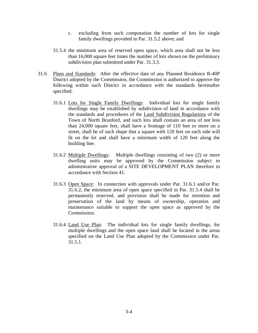- c. excluding from such computation the number of lots for single family dwellings provided in Par. 31.5.2 above; and
- 31.5.4 the minimum area of reserved open space, which area shall not be less than 16,000 square feet times the number of lots shown on the preliminary subdivision plan submitted under Par. 31.3.3.
- 31.6 Plans and Standards: After the effective date of any Planned Residence R-40P District adopted by the Commission, the Commission is authorized to approve the following within such District in accordance with the standards hereinafter specified:
	- 31.6.1 Lots for Single Family Dwellings: Individual lots for single family dwellings may be established by subdivision of land in accordance with the standards and procedures of the Land Subdivision Regulations of the Town of North Branford, and such lots shall contain an area of not less than 24,000 square feet, shall have a frontage of 110 feet or more on a street, shall be of such shape that a square with 120 feet on each side will fit on the lot and shall have a minimum width of 120 feet along the building line.
	- 31.6.2 Multiple Dwellings: Multiple dwellings consisting of two (2) or more dwelling units may be approved by the Commission subject to administrative approval of a SITE DEVELOPMENT PLAN therefore in accordance with Section 41.
	- 31.6.3 Open Space: In connection with approvals under Par. 31.6.1 and/or Par. 31.6.2, the minimum area of open space specified in Par. 31.5.4 shall be permanently reserved, and provision shall be made for retention and preservation of the land by means of ownership, operation and maintenance suitable to support the open space as approved by the Commission.
	- 31.6.4 Land Use Plan: The individual lots for single family dwellings, for multiple dwellings and the open space land shall be located in the areas specified on the Land Use Plan adopted by the Commission under Par. 31.5.1.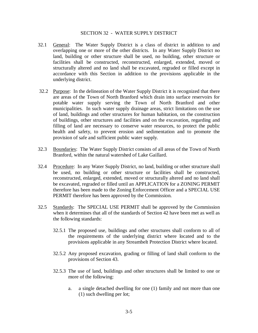### SECTION 32 - WATER SUPPLY DISTRICT

- 32.1 General: The Water Supply District is a class of district in addition to and overlapping one or more of the other districts. In any Water Supply District no land, building or other structure shall be used, no building, other structure or facilities shall be constructed, reconstructed, enlarged, extended, moved or structurally altered and no land shall be excavated, regraded or filled except in accordance with this Section in addition to the provisions applicable in the underlying district.
- 32.2 Purpose: In the delineation of the Water Supply District it is recognized that there are areas of the Town of North Branford which drain into surface reservoirs for potable water supply serving the Town of North Branford and other municipalities. In such water supply drainage areas, strict limitations on the use of land, buildings and other structures for human habitation, on the construction of buildings, other structures and facilities and on the excavation, regarding and filling of land are necessary to conserve water resources, to protect the public health and safety, to prevent erosion and sedimentation and to promote the provision of safe and sufficient public water supply.
- 32.3 Boundaries: The Water Supply District consists of all areas of the Town of North Branford, within the natural watershed of Lake Gaillard.
- 32.4 Procedure: In any Water Supply District, no land, building or other structure shall be used, no building or other structure or facilities shall be constructed, reconstructed, enlarged, extended, moved or structurally altered and no land shall be excavated, regraded or filled until an APPLICATION for a ZONING PERMIT therefore has been made to the Zoning Enforcement Officer and a SPECIAL USE PERMIT therefore has been approved by the Commission.
- 32.5 Standards: The SPECIAL USE PERMIT shall be approved by the Commission when it determines that all of the standards of Section 42 have been met as well as the following standards:
	- 32.5.1 The proposed use, buildings and other structures shall conform to all of the requirements of the underlying district where located and to the provisions applicable in any Streambelt Protection District where located.
	- 32.5.2 Any proposed excavation, grading or filling of land shall conform to the provisions of Section 43.
	- 32.5.3 The use of land, buildings and other structures shall be limited to one or more of the following:
		- a. a single detached dwelling for one (1) family and not more than one (1) such dwelling per lot;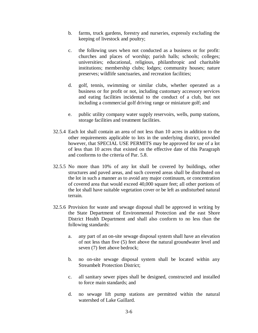- b. farms, truck gardens, forestry and nurseries, expressly excluding the keeping of livestock and poultry;
- c. the following uses when not conducted as a business or for profit: churches and places of worship; parish halls; schools; colleges; universities; educational, religious, philanthropic and charitable institutions; membership clubs; lodges; community houses; nature preserves; wildlife sanctuaries, and recreation facilities;
- d. golf, tennis, swimming or similar clubs, whether operated as a business or for profit or not, including customary accessory services and eating facilities incidental to the conduct of a club, but not including a commercial golf driving range or miniature golf; and
- e. public utility company water supply reservoirs, wells, pump stations, storage facilities and treatment facilities.
- 32.5.4 Each lot shall contain an area of not less than 10 acres in addition to the other requirements applicable to lots in the underlying district, provided however, that SPECIAL USE PERMITS may be approved for use of a lot of less than 10 acres that existed on the effective date of this Paragraph and conforms to the criteria of Par. 5.8.
- 32.5.5 No more than 10% of any lot shall be covered by buildings, other structures and paved areas, and such covered areas shall be distributed on the lot in such a manner as to avoid any major continuum, or concentration of covered area that would exceed 40,000 square feet; all other portions of the lot shall have suitable vegetation cover or be left as undisturbed natural terrain.
- 32.5.6 Provision for waste and sewage disposal shall be approved in writing by the State Department of Environmental Protection and the east Shore District Health Department and shall also conform to no less than the following standards:
	- a. any part of an on-site sewage disposal system shall have an elevation of not less than five (5) feet above the natural groundwater level and seven (7) feet above bedrock;
	- b. no on-site sewage disposal system shall be located within any Streambelt Protection District;
	- c. all sanitary sewer pipes shall be designed, constructed and installed to force main standards; and
	- d. no sewage lift pump stations are permitted within the natural watershed of Lake Gaillard.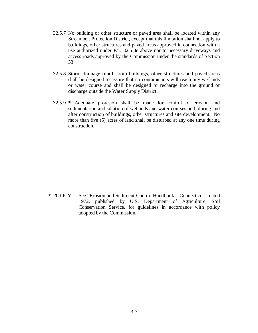- 32.5.7 No building or other structure or paved area shall be located within any Streambelt Protection District, except that this limitation shall not apply to buildings, other structures and paved areas approved in connection with a use authorized under Par. 32.5.3e above nor to necessary driveways and access roads approved by the Commission under the standards of Section 33.
- 32.5.8 Storm drainage runoff from buildings, other structures and paved areas shall be designed to assure that no contaminants will reach any wetlands or water course and shall be designed to recharge into the ground or discharge outside the Water Supply District.
- 32.5.9 \* Adequate provision shall be made for control of erosion and sedimentation and siltation of wetlands and water courses both during and after construction of buildings, other structures and site development. No more than five (5) acres of land shall be disturbed at any one time during construction.

\* POLICY: See "Erosion and Sediment Control Handbook – Connecticut", dated 1972, published by U.S. Department of Agriculture, Soil Conservation Service, for guidelines in accordance with policy adopted by the Commission.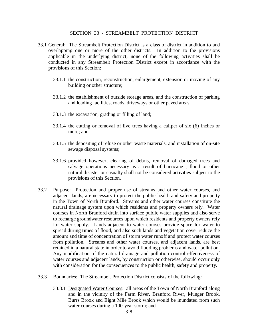### SECTION 33 - STREAMBELT PROTECTION DISTRICT

- 33.1 General: The Streambelt Protection District is a class of district in addition to and overlapping one or more of the other districts. In addition to the provisions applicable in the underlying district, none of the following activities shall be conducted in any Streambelt Protection District except in accordance with the provisions of this Section:
	- 33.1.1 the construction, reconstruction, enlargement, extension or moving of any building or other structure;
	- 33.1.2 the establishment of outside storage areas, and the construction of parking and loading facilities, roads, driveways or other paved areas;
	- 33.1.3 the excavation, grading or filling of land;
	- 33.1.4 the cutting or removal of live trees having a caliper of six (6) inches or more; and
	- 33.1.5 the depositing of refuse or other waste materials, and installation of on-site sewage disposal systems;
	- 33.1.6 provided however, clearing of debris, removal of damaged trees and salvage operations necessary as a result of hurricane , flood or other natural disaster or casualty shall not be considered activities subject to the provisions of this Section.
- 33.2 Purpose: Protection and proper use of streams and other water courses, and adjacent lands, are necessary to protect the public health and safety and property in the Town of North Branford. Streams and other water courses constitute the natural drainage system upon which residents and property owners rely. Water courses in North Branford drain into surface public water supplies and also serve to recharge groundwater resources upon which residents and property owners rely for water supply. Lands adjacent to water courses provide space for water to spread during times of flood, and also such lands and vegetation cover reduce the amount and time of concentration of storm water runoff and protect water courses from pollution. Streams and other water courses, and adjacent lands, are best retained in a natural state in order to avoid flooding problems and water pollution. Any modification of the natural drainage and pollution control effectiveness of water courses and adjacent lands, by construction or otherwise, should occur only with consideration for the consequences to the public health, safety and property.
- 33.3 Boundaries: The Streambelt Protection District consists of the following:
	- 33.3.1 Designated Water Courses: all areas of the Town of North Branford along and in the vicinity of the Farm River, Branford River, Munger Brook, Burrs Brook and Eight Mile Brook which would be inundated from such water courses during a 100-year storm; and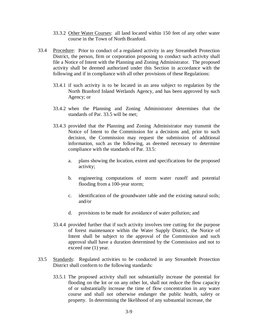- 33.3.2 Other Water Courses: all land located within 150 feet of any other water course in the Town of North Branford.
- 33.4 Procedure: Prior to conduct of a regulated activity in any Streambelt Protection District, the person, firm or corporation proposing to conduct such activity shall file a Notice of Intent with the Planning and Zoning Administrator. The proposed activity shall be deemed authorized under this Section in accordance with the following and if in compliance with all other provisions of these Regulations:
	- 33.4.1 if such activity is to be located in an area subject to regulation by the North Branford Inland Wetlands Agency, and has been approved by such Agency; or
	- 33.4.2 when the Planning and Zoning Administrator determines that the standards of Par. 33.5 will be met;
	- 33.4.3 provided that the Planning and Zoning Administrator may transmit the Notice of Intent to the Commission for a decisions and, prior to such decision, the Commission may request the submission of additional information, such as the following, as deemed necessary to determine compliance with the standards of Par. 33.5:
		- a. plans showing the location, extent and specifications for the proposed activity;
		- b. engineering computations of storm water runoff and potential flooding from a 100-year storm;
		- c. identification of the groundwater table and the existing natural soils; and/or
		- d. provisions to be made for avoidance of water pollution; and
	- 33.4.4 provided further that if such activity involves tree cutting for the purpose of forest maintenance within the Water Supply District, the Notice of Intent shall be subject to the approval of the Commission and such approval shall have a duration determined by the Commission and not to exceed one (1) year.
- 33.5 Standards: Regulated activities to be conducted in any Streambelt Protection District shall conform to the following standards:
	- 33.5.1 The proposed activity shall not substantially increase the potential for flooding on the lot or on any other lot, shall not reduce the flow capacity of or substantially increase the time of flow concentration in any water course and shall not otherwise endanger the public health, safety or property. In determining the likelihood of any substantial increase, the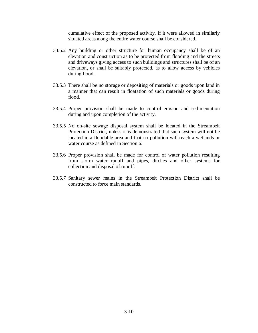cumulative effect of the proposed activity, if it were allowed in similarly situated areas along the entire water course shall be considered.

- 33.5.2 Any building or other structure for human occupancy shall be of an elevation and construction as to be protected from flooding and the streets and driveways giving access to such buildings and structures shall be of an elevation, or shall be suitably protected, as to allow access by vehicles during flood.
- 33.5.3 There shall be no storage or depositing of materials or goods upon land in a manner that can result in floatation of such materials or goods during flood.
- 33.5.4 Proper provision shall be made to control erosion and sedimentation during and upon completion of the activity.
- 33.5.5 No on-site sewage disposal system shall be located in the Streambelt Protection District, unless it is demonstrated that such system will not be located in a floodable area and that no pollution will reach a wetlands or water course as defined in Section 6.
- 33.5.6 Proper provision shall be made for control of water pollution resulting from storm water runoff and pipes, ditches and other systems for collection and disposal of runoff.
- 33.5.7 Sanitary sewer mains in the Streambelt Protection District shall be constructed to force main standards.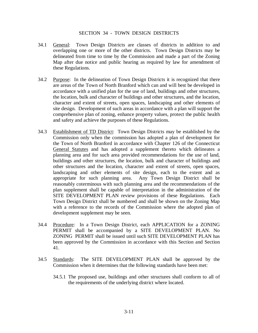### SECTION 34 - TOWN DESIGN DISTRICTS

- 34.1 General: Town Design Districts are classes of districts in addition to and overlapping one or more of the other districts. Town Design Districts may be delineated from time to time by the Commission and made a part of the Zoning Map after due notice and public hearing as required by law for amendment of these Regulations.
- 34.2 Purpose: In the delineation of Town Design Districts it is recognized that there are areas of the Town of North Branford which can and will best be developed in accordance with a unified plan for the use of land, buildings and other structures, the location, bulk and character of buildings and other structures, and the location, character and extent of streets, open spaces, landscaping and other elements of site design. Development of such areas in accordance with a plan will support the comprehensive plan of zoning, enhance property values, protect the public health and safety and achieve the purposes of these Regulations.
- 34.3 Establishment of TD District: Town Design Districts may be established by the Commission only when the commission has adopted a plan of development for the Town of North Branford in accordance with Chapter 126 of the Connecticut General Statutes and has adopted a supplement thereto which delineates a planning area and for such area provided recommendations for the use of land, buildings and other structures, the location, bulk and character of buildings and other structures and the location, character and extent of streets, open spaces, landscaping and other elements of site design, each to the extent and as appropriate for such planning area. Any Town Design District shall be reasonably coterminous with such planning area and the recommendations of the plan supplement shall be capable of interpretation in the administration of the SITE DEVELOPMENT PLAN review provisions of these Regulations. Each Town Design District shall be numbered and shall be shown on the Zoning Map with a reference to the records of the Commission where the adopted plan of development supplement may be seen.
- 34.4 Procedure: In a Town Design District, each APPLICATION for a ZONING PERMIT shall be accompanied by a SITE DEVELOPMENT PLAN. No ZONING PERMIT shall be issued until such SITE DEVELOPMENT PLAN has been approved by the Commission in accordance with this Section and Section 41.
- 34.5 Standards: The SITE DEVELOPMENT PLAN shall be approved by the Commission when it determines that the following standards have been met:
	- 34.5.1 The proposed use, buildings and other structures shall conform to all of the requirements of the underlying district where located.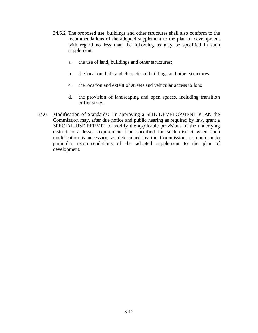- 34.5.2 The proposed use, buildings and other structures shall also conform to the recommendations of the adopted supplement to the plan of development with regard no less than the following as may be specified in such supplement:
	- a. the use of land, buildings and other structures;
	- b. the location, bulk and character of buildings and other structures;
	- c. the location and extent of streets and vehicular access to lots;
	- d. the provision of landscaping and open spaces, including transition buffer strips.
- 34.6 Modification of Standards: In approving a SITE DEVELOPMENT PLAN the Commission may, after due notice and public hearing as required by law, grant a SPECIAL USE PERMIT to modify the applicable provisions of the underlying district to a lesser requirement than specified for such district when such modification is necessary, as determined by the Commission, to conform to particular recommendations of the adopted supplement to the plan of development.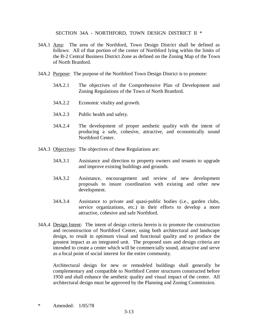SECTION 34A - NORTHFORD, TOWN DESIGN DISTRICT II \*

- 34A.1 Area: The area of the Northford, Town Design District shall be defined as follows: All of that portion of the center of Northford lying within the limits of the B-2 Central Business District Zone as defined on the Zoning Map of the Town of North Branford.
- 34A.2 Purpose: The purpose of the Northford Town Design District is to promote:
	- 34A.2.1 The objectives of the Comprehensive Plan of Development and Zoning Regulations of the Town of North Branford.
	- 34A.2.2 Economic vitality and growth.
	- 34A.2.3 Public health and safety.
	- 34A.2.4 The development of proper aesthetic quality with the intent of producing a safe, cohesive, attractive, and economically sound Northford Center.
- 34A.3 Objectives: The objectives of these Regulations are:
	- 34A.3.1 Assistance and direction to property owners and tenants to upgrade and improve existing buildings and grounds.
	- 34A.3.2 Assistance, encouragement and review of new development proposals to insure coordination with existing and other new development.
	- 34A.3.4 Assistance to private and quasi-public bodies (i.e., garden clubs, service organizations, etc.) in their efforts to develop a more attractive, cohesive and safe Northford.
- 34A.4 Design Intent: The intent of design criteria herein is to promote the construction and reconstruction of Northford Center, using both architectural and landscape design, to result in optimum visual and functional quality and to produce the greatest impact as an integrated unit. The proposed uses and design criteria are intended to create a center which will be commercially sound, attractive and serve as a focal point of social interest for the entire community.

 Architectural design for new or remodeled buildings shall generally be complementary and compatible to Northford Center structures constructed before 1950 and shall enhance the aesthetic quality and visual impact of the center. All architectural design must be approved by the Planning and Zoning Commission.

\* Amended: 1/05/78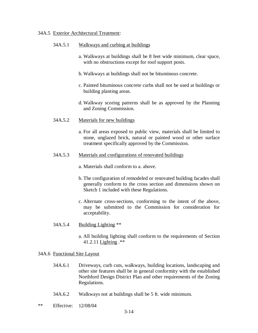#### 34A.5 Exterior Architectural Treatment:

### 34A.5.1 Walkways and curbing at buildings

- a. Walkways at buildings shall be 8 feet wide minimum, clear space, with no obstructions except for roof support posts.
- b. Walkways at buildings shall not be bituminous concrete.
- c. Painted bituminous concrete curbs shall not be used at buildings or building planting areas.
- d. Walkway scoring patterns shall be as approved by the Planning and Zoning Commission.
- 34A.5.2 Materials for new buildings
	- a. For all areas exposed to public view, materials shall be limited to stone, unglazed brick, natural or painted wood or other surface treatment specifically approved by the Commission.
- 34A.5.3 Materials and configurations of renovated buildings
	- a. Materials shall conform to a. above.
	- b. The configuration of remodeled or renovated building facades shall generally conform to the cross section and dimensions shown on Sketch 1 included with these Regulations.
	- c. Alternate cross-sections, conforming to the intent of the above, may be submitted to the Commission for consideration for acceptability.
- 34A.5.4 Building Lighting \*\*
	- a. All building lighting shall conform to the requirements of Section 41.2.11 Lighting .\*\*

## 34A.6 Functional Site Layout

- 34A.6.1 Driveways, curb cuts, walkways, building locations, landscaping and other site features shall be in general conformity with the established Northford Design District Plan and other requirements of the Zoning Regulations.
- 34A.6.2 Walkways not at buildings shall be 5 ft. wide minimum.
- \*\* Effective: 12/08/04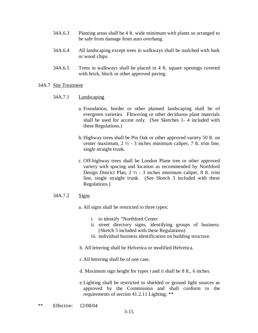- 34A.6.3 Planting areas shall be 4 ft. wide minimum with plants so arranged to be safe from damage from auto overhang.
- 34A.6.4 All landscaping except trees in walkways shall be mulched with bark or wood chips.
- 34A.6.5 Trees in walkways shall be placed in 4 ft. square openings covered with brick, block or other approved paving.

### 34A.7 Site Treatment

### 34A.7.1 Landscaping

- a. Foundation, border or other planned landscaping shall be of evergreen varieties. Flowering or other deciduous plant materials shall be used for accent only. (See Sketches 1- 4 included with these Regulations.)
- b. Highway trees shall be Pin Oak or other approved variety 50 ft. on center maximum, 2 ½ - 3 inches minimum caliper, 7 ft. trim line, single straight trunk.
- c. Off-highway trees shall be London Plane tree or other approved variety with spacing and location as recommended by Northford Design District Plan, 2 ½ - 3 inches minimum caliper, 8 ft. trim line, single straight trunk. (See Sketch 3 included with these Regulations.)

## 34A.7.2 Signs

a. All signs shall be restricted to three types:

- i. to identify "Northford Center"
- ii. street directory signs, identifying groups of business. (Sketch 5 included with these Regulations)
- iii. individual business identification on building structure.
- b. All lettering shall be Helvetica or modified Helvetica.
- c. All lettering shall be of one case.
- d. Maximum sign height for types i and ii shall be 8 ft., 6 inches.

 e. Lighting shall be restricted to shielded or ground light sources as approved by the Commission and shall conform to the requirements of section 41.2.11 Lighting. \*\*

\*\* Effective: 12/08/04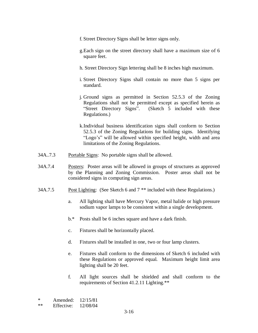- f. Street Directory Signs shall be letter signs only.
- g.Each sign on the street directory shall have a maximum size of 6 square feet.
- h. Street Directory Sign lettering shall be 8 inches high maximum.
- i. Street Directory Signs shall contain no more than 5 signs per standard.
- j. Ground signs as permitted in Section 52.5.3 of the Zoning Regulations shall not be permitted except as specified herein as "Street Directory Signs". (Sketch 5 included with these Regulations.)
- k.Individual business identification signs shall conform to Section 52.5.3 of the Zoning Regulations for building signs. Identifying "Logo's" will be allowed within specified height, width and area limitations of the Zoning Regulations.
- 34A..7.3 Portable Signs: No portable signs shall be allowed.
- 34A.7.4 Posters: Poster areas will be allowed in groups of structures as approved by the Planning and Zoning Commission. Poster areas shall not be considered signs in computing sign areas.
- 34A.7.5 Post Lighting: (See Sketch 6 and 7 \*\* included with these Regulations.)
	- a. All lighting shall have Mercury Vapor, metal halide or high pressure sodium vapor lamps to be consistent within a single development.
	- b.\* Posts shall be 6 inches square and have a dark finish.
	- c. Fixtures shall be horizontally placed.
	- d. Fixtures shall be installed in one, two or four lamp clusters.
	- e. Fixtures shall conform to the dimensions of Sketch 6 included with these Regulations or approved equal. Maximum height limit area lighting shall be 20 feet.
	- f. All light sources shall be shielded and shall conform to the requirements of Section 41.2.11 Lighting.\*\*

\* Amended: 12/15/81

\*\* Effective: 12/08/04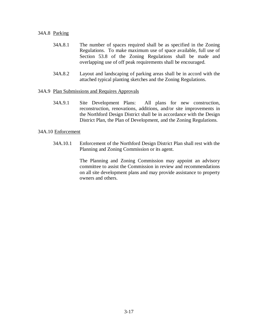### 34A.8 Parking

- 34A.8.1 The number of spaces required shall be as specified in the Zoning Regulations. To make maximum use of space available, full use of Section 53.8 of the Zoning Regulations shall be made and overlapping use of off peak requirements shall be encouraged.
- 34A.8.2 Layout and landscaping of parking areas shall be in accord with the attached typical planting sketches and the Zoning Regulations.

### 34A.9 Plan Submissions and Requires Approvals

 34A.9.1 Site Development Plans: All plans for new construction, reconstruction, renovations, additions, and/or site improvements in the Northford Design District shall be in accordance with the Design District Plan, the Plan of Development, and the Zoning Regulations.

### 34A.10 Enforcement

 34A.10.1 Enforcement of the Northford Design District Plan shall rest with the Planning and Zoning Commission or its agent.

> The Planning and Zoning Commission may appoint an advisory committee to assist the Commission in review and recommendations on all site development plans and may provide assistance to property owners and others.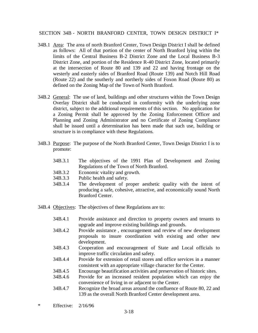SECTION 34B - NORTH BRANFORD CENTER, TOWN DESIGN DISTRICT I\*

- 34B.1 Area: The area of north Branford Center, Town Design District I shall be defined as follows: All of that portion of the center of North Branford lying within the limits of the Central Business B-2 District Zone and the Local Business B-3 District Zone, and portion of the Residence R-40 District Zone, located primarily at the intersection of Route 80 and 139 and 22 and having frontage on the westerly and easterly sides of Branford Road (Route 139) and Notch Hill Road (Route 22) and the southerly and northerly sides of Foxon Road (Route 80) as defined on the Zoning Map of the Town of North Branford.
- 34B.2 General: The use of land, buildings and other structures within the Town Design Overlay District shall be conducted in conformity with the underlying zone district, subject to the additional requirements of this section. No application for a Zoning Permit shall be approved by the Zoning Enforcement Officer and Planning and Zoning Administrator and no Certificate of Zoning Compliance shall be issued until a determination has been made that such use, building or structure is in compliance with these Regulations.
- 34B.3 Purpose: The purpose of the North Branford Center, Town Design District I is to promote:
	- 34B.3.1 The objectives of the 1991 Plan of Development and Zoning Regulations of the Town of North Branford.
	- 34B.3.2 Economic vitality and growth.
	- 34B.3.3 Public health and safety.
	- 34B.3.4 The development of proper aesthetic quality with the intent of producing a safe, cohesive, attractive, and economically sound North Branford Center.
- 34B.4 Objectives: The objectives of these Regulations are to:
	- 34B.4.1 Provide assistance and direction to property owners and tenants to upgrade and improve existing buildings and grounds.
	- 34B.4.2 Provide assistance , encouragement and review of new development proposals to insure coordination with existing and other new development.
	- 34B.4.3 Cooperation and encouragement of State and Local officials to improve traffic circulation and safety.
	- 34B.4.4 Provide for extension of retail stores and office services in a manner consistent with an appropriate village character for the Center.
	- 34B.4.5 Encourage beautification activities and preservation of historic sites.
	- 34B.4.6 Provide for an increased resident population which can enjoy the convenience of living in or adjacent to the Center.
	- 34B.4.7 Recognize the broad areas around the confluence of Route 80, 22 and 139 as the overall North Branford Center development area.
- \* Effective: 2/16/96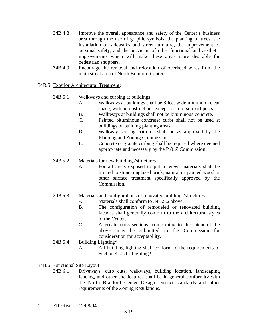- 34B.4.8 Improve the overall appearance and safety of the Center's business area through the use of graphic symbols, the planting of trees, the installation of sidewalks and street furniture, the improvement of personal safety, and the provision of other functional and aesthetic improvements which will make these areas more desirable for pedestrian shoppers.
- 34B.4.9 Encourage the removal and relocation of overhead wires from the main street area of North Branford Center.
- 34B.5 Exterior Architectural Treatment:
	- 34B.5.1 Walkways and curbing at buildings
		- A. Walkways at buildings shall be 8 feet wide minimum, clear space, with no obstructions except for roof support posts.
		- B. Walkways at buildings shall not be bituminous concrete.
		- C. Painted bituminous concreter curbs shall not be used at buildings or building planting areas.
		- D. Walkway scoring patterns shall be as approved by the Planning and Zoning Commission.
		- E. Concrete or granite curbing shall be required where deemed appropriate and necessary by the P & Z Commission.

## 34B.5.2 Materials for new buildings/structures

- A. For all areas exposed to public view, materials shall be limited to stone, unglazed brick, natural or painted wood or other surface treatment specifically approved by the Commission.
- 34B.5.3 Materials and configurations of renovated buildings/structures
	- A. Materials shall conform to 34B.5.2 above.
	- B. The configuration of remodeled or renovated building facades shall generally conform to the architectural styles of the Center.
	- C. Alternate cross-sections, conforming to the intent of the above, may be submitted to the Commission for consideration for acceptability.

# 34B.5.4 Building Lighting\*

 A. All building lighting shall conform to the requirements of Section 41.2.11 Lighting \*

# 34B.6 Functional Site Layout

- 34B.6.1 Driveways, curb cuts, walkways, building location, landscaping fencing, and other site features shall be in general conformity with the North Branford Center Design District standards and other requirements of the Zoning Regulations.
- \* Effective: 12/08/04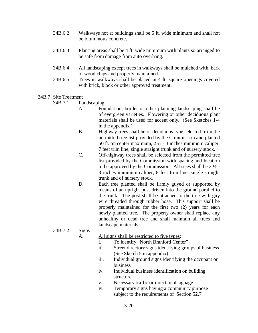- 34B.6.2 Walkways not at buildings shall be 5 ft. wide minimum and shall not be bituminous concrete.
- 34B.6.3 Planting areas shall be 4 ft. wide minimum with plants so arranged to be safe from damage from auto overhang.
- 34B.6.4 All landscaping except trees in walkways shall be mulched with bark or wood chips and properly maintained.
- 34B.6.5 Trees in walkways shall be placed in 4 ft. square openings covered with brick, block or other approved treatment.

### 34B.7 Site Treatment

### 34B.7.1 Landscaping

- A. Foundation, border or other planning landscaping shall be of evergreen varieties. Flowering or other deciduous plant materials shall be used for accent only. (See Sketches 1-4 in the appendix.)
- B. Highway trees shall be of deciduous type selected from the permitted tree list provided by the Commission and planted 50 ft. on center maximum,  $2\frac{1}{2}$  - 3 inches minimum caliper, 7 feet trim line, single straight trunk and of nursery stock.
- C. Off-highway trees shall be selected from the permitted tree list provided by the Commission with spacing and location to be approved by the Commission. All trees shall be  $2\frac{1}{2}$  -3 inches minimum caliper, 8 feet trim line, single straight trunk and of nursery stock.
- D. Each tree planted shall be firmly guyed or supported by means of an upright post driven into the ground parallel to the trunk. The post shall be attached to the tree with guy wire threaded through rubber hose. This support shall be properly maintained for the first two (2) years for each newly planted tree. The property owner shall replace any unhealthy or dead tree and shall maintain all trees and landscape materials.

## 34B.7.2 Signs

A. All signs shall be restricted to five types:

- i. To identify "North Branford Center"
- ii. Street directory signs identifying groups of business (See Sketch 5 in appendix)
- iii. Individual ground signs identifying the occupant or business
- iv. Individual business identification on building structure
- v. Necessary traffic or directional signage
- vi. Temporary signs having a community purpose subject to the requirements of Section 52.7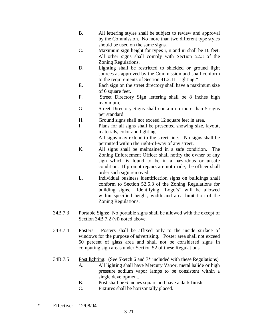- B. All lettering styles shall be subject to review and approval by the Commission. No more than two different type styles should be used on the same signs.
- C. Maximum sign height for types i, ii and iii shall be 10 feet. All other signs shall comply with Section 52.3 of the Zoning Regulations.
- D. Lighting shall be restricted to shielded or ground light sources as approved by the Commission and shall conform to the requirements of Section 41.2.11 Lighting.\*
- E. Each sign on the street directory shall have a maximum size of 6 square feet.
- F. Street Directory Sign lettering shall be 8 inches high maximum.
- G. Street Directory Signs shall contain no more than 5 signs per standard.
- H. Ground signs shall not exceed 12 square feet in area.
- I. Plans for all signs shall be presented showing size, layout, materials, color and lighting.
- J. All signs may extend to the street line. No signs shall be permitted within the right-of-way of any street.
- K. All signs shall be maintained in a safe condition. The Zoning Enforcement Officer shall notify the owner of any sign which is found to be in a hazardous or unsafe condition. If prompt repairs are not made, the officer shall order such sign removed.
- L. Individual business identification signs on buildings shall conform to Section 52.5.3 of the Zoning Regulations for building signs. Identifying "Logo's" will be allowed within specified height, width and area limitation of the Zoning Regulations.
- 34B.7.3 Portable Signs: No portable signs shall be allowed with the except of Section 34B.7.2 (vi) noted above.
- 34B.7.4 Posters: Posters shall be affixed only to the inside surface of windows for the purpose of advertising. Poster area shall not exceed 50 percent of glass area and shall not be considered signs in computing sign areas under Section 52 of these Regulations.
- 34B.7.5 Post lighting: (See Sketch 6 and 7\* included with these Regulations) A. All lighting shall have Mercury Vapor, metal halide or high pressure sodium vapor lamps to be consistent within a single development.
	- B. Post shall be 6 inches square and have a dark finish.
	- C. Fixtures shall be horizontally placed.
- \* Effective: 12/08/04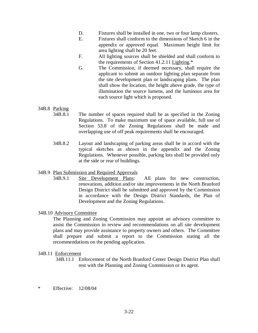- D. Fixtures shall be installed in one, two or four lamp clusters.
- E. Fixtures shall conform to the dimensions of Sketch 6 in the appendix or approved equal. Maximum height limit for area lighting shall be 20 feet.
- F. All lighting sources shall be shielded and shall conform to the requirements of Section 41.2.11 Lighting.\*
- G. The Commission, if deemed necessary, shall require the applicant to submit an outdoor lighting plan separate from the site development plan or landscaping plans. The plan shall show the location, the height above grade, the type of illumination the source lumens, and the luminous area for each source light which is proposed.

# 34B.8 Parking

- 34B.8.1 The number of spaces required shall be as specified in the Zoning Regulations. To make maximum use of space available, full use of Section 53.8 of the Zoning Regulations shall be made and overlapping use of off peak requirements shall be encouraged.
- 34B.8.2 Layout and landscaping of parking areas shall be in accord with the typical sketches as shown in the appendix and the Zoning Regulations. Whenever possible, parking lots shall be provided only at the side or rear of buildings.

## 34B.9 Plan Submission and Required Approvals

 34B.9.1 Site Development Plans: All plans for new construction, renovations, addition and/or site improvements in the North Branford Design District shall be submitted and approved by the Commission in accordance with the Design District Standards, the Plan of Development and the Zoning Regulations.

## 34B.10 Advisory Committee

The Planning and Zoning Commission may appoint an advisory committee to assist the Commission in review and recommendations on all site development plans and may provide assistance to property owners and others. The Committee shall prepare and submit a report to the Commission stating all the recommendations on the pending application.

## 34B.11 Enforcement

- 34B.11.1 Enforcement of the North Branford Center Design District Plan shall rest with the Planning and Zoning Commission or its agent.
- \* Effective: 12/08/04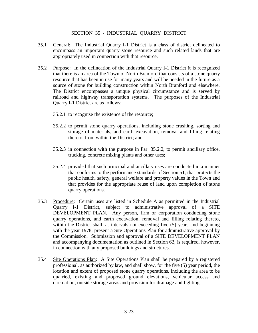### SECTION 35 - INDUSTRIAL QUARRY DISTRICT

- 35.1 General: The Industrial Quarry I-1 District is a class of district delineated to encompass an important quarry stone resource and such related lands that are appropriately used in connection with that resource.
- 35.2 Purpose: In the delineation of the Industrial Quarry I-1 District it is recognized that there is an area of the Town of North Branford that consists of a stone quarry resource that has been in use for many years and will be needed in the future as a source of stone for building construction within North Branford and elsewhere. The District encompasses a unique physical circumstance and is served by railroad and highway transportation systems. The purposes of the Industrial Quarry I-1 District are as follows:
	- 35.2.1 to recognize the existence of the resource;
	- 35.2.2 to permit stone quarry operations, including stone crushing, sorting and storage of materials, and earth excavation, removal and filling relating thereto, from within the District; and
	- 35.2.3 in connection with the purpose in Par. 35.2.2, to permit ancillary office, trucking, concrete mixing plants and other uses;
	- 35.2.4 provided that such principal and ancillary uses are conducted in a manner that conforms to the performance standards of Section 51, that protects the public health, safety, general welfare and property values in the Town and that provides for the appropriate reuse of land upon completion of stone quarry operations.
- 35.3 Procedure: Certain uses are listed in Schedule A as permitted in the Industrial Quarry I-1 District, subject to administrative approval of a SITE DEVELOPMENT PLAN. Any person, firm or corporation conducting stone quarry operations, and earth excavation, removal and filling relating thereto, within the District shall, at intervals not exceeding five (5) years and beginning with the year 1978, present a Site Operations Plan for administrative approval by the Commission. Submission and approval of a SITE DEVELOPMENT PLAN and accompanying documentation as outlined in Section 62, is required, however, in connection with any proposed buildings and structures.
- 35.4 Site Operations Plan: A Site Operations Plan shall be prepared by a registered professional, as authorized by law, and shall show, for the five (5) year period, the location and extent of proposed stone quarry operations, including the area to be quarried, existing and proposed ground elevations, vehicular access and circulation, outside storage areas and provision for drainage and lighting.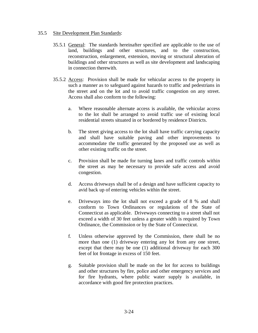### 35.5 Site Development Plan Standards:

- 35.5.1 General: The standards hereinafter specified are applicable to the use of land, buildings and other structures, and to the construction, reconstruction, enlargement, extension, moving or structural alteration of buildings and other structures as well as site development and landscaping in connection therewith.
- 35.5.2 Access: Provision shall be made for vehicular access to the property in such a manner as to safeguard against hazards to traffic and pedestrians in the street and on the lot and to avoid traffic congestion on any street. Access shall also conform to the following:
	- a. Where reasonable alternate access is available, the vehicular access to the lot shall be arranged to avoid traffic use of existing local residential streets situated in or bordered by residence Districts.
	- b. The street giving access to the lot shall have traffic carrying capacity and shall have suitable paving and other improvements to accommodate the traffic generated by the proposed use as well as other existing traffic on the street.
	- c. Provision shall be made for turning lanes and traffic controls within the street as may be necessary to provide safe access and avoid congestion.
	- d. Access driveways shall be of a design and have sufficient capacity to avid back up of entering vehicles within the street.
	- e. Driveways into the lot shall not exceed a grade of 8 % and shall conform to Town Ordinances or regulations of the State of Connecticut as applicable. Driveways connecting to a street shall not exceed a width of 30 feet unless a greater width is required by Town Ordinance, the Commission or by the State of Connecticut.
	- f. Unless otherwise approved by the Commission, there shall be no more than one (1) driveway entering any lot from any one street, except that there may be one (1) additional driveway for each 300 feet of lot frontage in excess of 150 feet.
	- g. Suitable provision shall be made on the lot for access to buildings and other structures by fire, police and other emergency services and for fire hydrants, where public water supply is available, in accordance with good fire protection practices.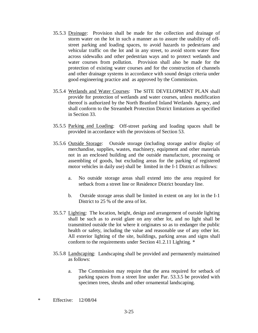- 35.5.3 Drainage: Provision shall be made for the collection and drainage of storm water on the lot in such a manner as to assure the usability of offstreet parking and loading spaces, to avoid hazards to pedestrians and vehicular traffic on the lot and in any street, to avoid storm water flow across sidewalks and other pedestrian ways and to protect wetlands and water courses from pollution. Provision shall also be made for the protection of existing water courses and for the construction of channels and other drainage systems in accordance with sound design criteria under good engineering practice and as approved by the Commission.
- 35.5.4 Wetlands and Water Courses: The SITE DEVELOPMENT PLAN shall provide for protection of wetlands and water courses, unless modification thereof is authorized by the North Branford Inland Wetlands Agency, and shall conform to the Streambelt Protection District limitations as specified in Section 33.
- 35.5.5 Parking and Loading: Off-street parking and loading spaces shall be provided in accordance with the provisions of Section 53.
- 35.5.6 Outside Storage: Outside storage (including storage and/or display of merchandise, supplies, wastes, machinery, equipment and other materials not in an enclosed building and the outside manufacture, processing or assembling of goods, but excluding areas for the parking of registered motor vehicles in daily use) shall be limited in the I-1 District as follows:
	- a. No outside storage areas shall extend into the area required for setback from a street line or Residence District boundary line.
	- b. Outside storage areas shall be limited in extent on any lot in the I-1 District to 25 % of the area of lot.
- 35.5.7 Lighting: The location, height, design and arrangement of outside lighting shall be such as to avoid glare on any other lot, and no light shall be transmitted outside the lot where it originates so as to endanger the public health or safety, including the value and reasonable use of any other lot. All exterior lighting of the site, buildings, parking areas and signs shall conform to the requirements under Section 41.2.11 Lighting. \*
- 35.5.8 Landscaping: Landscaping shall be provided and permanently maintained as follows:
	- a. The Commission may require that the area required for setback of parking spaces from a street line under Par. 53.3.5 be provided with specimen trees, shrubs and other ornamental landscaping.
- \* Effective: 12/08/04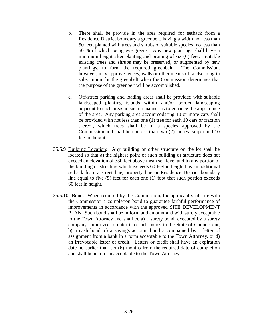- b. There shall be provide in the area required for setback from a Residence District boundary a greenbelt, having a width not less than 50 feet, planted with trees and shrubs of suitable species, no less than 50 % of which being evergreens. Any new plantings shall have a minimum height after planting and pruning of six (6) feet. Suitable existing trees and shrubs may be preserved, or augmented by new plantings, to form the required greenbelt. The Commission, however, may approve fences, walls or other means of landscaping in substitution for the greenbelt when the Commission determines that the purpose of the greenbelt will be accomplished.
- c. Off-street parking and loading areas shall be provided with suitable landscaped planting islands within and/or border landscaping adjacent to such areas in such a manner as to enhance the appearance of the area. Any parking area accommodating 10 or more cars shall be provided with not less than one (1) tree for each 10 cars or fraction thereof, which trees shall be of a species approved by the Commission and shall be not less than two (2) inches caliper and 10 feet in height.
- 35.5.9 Building Location: Any building or other structure on the lot shall be located so that a) the highest point of such building or structure does not exceed an elevation of 330 feet above mean sea level and b) any portion of the building or structure which exceeds 60 feet in height has an additional setback from a street line, property line or Residence District boundary line equal to five (5) feet for each one (1) foot that such portion exceeds 60 feet in height.
- 35.5.10 Bond: When required by the Commission, the applicant shall file with the Commission a completion bond to guarantee faithful performance of improvements in accordance with the approved SITE DEVELOPMENT PLAN. Such bond shall be in form and amount and with surety acceptable to the Town Attorney and shall be a) a surety bond, executed by a surety company authorized to enter into such bonds in the State of Connecticut, b) a cash bond, c) a savings account bond accompanied by a letter of assignment from a bank in a form acceptable to the Town Attorney, or d) an irrevocable letter of credit. Letters or credit shall have an expiration date no earlier than six (6) months from the required date of completion and shall be in a form acceptable to the Town Attorney.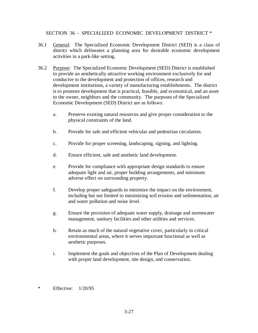SECTION 36 - SPECIALIZED ECONOMIC DEVELOPMENT DISTRICT \*

- 36.1 General: The Specialized Economic Development District (SED) is a class of district which delineates a planning area for desirable economic development activities in a park-like setting.
- 36.2 Purpose: The Specialized Economic Development (SED) District is established to provide an aesthetically attractive working environment exclusively for and conducive to the development and protection of offices, research and development institutions, a variety of manufacturing establishments. The district is to promote development that is practical, feasible, and economical, and an asset to the owner, neighbors and the community. The purposes of the Specialized Economic Development (SED) District are as follows:
	- a. Preserve existing natural resources and give proper consideration to the physical constraints of the land.
	- b. Provide for safe and efficient vehicular and pedestrian circulation.
	- c. Provide for proper screening, landscaping, signing, and lighting.
	- d. Ensure efficient, safe and aesthetic land development.
	- e. Provide for compliance with appropriate design standards to ensure adequate light and air, proper building arrangements, and minimum adverse effect on surrounding property.
	- f. Develop proper safeguards to minimize the impact on the environment, including but not limited to minimizing soil erosion and sedimentation, air and water pollution and noise level.
	- g. Ensure the provision of adequate water supply, drainage and stormwater management, sanitary facilities and other utilities and services.
	- h. Retain as much of the natural vegetative cover, particularly in critical environmental areas, where it serves important functional as well as aesthetic purposes.
	- i. Implement the goals and objectives of the Plan of Development dealing with proper land development, site design, and conservation.
- \* Effective: 1/20/95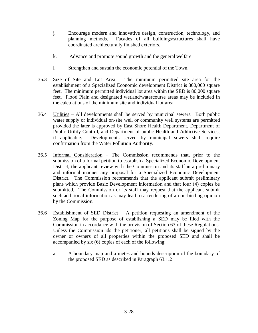- j. Encourage modern and innovative design, construction, technology, and planning methods. Facades of all buildings/structures shall have coordinated architecturally finished exteriors.
- k. Advance and promote sound growth and the general welfare.
- l. Strengthen and sustain the economic potential of the Town.
- 36.3 Size of Site and Lot Area  $-$  The minimum permitted site area for the establishment of a Specialized Economic development District is 800,000 square feet. The minimum permitted individual lot area within the SED is 80,000 square feet. Flood Plain and designated wetland/watercourse areas may be included in the calculations of the minimum site and individual lot area.
- 36.4 Utilities All developments shall be served by municipal sewers. Both public water supply or individual on-site well or community well systems are permitted provided the later is approved by East Shore Health Department, Department of Public Utility Control, and Department of public Health and Addictive Services, if applicable. Developments served by municipal sewers shall require confirmation from the Water Pollution Authority.
- 36.5 Informal Consideration ± The Commission recommends that, prior to the submission of a formal petition to establish a Specialized Economic Development District, the applicant review with the Commission and its staff in a preliminary and informal manner any proposal for a Specialized Economic Development District. The Commission recommends that the applicant submit preliminary plans which provide Basic Development information and that four (4) copies be submitted. The Commission or its staff may request that the applicant submit such additional information as may lead to a rendering of a non-binding opinion by the Commission.
- 36.6 Establishment of SED District  $-$  A petition requesting an amendment of the Zoning Map for the purpose of establishing a SED may be filed with the Commission in accordance with the provision of Section 63 of these Regulations. Unless the Commission ids the petitioner, all petitions shall be signed by the owner or owners of all properties within the proposed SED and shall be accompanied by six (6) copies of each of the following:
	- a. A boundary map and a metes and bounds description of the boundary of the proposed SED as described in Paragraph 63.1.2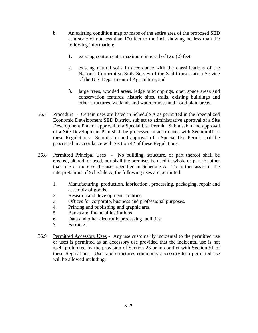- b. An existing condition map or maps of the entire area of the proposed SED at a scale of not less than 100 feet to the inch showing no less than the following information:
	- 1. existing contours at a maximum interval of two (2) feet;
	- 2. existing natural soils in accordance with the classifications of the National Cooperative Soils Survey of the Soil Conservation Service of the U.S. Department of Agriculture; and
	- 3. large trees, wooded areas, ledge outcroppings, open space areas and conservation features, historic sites, trails, existing buildings and other structures, wetlands and watercourses and flood plain areas.
- 36.7 Procedure Certain uses are listed in Schedule A as permitted in the Specialized Economic Development SED District, subject to administrative approval of a Site Development Plan or approval of a Special Use Permit. Submission and approval of a Site Development Plan shall be processed in accordance with Section 41 of these Regulations. Submission and approval of a Special Use Permit shall be processed in accordance with Section 42 of these Regulations.
- 36.8 Permitted Principal Uses No building, structure, or part thereof shall be erected, altered, or used, nor shall the premises be used in whole or part for other than one or more of the uses specified in Schedule A. To further assist in the interpretations of Schedule A, the following uses are permitted:
	- 1. Manufacturing, production, fabrication., processing, packaging, repair and assembly of goods.
	- 2. Research and development facilities.
	- 3. Offices for corporate, business and professional purposes.
	- 4. Printing and publishing and graphic arts.
	- 5. Banks and financial institutions.
	- 6. Data and other electronic processing facilities.
	- 7. Farming.
- 36.9 Permitted Accessory Uses Any use customarily incidental to the permitted use or uses is permitted as an accessory use provided that the incidental use is not itself prohibited by the provision of Section 23 or in conflict with Section 51 of these Regulations. Uses and structures commonly accessory to a permitted use will be allowed including: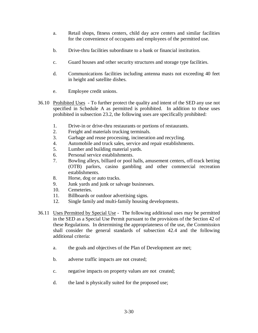- a. Retail shops, fitness centers, child day acre centers and similar facilities for the convenience of occupants and employees of the permitted use.
- b. Drive-thru facilities subordinate to a bank or financial institution.
- c. Guard houses and other security structures and storage type facilities.
- d. Communications facilities including antenna masts not exceeding 40 feet in height and satellite dishes.
- e. Employee credit unions.
- 36.10 Prohibited Uses To further protect the quality and intent of the SED any use not specified in Schedule A as permitted is prohibited. In addition to those uses prohibited in subsection 23.2, the following uses are specifically prohibited:
	- 1. Drive-in or drive-thru restaurants or portions of restaurants.
	- 2. Freight and materials trucking terminals.
	- 3. Garbage and reuse processing, incineration and recycling.
	- 4. Automobile and truck sales, service and repair establishments.
	- 5. Lumber and building material yards.
	- 6. Personal service establishments.
	- 7. Bowling alleys, billiard or pool halls, amusement centers, off-track betting (OTB) parlors, casino gambling and other commercial recreation establishments.
	- 8. Horse, dog or auto tracks.
	- 9. Junk yards and junk or salvage businesses.
	- 10. Cemeteries.
	- 11. Billboards or outdoor advertising signs.
	- 12. Single family and multi-family housing developments.
- 36.11 Uses Permitted by Special Use The following additional uses may be permitted in the SED as a Special Use Permit pursuant to the provisions of the Section 42 of these Regulations. In determining the appropriateness of the use, the Commission shall consider the general standards of subsection 42.4 and the following additional criteria:
	- a. the goals and objectives of the Plan of Development are met;
	- b. adverse traffic impacts are not created;
	- c. negative impacts on property values are not created;
	- d. the land is physically suited for the proposed use;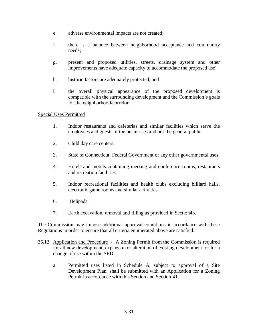- e. adverse environmental impacts are not created;
- f. there is a balance between neighborhood acceptance and community needs;
- g. present and proposed utilities, streets, drainage system and other improvements have adequate capacity to accommodate the proposed use'
- h. historic factors are adequately protected; and
- i. the overall physical appearance of the proposed development is compatible with the surrounding development and the Commission's goals for the neighborhood/corridor.

## Special Uses Permitted

- 1. Indoor restaurants and cafeterias and similar facilities which serve the employees and guests of the businesses and not the general public.
- 2. Child day care centers.
- 3. State of Connecticut, Federal Government or any other governmental uses.
- 4. Hotels and motels containing meeting and conference rooms, restaurants and recreation facilities.
- 5. Indoor recreational facilities and health clubs excluding billiard halls, electronic game rooms and similar activities.
- 6. Helipads.
- 7. Earth excavation, removal and filling as provided in Section43.

The Commission may impose additional approval conditions in accordance with these Regulations in order to ensure that all criteria enumerated above are satisfied.

- 36.12 Application and Procedure A Zoning Permit from the Commission is required for all new development, expansion or alteration of existing development, or for a change of use within the SED.
	- a. Permitted uses listed in Schedule A, subject to approval of a Site Development Plan, shall be submitted with an Application for a Zoning Permit in accordance with this Section and Section 41.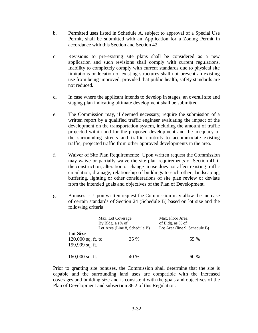- b. Permitted uses listed in Schedule A, subject to approval of a Special Use Permit, shall be submitted with an Application for a Zoning Permit in accordance with this Section and Section 42.
- c. Revisions to pre-existing site plans shall be considered as a new application and such revisions shall comply with current regulations. Inability to completely comply with current standards due to physical site limitations or location of existing structures shall not prevent an existing use from being improved, provided that public health, safety standards are not reduced.
- d. In case where the applicant intends to develop in stages, an overall site and staging plan indicating ultimate development shall be submitted.
- e. The Commission may, if deemed necessary, require the submission of a written report by a qualified traffic engineer evaluating the impact of the development on the transportation system, including the amount of traffic projected within and for the proposed development and the adequacy of the surrounding streets and traffic controls to accommodate existing traffic, projected traffic from other approved developments in the area.
- f. Waiver of Site Plan Requirements: Upon written request the Commission may waive or partially waive the site plan requirements of Section 41 if the construction, alteration or change in use does not affect existing traffic circulation, drainage, relationship of buildings to each other, landscaping, buffering, lighting or other considerations of site plan review or deviate from the intended goals and objectives of the Plan of Development.
- g. Bonuses Upon written request the Commission may allow the increase of certain standards of Section 24 (Schedule B) based on lot size and the following criteria:

|                                                            | Max. Lot Coverage<br>By Bldg. a s% of<br>Lot Area (Line 8, Schedule B) | Max. Floor Area<br>of Bldg. as % of<br>Lot Area (line 9, Schedule B) |
|------------------------------------------------------------|------------------------------------------------------------------------|----------------------------------------------------------------------|
| <b>Lot Size</b><br>$120,000$ sq. ft. to<br>159,999 sq. ft. | 35 %                                                                   | 55 %                                                                 |
| $160,000$ sq. ft.                                          | 40 %                                                                   | 60 %                                                                 |

Prior to granting site bonuses, the Commission shall determine that the site is capable and the surrounding land uses are compatible with the increased coverages and building size and is consistent with the goals and objectives of the Plan of Development and subsection 36.2 of this Regulation.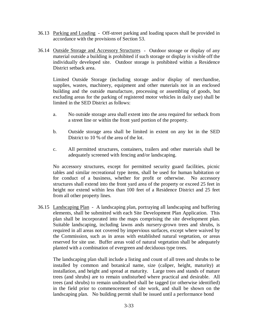- 36.13 Parking and Loading Off-street parking and loading spaces shall be provided in accordance with the provisions of Section 53.
- 36.14 Outside Storage and Accessory Structures Outdoor storage or display of any material outside a building is prohibited if such storage or display is visible off the individually developed site. Outdoor storage is prohibited within a Residence District setback area.

 Limited Outside Storage (including storage and/or display of merchandise, supplies, wastes, machinery, equipment and other materials not in an enclosed building and the outside manufacture, processing or assembling of goods, but excluding areas for the parking of registered motor vehicles in daily use) shall be limited in the SED District as follows:

- a. No outside storage area shall extent into the area required for setback from a street line or within the front yard portion of the property.
- b. Outside storage area shall be limited in extent on any lot in the SED District to 10 % of the area of the lot.
- c. All permitted structures, containers, trailers and other materials shall be adequately screened with fencing and/or landscaping.

No accessory structures, except for permitted security guard facilities, picnic tables and similar recreational type items, shall be used for human habitation or for conduct of a business, whether for profit or otherwise. No accessory structures shall extend into the front yard area of the property or exceed 25 feet in height nor extend within less than 100 feet of a Residence District and 25 feet from all other property lines.

36.15 Landscaping Plan - A landscaping plan, portraying all landscaping and buffering elements, shall be submitted with each Site Development Plan Application. This plan shall be incorporated into the maps comprising the site development plan. Suitable landscaping, including lawns ands nursery-grown trees and shrubs, is required in all areas not covered by impervious surfaces, except where waived by the Commission, such as in areas with established natural vegetation, or areas reserved for site use. Buffer areas void of natural vegetation shall be adequately planted with a combination of evergreen and deciduous type trees.

 The landscaping plan shall include a listing and count of all trees and shrubs to be installed by common and botanical name, size (caliper, height, maturity) at installation, and height and spread at maturity. Large trees and stands of mature trees (and shrubs) are to remain undisturbed where practical and desirable. All trees (and shrubs) to remain undisturbed shall be tagged (or otherwise identified) in the field prior to commencement of site work, and shall be shown on the landscaping plan. No building permit shall be issued until a performance bond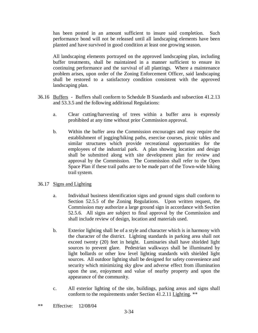has been posted in an amount sufficient to insure said completion. Such performance bond will not be released until all landscaping elements have been planted and have survived in good condition at least one growing season.

 All landscaping elements portrayed on the approved landscaping plan, including buffer treatments, shall be maintained in a manner sufficient to ensure its continuing performance and the survival of all plantings. Where a maintenance problem arises, upon order of the Zoning Enforcement Officer, said landscaping shall be restored to a satisfactory condition consistent with the approved landscaping plan.

- 36.16 Buffers Buffers shall conform to Schedule B Standards and subsection 41.2.13 and 53.3.5 and the following additional Regulations:
	- a. Clear cutting/harvesting of trees within a buffer area is expressly prohibited at any time without prior Commission approval.
	- b. Within the buffer area the Commission encourages and may require the establishment of jogging/hiking paths, exercise courses, picnic tables and similar structures which provide recreational opportunities for the employees of the industrial park. A plan showing location and design shall be submitted along with site development plan for review and approval by the Commission. The Commission shall refer to the Open Space Plan if these trail paths are to be made part of the Town-wide hiking trail system.

## 36.17 Signs and Lighting

- a. Individual business identification signs and ground signs shall conform to Section 52.5.5 of the Zoning Regulations. Upon written request, the Commission may authorize a large ground sign in accordance with Section 52.5.6. All signs are subject to final approval by the Commission and shall include review of design, location and materials used.
- b. Exterior lighting shall be of a style and character which is in harmony with the character of the district. Lighting standards in parking area shall not exceed twenty (20) feet in height. Luminaries shall have shielded light sources to prevent glare. Pedestrian walkways shall be illuminated by light bollards or other low level lighting standards with shielded light sources. All outdoor lighting shall be designed for safety convenience and security which minimizing sky glow and adverse effect from illumination upon the use, enjoyment and value of nearby property and upon the appearance of the community.
- c. All exterior lighting of the site, buildings, parking areas and signs shall conform to the requirements under Section 41.2.11 Lighting. \*\*
- \*\* Effective: 12/08/04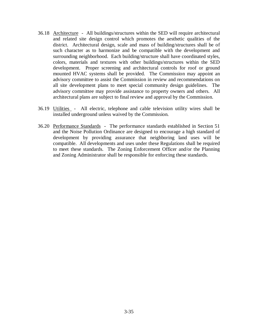- 36.18 Architecture All buildings/structures within the SED will require architectural and related site design control which promotes the aesthetic qualities of the district. Architectural design, scale and mass of building/structures shall be of such character as to harmonize and be compatible with the development and surrounding neighborhood. Each building/structure shall have coordinated styles, colors, materials and textures with other buildings/structures within the SED development. Proper screening and architectural controls for roof or ground mounted HVAC systems shall be provided. The Commission may appoint an advisory committee to assist the Commission in review and recommendations on all site development plans to meet special community design guidelines. The advisory committee may provide assistance to property owners and others. All architectural plans are subject to final review and approval by the Commission.
- 36.19 Utilities All electric, telephone and cable television utility wires shall be installed underground unless waived by the Commission.
- 36.20 Performance Standards The performance standards established in Section 51 and the Noise Pollution Ordinance are designed to encourage a high standard of development by providing assurance that neighboring land uses will be compatible. All developments and uses under these Regulations shall be required to meet these standards. The Zoning Enforcement Officer and/or the Planning and Zoning Administrator shall be responsible for enforcing these standards.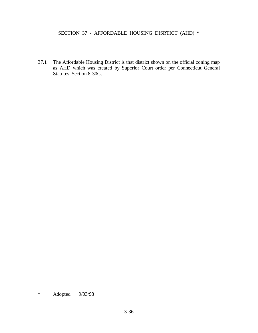# SECTION 37 - AFFORDABLE HOUSING DISRTICT (AHD) \*

37.1 The Affordable Housing District is that district shown on the official zoning map as AHD which was created by Superior Court order per Connecticut General Statutes, Section 8-30G.

<sup>\*</sup> Adopted 9/03/98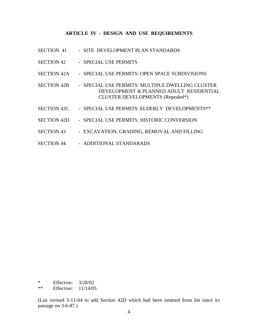#### **ARTICLE IV - DESIGN AND USE REQUIREMENTS**

- SECTION 41 SITE DEVELOPMENT PLAN STANDARDS
- SECTION 42 SPECIAL USE PERMITS
- SECTION 42A SPECIAL USE PERMITS: OPEN SPACE SUBDIVISIONS
- SECTION 42B SPECIAL USE PERMITS: MULTIPLE DWELLING CLUSTER DEVELOPMENT & PLANNED ADULT RESIDENTIAL CLUSTER DEVELOPMENTS (Repealed\*)
- SECTION 42C SPECIAL USE PERMITS: ELDERLY DEVELOPMENTS\*\*
- SECTION 42D SPECIAL USE PERMITS: HISTORIC CONVERSION
- SECTION 43 EXCAVATION, GRADING, REMOVAL AND FILLING
- SECTION 44 ADDITIONAL STANDARADS

\* Effective: 3/28/02

\*\* Effective: 11/14/05

(List revised 3-11-04 to add Section 42D which had been omitted from list since its passage on 3-6-87.)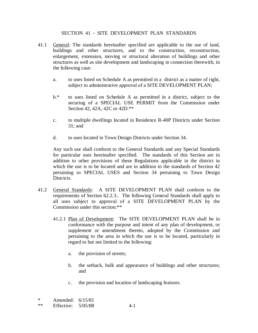### SECTION 41 - SITE DEVELOPMENT PLAN STANDARDS

- 41.1 General: The standards hereinafter specified are applicable to the use of land, buildings and other structures, and to the construction, reconstruction, enlargement, extension, moving or structural alteration of buildings and other structures as well as site development and landscaping in connection therewith, in the following case:
	- a. to uses listed on Schedule A as permitted in a district as a matter of right, subject to administrative approval of a SITE DEVELOPMENT PLAN;
	- b.\* to uses listed on Schedule A as permitted in a district, subject to the securing of a SPECIAL USE PERMIT from the Commission under Section 42, 42A, 42C or 42D.\*\*
	- c. to multiple dwellings located in Residence R-40P Districts under Section 31; and
	- d. to uses located in Town Design Districts under Section 34.

Any such use shall conform to the General Standards and any Special Standards for particular uses hereinafter specified. The standards of this Section are in addition to other provisions of these Regulations applicable in the district in which the use is to be located and are in addition to the standards of Section 42 pertaining to SPECIAL USES and Section 34 pertaining to Town Design Districts.

- 41.2 General Standards: A SITE DEVELOPMENT PLAN shall conform to the requirements of Section 62.2.3.. The following General Standards shall apply to all uses subject to approval of a SITE DEVELOPMENT PLAN by the Commission under this section:\*\*
	- 41.2.1 Plan of Development: The SITE DEVELOPMENT PLAN shall be in conformance with the purpose and intent of any plan of development, or supplement or amendment thereto, adopted by the Commission and pertaining to the area in which the use is to be located, particularly in regard to but not limited to the following:
		- a. the provision of streets;
		- b. the setback, bulk and appearance of buildings and other structures; and
		- c. the provision and location of landscaping features.

| ∗  | Amended: 6/15/81     |       |
|----|----------------------|-------|
| ** | Effective: $5/05/88$ | $4-1$ |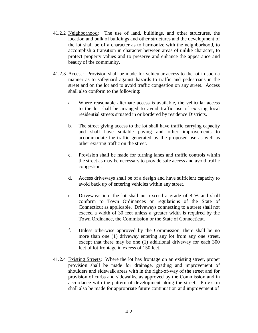- 41.2.2 Neighborhood: The use of land, buildings, and other structures, the location and bulk of buildings and other structures and the development of the lot shall be of a character as to harmonize with the neighborhood, to accomplish a transition in character between areas of unlike character, to protect property values and to preserve and enhance the appearance and beauty of the community.
- 41.2.3 Access: Provision shall be made for vehicular access to the lot in such a manner as to safeguard against hazards to traffic and pedestrians in the street and on the lot and to avoid traffic congestion on any street. Access shall also conform to the following:
	- a. Where reasonable alternate access is available, the vehicular access to the lot shall be arranged to avoid traffic use of existing local residential streets situated in or bordered by residence Districts.
	- b. The street giving access to the lot shall have traffic carrying capacity and shall have suitable paving and other improvements to accommodate the traffic generated by the proposed use as well as other existing traffic on the street.
	- c. Provision shall be made for turning lanes and traffic controls within the street as may be necessary to provide safe access and avoid traffic congestion.
	- d. Access driveways shall be of a design and have sufficient capacity to avoid back up of entering vehicles within any street.
	- e. Driveways into the lot shall not exceed a grade of 8 % and shall conform to Town Ordinances or regulations of the State of Connecticut as applicable. Driveways connecting to a street shall not exceed a width of 30 feet unless a greater width is required by the Town Ordinance, the Commission or the State of Connecticut.
	- f. Unless otherwise approved by the Commission, there shall be no more than one (1) driveway entering any lot from any one street, except that there may be one (1) additional driveway for each 300 feet of lot frontage in excess of 150 feet.
- 41.2.4 Existing Streets: Where the lot has frontage on an existing street, proper provision shall be made for drainage, grading and improvement of shoulders and sidewalk areas with in the right-of-way of the street and for provision of curbs and sidewalks, as approved by the Commission and in accordance with the pattern of development along the street. Provision shall also be made for appropriate future continuation and improvement of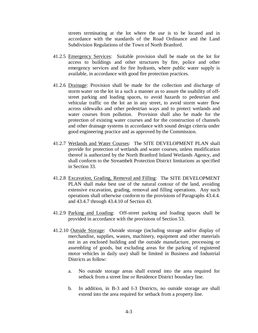streets terminating at the lot where the use is to be located and in accordance with the standards of the Road Ordinance and the Land Subdivision Regulations of the Town of North Branford.

- 41.2.5 Emergency Services: Suitable provision shall be made on the lot for access to buildings and other structures by fire, police and other emergency services and for fire hydrants, where public water supply is available, in accordance with good fire protection practices.
- 41.2.6 Drainage: Provision shall be made for the collection and discharge of storm water on the lot in a such a manner as to assure the usability of offstreet parking and loading spaces, to avoid hazards to pedestrian and vehicular traffic on the lot an in any street, to avoid storm water flow across sidewalks and other pedestrian ways and to protect wetlands and water courses from pollution. Provision shall also be made for the protection of existing water courses and for the construction of channels and other drainage systems in accordance with sound design criteria under good engineering practice and as approved by the Commission.
- 41.2.7 Wetlands and Water Courses: The SITE DEVELOPMENT PLAN shall provide for protection of wetlands and water courses, unless modification thereof is authorized by the North Branford Inland Wetlands Agency, and shall conform to the Streambelt Protection District limitations as specified in Section 33.
- 41.2.8 Excavation, Grading, Removal and Filling: The SITE DEVELOPMENT PLAN shall make best use of the natural contour of the land, avoiding extensive excavation, grading, removal and filling operations. Any such operations shall otherwise conform to the provisions of Paragraphs 43.4.4. and 43.4.7 through 43.4.10 of Section 43.
- 41.2.9 Parking and Loading: Off-street parking and loading spaces shall be provided in accordance with the provisions of Section 53.
- 41.2.10 Outside Storage: Outside storage (including storage and/or display of merchandise, supplies, wastes, machinery, equipment and other materials not in an enclosed building and the outside manufacture, processing or assembling of goods, but excluding areas for the parking of registered motor vehicles in daily use) shall be limited in Business and Industrial Districts as follow:
	- a. No outside storage areas shall extend into the area required for setback from a street line or Residence District boundary line.
	- b. In addition, in B-3 and I-3 Districts, no outside storage are shall extend into the area required for setback from a property line.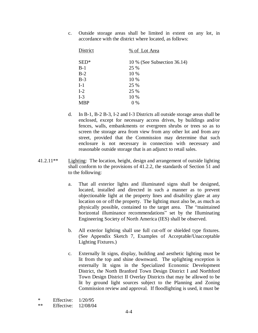c. Outside storage areas shall be limited in extent on any lot, in accordance with the district where located, as follows:

| District      | % of Lot Area               |
|---------------|-----------------------------|
| $\text{SED*}$ | 10 % (See Subsection 36.14) |
| $B-1$         | 25 %                        |
| $B-2$         | 10 %                        |
| $B-3$         | 10 %                        |
| $I-1$         | 25 %                        |
| $I-2$         | 25 %                        |
| $I-3$         | 10 %                        |
| <b>MBP</b>    | $0\%$                       |
|               |                             |

- d. In B-1, B-2 B-3, I-2 and I-3 Districts all outside storage areas shall be enclosed, except for necessary access drives, by buildings and/or fences, walls, embankments or evergreen shrubs or trees so as to screen the storage area from view from any other lot and from any street, provided that the Commission may determine that such enclosure is not necessary in connection with necessary and reasonable outside storage that is an adjunct to retail sales.
- 41.2.11\*\* Lighting: The location, height, design and arrangement of outside lighting shall conform to the provisions of 41.2.2, the standards of Section 51 and to the following:
	- a. That all exterior lights and illuminated signs shall be designed, located, installed and directed in such a manner as to prevent objectionable light at the property lines and disability glare at any location on or off the property. The lighting must also be, as much as physically possible, contained to the target area. The "maintained" horizontal illuminance recommendations" set by the Illuminating Engineering Society of North America (IES) shall be observed.
	- b. All exterior lighting shall use full cut-off or shielded type fixtures. (See Appendix Sketch 7, Examples of Acceptable/Unacceptable Lighting Fixtures.)
	- c. Externally lit signs, display, building and aesthetic lighting must be lit from the top and shine downward. The uplighting exception is externally lit signs in the Specialized Economic Development District, the North Branford Town Design District I and Northford Town Design District II Overlay Districts that may be allowed to be lit by ground light sources subject to the Planning and Zoning Commission review and approval. If floodlighting is used, it must be

\* Effective: 1/20/95

\*\* Effective: 12/08/04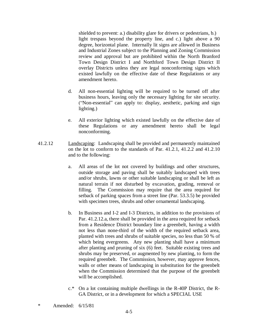shielded to prevent: a.) disability glare for drivers or pedestrians, b.) light trespass beyond the property line, and c.) light above a 90 degree, horizontal plane. Internally lit signs are allowed in Business and Industrial Zones subject to the Planning and Zoning Commission review and approval but are prohibited within the North Branford Town Design District I and Northford Town Design District II overlay Districts unless they are legal nonconforming signs which existed lawfully on the effective date of these Regulations or any amendment hereto.

- d. All non-essential lighting will be required to be turned off after business hours, leaving only the necessary lighting for site security. ("Non-essential" can apply to: display, aesthetic, parking and sign lighting.)
- e. All exterior lighting which existed lawfully on the effective date of these Regulations or any amendment hereto shall be legal nonconforming.
- 41.2.12 Landscaping: Landscaping shall be provided and permanently maintained on the lot to conform to the standards of Par. 41.2.1, 41.2.2 and 41.2.10 and to the following:
	- a. All areas of the lot not covered by buildings and other structures, outside storage and paving shall be suitably landscaped with trees and/or shrubs, lawns or other suitable landscaping or shall be left as natural terrain if not disturbed by excavation, grading, removal or filling. The Commission may require that the area required for setback of parking spaces from a street line (Par. 53.3.5) be provided with specimen trees, shrubs and other ornamental landscaping.
	- b. In Business and I-2 and I-3 Districts, in addition to the provisions of Par. 41.2.12.a, there shall be provided in the area required for setback from a Residence District boundary line a greenbelt, having a width not less than none-third of the width of the required setback area, planted with trees and shrubs of suitable species, no less than 50 % of which being evergreens. Any new planting shall have a minimum after planting and pruning of six (6) feet. Suitable existing trees and shrubs may be preserved, or augmented by new planting, to form the required greenbelt. The Commission, however, may approve fences, walls or other means of landscaping in substitution for the greenbelt when the Commission determined that the purpose of the greenbelt will be accomplished.
	- c.\* On a lot containing multiple dwellings in the R-40P District, the R-GA District, or in a development for which a SPECIAL USE

<sup>\*</sup> Amended: 6/15/81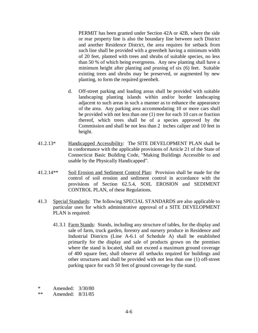PERMIT has been granted under Section 42A or 42B, where the side or rear property line is also the boundary line between such District and another Residence District, the area requires for setback from such line shall be provided with a greenbelt having a minimum width of 20 feet, planted with trees and shrubs of suitable species, no less than 50 % of which being evergreens. Any new planting shall have a minimum height after planting and pruning of six (6) feet. Suitable existing trees and shrubs may be preserved, or augmented by new planting, to form the required greenbelt.

- d. Off-street parking and loading areas shall be provided with suitable landscaping planting islands within and/or border landscaping adjacent to such areas in such a manner as to enhance the appearance of the area. Any parking area accommodating 10 or more cars shall be provided with not less than one (1) tree for each 10 cars or fraction thereof, which trees shall be of a species approved by the Commission and shall be not less than 2 inches caliper and 10 feet in height.
- 41.2.13\* Handicapped Accessibility: The SITE DEVELOPMENT PLAN shall be in conformance with the applicable provisions of Article 21 of the State of Connecticut Basic Building Code, "Making Buildings Accessible to and usable by the Physically Handicapped´.
- 41.2.14\*\* Soil Erosion and Sediment Control Plan: Provision shall be made for the control of soil erosion and sediment control in accordance with the provisions of Section 62.5.4, SOIL EROSION and SEDIMENT CONTROL PLAN, of these Regulations.
- 41.3 Special Standards: The following SPECIAL STANDARDS are also applicable to particular uses for which administrative approval of a SITE DEVELOPMENT PLAN is required:
	- 41.3.1 Farm Stands: Stands, including any structure of tables, for the display and sale of farm, truck garden, forestry and nursery produce in Residence and Industrial Districts (Line A-6.1 of Schedule A) shall be established primarily for the display and sale of products grown on the premises where the stand is located, shall not exceed a maximum ground coverage of 400 square feet, shall observe all setbacks required for buildings and other structures and shall be provided with not less than one (1) off-street parking space for each 50 feet of ground coverage by the stand.

\* Amended:  $3/30/80$ <br>\*\* Amended:  $8/31/85$ 

Amended: 8/31/85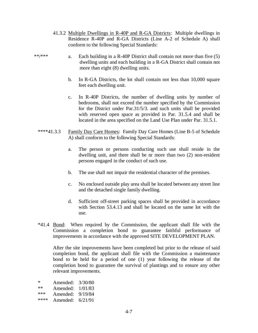- 41.3.2 Multiple Dwellings in R-40P and R-GA Districts: Multiple dwellings in Residence R-40P and R-GA Districts (Line A-2 of Schedule A) shall conform to the following Special Standards:
- \*\*/\*\*\* a. Each building in a R-40P District shall contain not more than five (5) dwelling units and each building in a R-GA District shall contain not more than eight (8) dwelling units.
	- b. In R-GA Districts, the lot shall contain not less than 10,000 square feet each dwelling unit.
	- c. In R-40P Districts, the number of dwelling units by number of bedrooms, shall not exceed the number specified by the Commission for the District under Par.31/5/3. and such units shall be provided with reserved open space as provided in Par. 31.5.4 and shall be located in the area specified on the Land Use Plan under Par. 31.5.1.
	- \*\*\*\*41.3.3 Family Day Care Homes: Family Day Care Homes (Line B-5 of Schedule A) shall conform to the following Special Standards:
		- a. The person or persons conducting such use shall reside in the dwelling unit, and there shall be nr more than two (2) non-resident persons engaged in the conduct of such use.
		- b. The use shall not impair the residential character of the premises.
		- c. No enclosed outside play area shall be located between any street line and the detached single family dwelling.
		- d. Sufficient off-street parking spaces shall be provided in accordance with Section 53.4.13 and shall be located on the same lot with the use.
	- \*41.4 Bond: When required by the Commission, the applicant shall file with the Commission a completion bond to guarantee faithful performance of improvements in accordance with the approved SITE DEVELOPMENT PLAN.

 After the site improvements have been completed but prior to the release of said completion bond, the applicant shall file with the Commission a maintenance bond to be held for a period of one (1) year following the release of the completion bond to guarantee the survival of plantings and to ensure any other relevant improvements.

\* Amended: 3/30/80 \*\* Amended:  $1/01/83$ <br>\*\*\* Amended:  $9/19/84$ Amended: 9/19/84 \*\*\*\* Amended: 6/21/91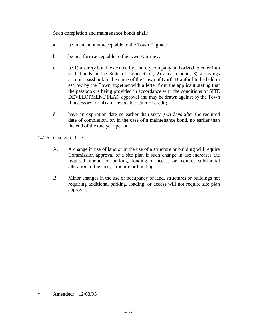Such completion and maintenance bonds shall:

- a. be in an amount acceptable to the Town Engineer;
- b. be in a form acceptable to the town Attorney;
- c. be 1) a surety bond, executed by a surety company authorized to enter into such bonds in the State of Connecticut; 2) a cash bond; 3) a savings account passbook in the name of the Town of North Branford to be held in escrow by the Town, together with a letter from the applicant stating that the passbook is being provided in accordance with the conditions of SITE DEVELOPMENT PLAN approval and may be drawn against by the Town if necessary; or 4) an irrevocable letter of credit;
- d. have an expiration date no earlier than sixty (60) days after the required date of completion, or, in the case of a maintenance bond, no earlier than the end of the one year period.
- \*41.5 Change in Use:
	- A. A change in use of land or in the use of a structure or building will require Commission approval of a site plan if such change in use increases the required amount of parking, loading or access or requires substantial alteration to the land, structure or building.
	- B. Minor changes in the use or occupancy of land, structures or buildings not requiring additional parking, loading, or access will not require site plan approval.

<sup>\*</sup> Amended: 12/03/93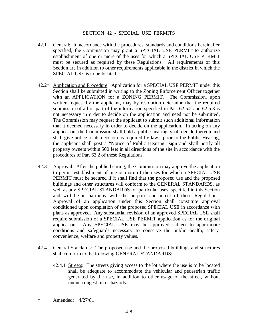#### SECTION 42 - SPECIAL USE PERMITS

- 42.1 General: In accordance with the procedures, standards and conditions hereinafter specified, the Commission may grant a SPECIAL USE PERMIT to authorize establishment of one or more of the uses for which a SPECIAL USE PERMIT must be secured as required by these Regulations. All requirements of this Section are in addition to other requirements applicable in the district in which the SPECIAL USE is to be located.
- 42.2\* Application and Procedure: Application for a SPECIAL USE PERMIT under this Section shall be submitted in writing to the Zoning Enforcement Officer together with an APPLICATION for a ZONING PERMIT. The Commission, upon written request by the applicant, may by resolution determine that the required submission of all or part of the information specified in Par. 62.5.2 and 62.5.3 is not necessary in order to decide on the application and need not be submitted. The Commission may request the applicant to submit such additional information that it deemed necessary in order to decide on the application. In acting on any application, the Commission shall hold a public hearing, shall decide thereon and shall give notice of its decision as required by law, prior to the Public Hearing, the applicant shall post a "Notice of Public Hearing" sign and shall notify all property owners within 500 feet in all directions of the site in accordance with the procedures of Par. 63.2 of these Regulations.
- 42.3 Approval: After the public hearing, the Commission may approve the application to permit establishment of one or more of the uses for which a SPECIAL USE PERMIT must be secured if it shall find that the proposed use and the proposed buildings and other structures will conform to the GENERAL STANDARDS, as well as any SPECIAL STANDARDS for particular uses, specified in this Section and will be in harmony with the purpose and intent of these Regulations. Approval of an application under this Section shall constitute approval conditioned upon completion of the proposed SPECIAL USE in accordance with plans as approved. Any substantial revision of an approved SPECIAL USE shall require submission of a SPECIAL USE PERMIT application as for the original application. Any SPECIAL USE may be approved subject to appropriate conditions and safeguards necessary to conserve the public health, safety, convenience, welfare and property values.
- 42.4 General Standards: The proposed use and the proposed buildings and structures shall conform to the following GENERAL STANDARDS:
	- 42.4.1 Streets: The streets giving access to the lot where the use is to be located shall be adequate to accommodate the vehicular and pedestrian traffic generated by the use, in addition to other usage of the street, without undue congestion or hazards.
- \* Amended: 4/27/81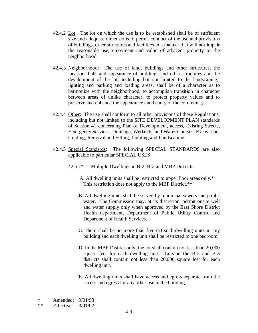- 42.4.2 Lot: The lot on which the use is to be established shall be of sufficient size and adequate dimensions to permit conduct of the use and provisions of buildings, other structures and facilities in a manner that will not impair the reasonable use, enjoyment and value of adjacent property or the neighborhood.
- 42.4.3 Neighborhood: The use of land, buildings and other structures, the location, bulk and appearance of buildings and other structures and the development of the lot, including but not limited to the landscaping,, lighting and parking and loading areas, shall be of a character as to harmonize with the neighborhood, to accomplish transition in character between areas of unlike character, to protect property values and to preserve and enhance the appearance and beauty of the community.
- 42.4.4 Other: The use shall conform to all other provisions of these Regulations, including but not limited to the SITE DEVELOPMENT PLAN standards of Section 41 concerning Plan of Development, access, Existing Streets, Emergency Services, Drainage, Wetlands, and Water Courses, Excavation, Grading, Removal and Filling, Lighting and Landscaping.
- 42.4.5 Special Standards: The following SPECIAL STANDARDS are also applicable to particular SPECIAL USES:
	- 42.5.1\* Multiple Dwellings in B-2, B-3 and MBP Districts:
		- A. All dwelling units shall be restricted to upper floor areas only.\* This restriction does not apply to the MBP District.\*\*
		- B. All dwelling units shall be served by municipal sewers and public water. The Commission may, at its discretion, permit onsite well and water supply only when approved by the East Shore District Health department, Department of Public Utility Control and Department of Health Services.
		- C. There shall be no more than five (5) such dwelling units in any building and each dwelling unit shall be restricted to one bedroom.
		- D. In the MBP District only, the lot shall contain not less than 20,000 square feet for each dwelling unit. Lots in the B-2 and B-3 districts shall contain not less than 20,000 square feet for each dwelling unit.
		- E. All dwelling units shall have access and egress separate from the access and egress for any other use in the building.

\* Amended: 9/01/93

\*\* Effective: 3/01/02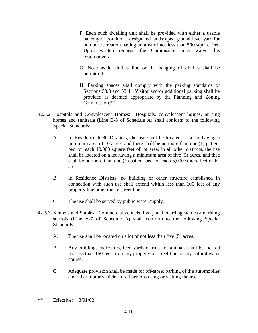- F. Each such dwelling unit shall be provided with either a usable balcony or porch or a designated landscaped ground level yard for outdoor recreation having an area of not less than 500 square feet. Upon written request, the Commission may waive this requirement.
- G. No outside clothes line or the hanging of clothes shall be permitted.
- H. Parking spaces shall comply with the parking standards of Sections 53.3 and 53.4. Visitor and/or additional parking shall be provided as deemed appropriate by the Planning and Zoning Commission.\*\*
- 42.5.2 Hospitals and Convalescent Homes: Hospitals, convalescent homes, nursing homes and sanitaria (Line B-8 of Schedule A) shall conform to the following Special Standards:
	- A. In Residence R-80 Districts, the use shall be located on a lot having a minimum area of 10 acres, and there shall be no more than one (1) patient bed for each 10,000 square feet of lot area; in all other districts, the use shall be located on a lot having a minimum area of five (5) acres, and thee shall be no more than one (1) patient bed for each 5,000 square feet of lot area.
	- B. In Residence Districts, no building or other structure established in connection with such use shall extend within less than 100 feet of any property line other than a street line.
	- C. The use shall be served by public water supply.
- 42.5.3 Kennels and Stables: Commercial kennels, livery and boarding stables and riding schools (Line A-7 of Schedule A) shall conform to the following Special Standards:
	- A. The use shall be located on a lot of not less than five (5) acres.
	- B. Any building, enclosures, feed yards or runs for animals shall be located not less than 150 feet from any property or street line or any natural water course.
	- C. Adequate provision shall be made for off-street parking of the automobiles and other motor vehicles or all persons using or visiting the use.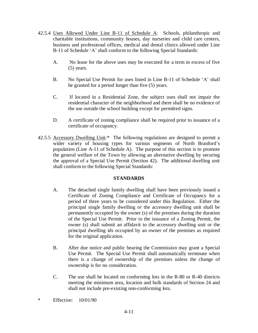- 42.5.4 Uses Allowed Under Line B-11 of Schedule A: Schools, philanthropic and charitable institutions, community houses, day nurseries and child care centers, business and professional offices, medical and dental clinics allowed under Line B-11 of Schedule 'A' shall conform to the following Special Standards:
	- A. No lease for the above uses may be executed for a term in excess of five (5) years.
	- B. No Special Use Permit for uses listed in Line B-11 of Schedule 'A' shall be granted for a period longer than five (5) years.
	- C. If located in a Residential Zone, the subject uses shall not impair the residential character of the neighborhood and there shall be no evidence of the use outside the school building except for permitted signs.
	- D. A certificate of zoning compliance shall be required prior to issuance of a certificate of occupancy.
- 42.5.5 Accessory Dwelling Unit:\* The following regulations are designed to permit a wider variety of housing types for various segments of North Branford's population (Line A-11 of Schedule A). The purpose of this section is to promote the general welfare of the Town by allowing an alternative dwelling by securing the approval of a Special Use Permit (Section 42). The additional dwelling unit shall conform to the following Special Standards:

## **STANDARDS**

- A. The detached single family dwelling shall have been previously issued a Certificate of Zoning Compliance and Certificate of Occupancy for a period of three years to be considered under this Regulation. Either the principal single family dwelling or the accessory dwelling unit shall be permanently occupied by the owner (s) of the premises during the duration of the Special Use Permit. Prior to the issuance of a Zoning Permit, the owner (s) shall submit an affidavit to the accessory dwelling unit or the principal dwelling ids occupied by an owner of the premises as required for the original application.
- B. After due notice and public hearing the Commission may grant a Special Use Permit. The Special Use Permit shall automatically terminate when there is a change of ownership of the premises unless the change of ownership is for no consideration.
- C. The use shall be located on conforming lots in the R-80 or R-40 districts meeting the minimum area, location and bulk standards of Section 24 and shall not include pre-existing non-conforming lots.
- \* Effective: 10/01/90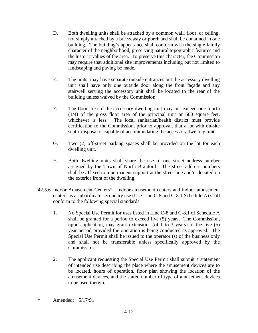- D. Both dwelling units shall be attached by a common wall, floor, or ceiling, not simply attached by a breezeway or porch and shall be contained in one building. The building's appearance shall conform with the single family character of the neighborhood, preserving natural topographic features and the historic values of the area. To preserve this character, the Commission may require that additional site improvements including but not limited to landscaping and paving be made.
- E. The units may have separate outside entrances but the accessory dwelling unit shall have only one outside door along the front façade and any stairwell serving the accessory unit shall be located to the rear of the building unless waived by the Commission.
- F. The floor area of the accessory dwelling unit may not exceed one fourth (1/4) of the gross floor area of the principal unit or 600 square feet, whichever is less. The local sanitarian/health district must provide certification to the Commission, prior to approval, that a lot with on-site septic disposal is capable of accommodating the accessory dwelling unit.
- G. Two (2) off-street parking spaces shall be provided on the lot for each dwelling unit.
- H. Both dwelling units shall share the use of one street address number assigned by the Town of North Branford. The street address numbers shall be affixed to a permanent support at the street line and/or located on the exterior front of the dwelling.
- 42.5.6 Indoor Amusement Centers\*: Indoor amusement centers and indoor amusement centers as a subordinate secondary use (Use Line C-8 and C-8.1 Schedule A) shall conform to the following special standards:
	- 1. No Special Use Permit for uses listed in Line C-8 and C-8.1 of Schedule A shall be granted for a period to exceed five (5) years. The Commission, upon application, may grant extensions (of 1 to 3 years) of the five (5) year period provided the operation is being conducted as approved. The Special Use Permit shall be issued to the operator (s) of the business only and shall not be transferable unless specifically approved by the Commission.
	- 2. The applicant requesting the Special Use Permit shall submit a statement of intended use describing the place where the amusement devices are to be located, hours of operation, floor plan showing the location of the amusement devices, and the stated number of type of amusement devices to be used therein.
- \* Amended: 5/17/91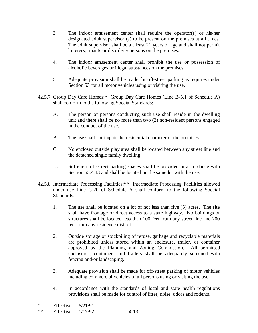- 3. The indoor amusement center shall require the operator(s) or his/her designated adult supervisor (s) to be present on the premises at all times. The adult supervisor shall be a t least 21 years of age and shall not permit loiterers, truants or disorderly persons on the premises.
- 4. The indoor amusement center shall prohibit the use or possession of alcoholic beverages or illegal substances on the premises.
- 5. Adequate provision shall be made for off-street parking as requires under Section 53 for all motor vehicles using or visiting the use.
- 42.5.7 Group Day Care Homes:\* Group Day Care Homes (Line B-5.1 of Schedule A) shall conform to the following Special Standards:
	- A. The person or persons conducting such use shall reside in the dwelling unit and there shall be no more than two (2) non-resident persons engaged in the conduct of the use.
	- B. The use shall not impair the residential character of the premises.
	- C. No enclosed outside play area shall be located between any street line and the detached single family dwelling.
	- D. Sufficient off-street parking spaces shall be provided in accordance with Section 53.4.13 and shall be located on the same lot with the use.
- 42.5.8 Intermediate Processing Facilities:\*\* Intermediate Processing Facilities allowed under use Line C-20 of Schedule A shall conform to the following Special Standards:
	- 1. The use shall be located on a lot of not less than five (5) acres. The site shall have frontage or direct access to a state highway. No buildings or structures shall be located less than 100 feet from any street line and 200 feet from any residence district.
	- 2. Outside storage or stockpiling of refuse, garbage and recyclable materials are prohibited unless stored within an enclosure, trailer, or container approved by the Planning and Zoning Commission. All permitted enclosures, containers and trailers shall be adequately screened with fencing and/or landscaping.
	- 3. Adequate provision shall be made for off-street parking of motor vehicles including commercial vehicles of all persons using or visiting the use.
	- 4. In accordance with the standards of local and state health regulations provisions shall be made for control of litter, noise, odors and rodents.
- \* Effective: 6/21/91
- \*\* Effective: 1/17/92 4-13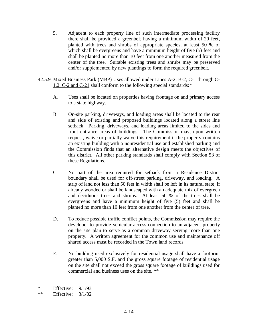- 5. Adjacent to each property line of such intermediate processing facility there shall be provided a greenbelt having a minimum width of 20 feet, planted with trees and shrubs of appropriate species, at least 50 % of which shall be evergreens and have a minimum height of five (5) feet and shall be planted no more than 10 feet from one another measured from the center of the tree. Suitable existing trees and shrubs may be preserved and/or supplemented by new plantings to form the required greenbelt.
- 42.5.9 Mixed Business Park (MBP) Uses allowed under Lines A-2, B-2, C-1 through C-1.2, C-2 and C-21 shall conform to the following special standards: \*
	- A. Uses shall be located on properties having frontage on and primary access to a state highway.
	- B. On-site parking, driveways, and loading areas shall be located to the rear and side of existing and proposed buildings located along a street line setback. Parking, driveways, and loading areas limited to the sides and front entrance areas of buildings. The Commission may, upon written request, waive or partially waive this requirement if the property contains an existing building with a nonresidential use and established parking and the Commission finds that an alternative design meets the objectives of this district. All other parking standards shall comply with Section 53 of these Regulations.
	- C. No part of the area required for setback from a Residence District boundary shall be used for off-street parking, driveway, and loading. A strip of land not less than 50 feet in width shall be left in its natural state, if already wooded or shall be landscaped with an adequate mix of evergreen and deciduous trees and shrubs. At least 50 % of the trees shall be evergreens and have a minimum height of five (5) feet and shall be planted no more than 10 feet from one another from the center of tree.
	- D. To reduce possible traffic conflict points, the Commission may require the developer to provide vehicular access connection to an adjacent property on the site plan to serve as a common driveway serving more than one property. A written agreement for the common use and maintenance off shared access must be recorded in the Town land records.
	- E. No building used exclusively for residential usage shall have a footprint greater than 5,000 S.F. and the gross square footage of residential usage on the site shall not exceed the gross square footage of buildings used for commercial and business uses on the site. \*\*

\* Effective:  $9/1/93$ <br>\*\* Effective:  $3/1/02$ 

Effective:  $3/1/02$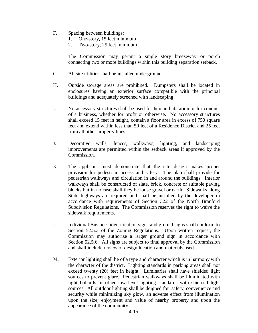- F. Spacing between buildings:
	- 1. One-story, 15 feet minimum
	- 2. Two-story, 25 feet minimum

The Commission may permit a single story breezeway or porch connecting two or more buildings within this building separation setback.

- G. All site utilities shall be installed underground.
- H. Outside storage areas are prohibited. Dumpsters shall be located in enclosures having an exterior surface compatible with the principal buildings and adequately screened with landscaping.
- I. No accessory structures shall be used for human habitation or for conduct of a business, whether for profit or otherwise. No accessory structures shall exceed 15 feet in height, contain a floor area in excess of 750 square feet and extend within less than 50 feet of a Residence District and 25 feet from all other property lines.
- J. Decorative walls, fences, walkways, lighting, and landscaping improvements are permitted within the setback areas if approved by the Commission.
- K. The applicant must demonstrate that the site design makes proper provision for pedestrian access and safety. The plan shall provide for pedestrian walkways and circulation in and around the buildings. Interior walkways shall be constructed of slate, brick, concrete or suitable paving blocks but in no case shall they be loose gravel or earth. Sidewalks along State highways are required and shall be installed by the developer in accordance with requirements of Section 322 of the North Branford Subdivision Regulations. The Commission reserves the right to waive the sidewalk requirements.
- L. Individual Business identification signs and ground signs shall conform to Section 52.5.3 of the Zoning Regulations. Upon written request, the Commission may authorize a larger ground sign in accordance with Section 52.5.6. All signs are subject to final approval by the Commission and shall include review of design location and materials used.
- M. Exterior lighting shall be of a type and character which is in harmony with the character of the district. Lighting standards in parking areas shall not exceed twenty (20) feet in height. Luminaries shall have shielded light sources to prevent glare. Pedestrian walkways shall be illuminated with light bollards or other low level lighting standards with shielded light sources. All outdoor lighting shall be deigned for safety, convenience and security while minimizing sky glow, an adverse effect from illumination upon the size, enjoyment and value of nearby property and upon the appearance of the community.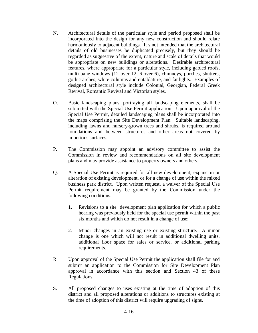- N. Architectural details of the particular style and period proposed shall be incorporated into the design for any new construction and should relate harmoniously to adjacent buildings. It s not intended that the architectural details of old businesses be duplicated precisely, but they should be regarded as suggestive of the extent, nature and scale of details that would be appropriate on new buildings or alterations. Desirable architectural features, where appropriate for a particular style, including gabled roofs, multi-pane windows (12 over 12, 6 over 6), chimneys, porches, shutters, gothic arches, white columns and entablature, and fanlights. Examples of designed architectural style include Colonial, Georgian, Federal Greek Revival, Romantic Revival and Victorian styles.
- O. Basic landscaping plans, portraying all landscaping elements, shall be submitted with the Special Use Permit application. Upon approval of the Special Use Permit, detailed landscaping plans shall be incorporated into the maps comprising the Site Development Plan. Suitable landscaping, including lawns and nursery-grown trees and shrubs, is required around foundations and between structures and other areas not covered by imperious surfaces.
- P. The Commission may appoint an advisory committee to assist the Commission in review and recommendations on all site development plans and may provide assistance to property owners and others.
- Q. A Special Use Permit is required for all new development, expansion or alteration of existing development, or for a change of use within the mixed business park district. Upon written request, a waiver of the Special Use Permit requirement may be granted by the Commission under the following conditions:
	- 1. Revisions to a site development plan application for which a public hearing was previously held for the special use permit within the past six months and which do not result in a change of use;
	- 2. Minor changes in an existing use or existing structure. A minor change is one which will not result in additional dwelling units, additional floor space for sales or service, or additional parking requirements.
- R. Upon approval of the Special Use Permit the application shall file for and submit an application to the Commission for Site Development Plan approval in accordance with this section and Section 43 of these Regulations.
- S. All proposed changes to uses existing at the time of adoption of this district and all proposed alterations or additions to structures existing at the time of adoption of this district will require upgrading of signs,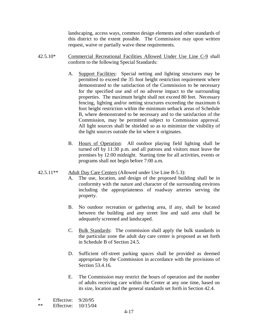landscaping, access ways, common design elements and other standards of this district to the extent possible. The Commission may upon written request, waive or partially waive these requirements.

- 42.5.10\* Commercial Recreational Facilities Allowed Under Use Line C-9 shall conform to the following Special Standards:
	- A. Support Facilities: Special netting and lighting structures may be permitted to exceed the 35 foot height restriction requirement where demonstrated to the satisfaction of the Commission to be necessary for the specified use and of no adverse impact to the surrounding properties. The maximum height shall not exceed 80 feet. Necessary fencing, lighting and/or netting structures exceeding the maximum 6 foot height restriction within the minimum setback areas of Schedule B, where demonstrated to be necessary and to the satisfaction of the Commission, may be permitted subject to Commission approval. All light sources shall be shielded so as to minimize the visibility of the light sources outside the lot where it originates.
	- B. Hours of Operation: All outdoor playing field lighting shall be turned off by 11:30 p.m. and all patrons and visitors must leave the premises by 12:00 midnight. Starting time for all activities, events or programs shall not begin before 7:00 a.m.

### 42.5.11<sup>\*\*</sup> Adult Day Care Centers (Allowed under Use Line B-5.3):

- A. The use, location, and design of the proposed building shall be in conformity with the nature and character of the surrounding environs including the appropriateness of roadway arteries serving the property.
- B. No outdoor recreation or gathering area, if any, shall be located between the building and any street line and said area shall be adequately screened and landscaped.
- C. Bulk Standards: The commission shall apply the bulk standards in the particular zone the adult day care center is proposed as set forth in Schedule B of Section 24.5.
- D. Sufficient off-street parking spaces shall be provided as deemed appropriate by the Commission in accordance with the provisions of Section 53.4.16.
- E. The Commission may restrict the hours of operation and the number of adults receiving care within the Center at any one time, based on its size, location and the general standards set forth in Section 42.4.

<sup>\*</sup> Effective: 9/20/95

<sup>\*\*</sup> Effective: 10/15/04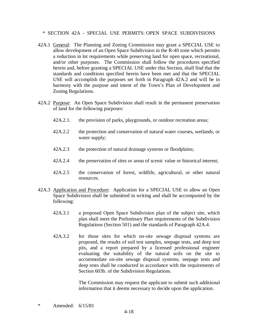\* SECTION 42A - SPECIAL USE PERMITS: OPEN SPACE SUBDIVISIONS

- 42A.1 General: The Planning and Zoning Commission may grant a SPECIAL USE to allow development of an Open Space Subdivision in the R-40 zone which permits a reduction in lot requirements while preserving land for open space, recreational, and/or other purposes. The Commission shall follow the procedures specified herein and, before granting a SPECIAL USE under this Section, shall find that the standards and conditions specified herein have been met and that the SPECIAL USE will accomplish the purposes set forth in Paragraph 42A.2 and will be in harmony with the purpose and intent of the Town's Plan of Development and Zoning Regulations.
- 42A.2 Purpose: An Open Space Subdivision shall result in the permanent preservation of land for the following purposes:
	- 42A.2.1. the provision of parks, playgrounds, or outdoor recreation areas;
	- 42A.2.2 the protection and conservation of natural water courses, wetlands, or water supply;
	- 42A.2.3 the protection of natural drainage systems or floodplains;
	- 42A.2.4 the preservation of sites or areas of scenic value or historical interest;
	- 42A.2.5 the conservation of forest, wildlife, agricultural, or other natural resources.
- 42A.3 Application and Procedure: Application for a SPECIAL USE to allow an Open Space Subdivision shall be submitted in writing and shall be accompanied by the following:
	- 42A.3.1 a proposed Open Space Subdivision plan of the subject site, which plan shall meet the Preliminary Plan requirements of the Subdivision Regulations (Section 501) and the standards of Paragraph 42A.4.
	- 42A.3.2 for those sites for which on-site sewage disposal systems are proposed, the results of soil test samples, seepage tests, and deep test pits, and a report prepared by a licensed professional engineer evaluating the suitability of the natural soils on the site to accommodate on-site sewage disposal systems; seepage tests and deep tests shall be conducted in accordance with the requirements of Section 603b. of the Subdivision Regulations.

 The Commission may request the applicant to submit such additional information that it deems necessary to decide upon the application.

\* Amended: 6/15/81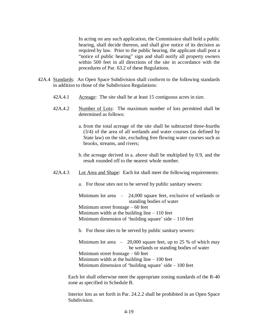In acting on any such application, the Commission shall hold a public hearing, shall decide thereon, and shall give notice of its decision as required by law. Prior to the public hearing, the applicant shall post a "notice of public hearing" sign and shall notify all property owners within 500 feet in all directions of the site in accordance with the procedures of Par. 63.2 of these Regulations.

- 42A.4 Standards: An Open Space Subdivision shall conform to the following standards in addition to those of the Subdivision Regulations:
	- 42A.4.1 Acreage: The site shall be at least 15 contiguous acres in size.
	- 42A.4.2 Number of Lots: The maximum number of lots permitted shall be determined as follows:
		- a. from the total acreage of the site shall be subtracted three-fourths (3/4) of the area of all wetlands and water courses (as defined by State law) on the site, excluding free flowing water courses such as brooks, streams, and rivers;
		- b. the acreage derived in a. above shall be multiplied by 0.9, and the result rounded off to the nearest whole number.
	- 42A.4.3 Lot Area and Shape: Each lot shall meet the following requirements:
		- a. For those sites not to be served by public sanitary sewers:

Minimum lot area  $-$  24,000 square feet, exclusive of wetlands or standing bodies of water Minimum street frontage  $-60$  feet Minimum width at the building line  $-110$  feet Minimum dimension of 'building square' side  $-110$  feet

b. For those sites to be served by public sanitary sewers:

Minimum lot area  $-20,000$  square feet, up to 25 % of which may be wetlands or standing bodies of water Minimum street frontage  $-60$  feet Minimum width at the building line  $-100$  feet Minimum dimension of 'building square' side  $-100$  feet

 Each lot shall otherwise meet the appropriate zoning standards of the R-40 zone as specified in Schedule B.

 Interior lots as set forth in Par. 24.2.2 shall be prohibited in an Open Space Subdivision.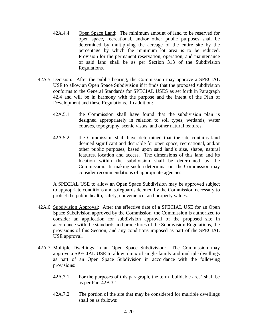- 42A.4.4 Open Space Land: The minimum amount of land to be reserved for open space, recreational, and/or other public purposes shall be determined by multiplying the acreage of the entire site by the percentage by which the minimum lot area is to be reduced. Provision for the permanent reservation, operation, and maintenance of said land shall be as per Section 313 of the Subdivision Regulations.
- 42A.5 Decision: After the public hearing, the Commission may approve a SPECIAL USE to allow an Open Space Subdivision if it finds that the proposed subdivision conforms to the General Standards for SPECIAL USES as set forth in Paragraph 42.4 and will be in harmony with the purpose and the intent of the Plan of Development and these Regulations. In addition:
	- 42A.5.1 the Commission shall have found that the subdivision plan is designed appropriately in relation to soil types, wetlands, water courses, topography, scenic vistas, and other natural features;
	- 42A.5.2 the Commission shall have determined that the site contains land deemed significant and desirable for open space, recreational, and/or other public purposes, based upon said land's size, shape, natural features, location and access. The dimensions of this land and its location within the subdivision shall be determined by the Commission. In making such a determination, the Commission may consider recommendations of appropriate agencies.

A SPECIAL USE to allow an Open Space Subdivision may be approved subject to appropriate conditions and safeguards deemed by the Commission necessary to protect the public health, safety, convenience, and property values.

- 42A.6 Subdivision Approval: After the effective date of a SPECIAL USE for an Open Space Subdivision approved by the Commission, the Commission is authorized to consider an application for subdivision approval of the proposed site in accordance with the standards and procedures of the Subdivision Regulations, the provisions of this Section, and any conditions imposed as part of the SPECIAL USE approval.
- 42A.7 Multiple Dwellings in an Open Space Subdivision: The Commission may approve a SPECIAL USE to allow a mix of single-family and multiple dwellings as part of an Open Space Subdivision in accordance with the following provisions:
	- 42A.7.1 For the purposes of this paragraph, the term 'buildable area' shall be as per Par. 42B.3.1.
	- 42A.7.2 The portion of the site that may be considered for multiple dwellings shall be as follows: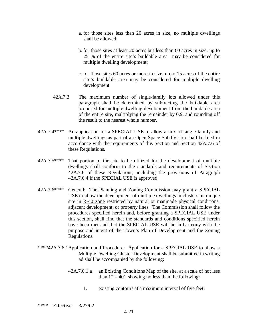- a. for those sites less than 20 acres in size, no multiple dwellings shall be allowed;
- b. for those sites at least 20 acres but less than 60 acres in size, up to 25 % of the entire site's buildable area may be considered for multiple dwelling development;
- c. for those sites 60 acres or more in size, up to 15 acres of the entire site's buildable area may be considered for multiple dwelling development.
- 42A.7.3 The maximum number of single-family lots allowed under this paragraph shall be determined by subtracting the buildable area proposed for multiple dwelling development from the buildable area of the entire site, multiplying the remainder by 0.9, and rounding off the result to the nearest whole number.
- 42A.7.4\*\*\*\* An application for a SPECIAL USE to allow a mix of single-family and multiple dwellings as part of an Open Space Subdivision shall be filed in accordance with the requirements of this Section and Section 42A.7.6 of these Regulations.
- 42A.7.5\*\*\*\* That portion of the site to be utilized for the development of multiple dwellings shall conform to the standards and requirements of Section 42A.7.6 of these Regulations, including the provisions of Paragraph 42A.7.6.4 if the SPECIAL USE is approved.
- 42A.7.6\*\*\*\* General: The Planning and Zoning Commission may grant a SPECIAL USE to allow the development of multiple dwellings in clusters on unique site in R-40 zone restricted by natural or manmade physical conditions, adjacent development, or property lines. The Commission shall follow the procedures specified herein and, before granting a SPECIAL USE under this section, shall find that the standards and conditions specified herein have been met and that the SPECIAL USE will be in harmony with the purpose and intent of the Town's Plan of Development and the Zoning Regulations.
- \*\*\*\*42A.7.6.1 Application and Procedure: Application for a SPECIAL USE to allow a Multiple Dwelling Cluster Development shall be submitted in writing ad shall be accompanied by the following:
	- 42A.7.6.1.a an Existing Conditions Map of the site, at a scale of not less than  $1" = 40'$ , showing no less than the following:
		- 1. existing contours at a maximum interval of five feet;
- \*\*\*\* Effective: 3/27/02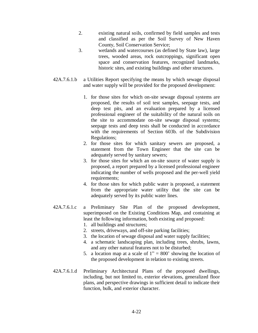- 2. existing natural soils, confirmed by field samples and tests and classified as per the Soil Survey of New Haven County, Soil Conservation Service;
- 3. wetlands and watercourses (as defined by State law), large trees, wooded areas, rock outcroppings, significant open space and conservation features, recognized landmarks, historic sites, and existing buildings and other structures.
- 42A.7.6.1.b a Utilities Report specifying the means by which sewage disposal and water supply will be provided for the proposed development:
	- 1. for those sites for which on-site sewage disposal systems are proposed, the results of soil test samples, seepage tests, and deep test pits, and an evaluation prepared by a licensed professional engineer of the suitability of the natural soils on the site to accommodate on-site sewage disposal systems; seepage tests and deep tests shall be conducted in accordance with the requirements of Section 603b. of the Subdivision Regulations;
	- 2. for those sites for which sanitary sewers are proposed, a statement from the Town Engineer that the site can be adequately served by sanitary sewers;
	- 3. for those sites for which an on-site source of water supply is proposed, a report prepared by a licensed professional engineer indicating the number of wells proposed and the per-well yield requirements;
	- 4. for those sites for which public water is proposed, a statement from the appropriate water utility that the site can be adequately served by its public water lines.
- 42A.7.6.1.c a Preliminary Site Plan of the proposed development, superimposed on the Existing Conditions Map, and containing at least the following information, both existing and proposed:
	- 1. all buildings and structures;
	- 2. streets, driveways, and off-site parking facilities;
	- 3. the location of sewage disposal and water supply facilities;
	- 4. a schematic landscaping plan, including trees, shrubs, lawns, and any other natural features not to be disturbed;
	- 5. a location map at a scale of  $1'' = 800'$  showing the location of the proposed development in relation to existing streets.
- 42A.7.6.1.d Preliminary Architectural Plans of the proposed dwellings, including, but not limited to, exterior elevations, generalized floor plans, and perspective drawings in sufficient detail to indicate their function, bulk, and exterior character.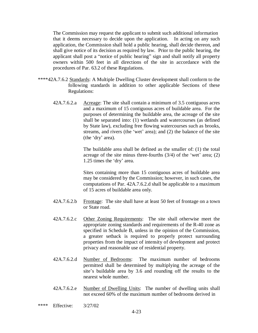The Commission may request the applicant to submit such additional information that it deems necessary to decide upon the application. In acting on any such application, the Commission shall hold a public hearing, shall decide thereon, and shall give notice of its decision as required by law. Prior to the public hearing, the applicant shall post a "notice of public hearing" sign and shall notify all property owners within 500 feet in all directions of the site in accordance with the procedures of Par. 63.2 of these Regulations.

- \*\*\*\*42A.7.6.2 Standards: A Multiple Dwelling Cluster development shall conform to the following standards in addition to other applicable Sections of these Regulations:
	- 42A.7.6.2.a Acreage: The site shall contain a minimum of 3.5 contiguous acres and a maximum of 15 contiguous acres of buildable area. For the purposes of determining the buildable area, the acreage of the site shall be separated into: (1) wetlands and watercourses (as defined by State law), excluding free flowing watercourses such as brooks, streams, and rivers (the 'wet' area); and (2) the balance of the site (the 'dry' area).

The buildable area shall be defined as the smaller of: (1) the total acreage of the site minus three-fourths  $(3/4)$  of the 'wet' area; (2) 1.25 times the 'dry' area.

Sites containing more than 15 contiguous acres of buildable area may be considered by the Commission; however, in such cases, the computations of Par. 42A.7.6.2.d shall be applicable to a maximum of 15 acres of buildable area only.

- 42A.7.6.2.b Frontage: The site shall have at least 50 feet of frontage on a town or State road.
- 42A.7.6.2.c Other Zoning Requirements: The site shall otherwise meet the appropriate zoning standards and requirements of the R-40 zone as specified in Schedule B, unless in the opinion of the Commission, a greater setback is required to properly protect surrounding properties from the impact of intensity of development and protect privacy and reasonable use of residential property.
- 42A.7.6.2.d Number of Bedrooms: The maximum number of bedrooms permitted shall be determined by multiplying the acreage of the site's buildable area by 3.6 and rounding off the results to the nearest whole number.
- 42A.7.6.2.e Number of Dwelling Units: The number of dwelling units shall not exceed 60% of the maximum number of bedrooms derived in
- \*\*\*\* Effective: 3/27/02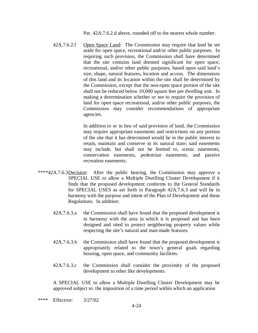Par. 42A.7.6.2.d above, rounded off to the nearest whole number.

42A.7.6.2.f Open Space Land: The Commission may require that land be set aside for open space, recreational and/or other public purposes. In requiring such provision, the Commission shall have determined that the site contains land deemed significant for open space, recreational, and/or other public purposes, based upon said land's size, shape, natural features, location and access. The dimensions of this land and its location within the site shall be determined by the Commission, except that the non-open space portion of the site shall not be reduced below 10,000 square feet per dwelling unit. In making a determination whether or not to require the provision of land for open space recreational, and/or other public purposes, the Commission may consider recommendations of appropriate agencies.

> In addition to or in lieu of said provision of land, the Commission may require appropriate easements and restrictions on any portion of the site that it has determined would be in the public interest to retain, maintain and conserve in its natural state; said easements may include, but shall not be limited to, scenic easements, conservation easements, pedestrian easements, and passive recreation easements.

- \*\*\*\*42A.7.6.3 Decision: After the public hearing, the Commission may approve a SPECIAL USE to allow a Multiple Dwelling Cluster Development if it finds that the proposed development conforms to the General Standards for SPECIAL USES as set forth in Paragraph 42A.7.6.3 and will be in harmony with the purpose and intent of the Plan of Development and these Regulations. In addition:
	- 42A.7.6.3.a the Commission shall have found that the proposed development is in harmony with the area in which it is proposed and has been designed and sited to protect neighboring property values while respecting the site's natural and man-made features.
	- 42A.7.6.3.b the Commission shall have found that the proposed development is appropriately related to the town's general goals regarding housing, open space, and community facilities.
	- 42A.7.6.3.c the Commission shall consider the proximity of the proposed development to other like developments.

A SPECIAL USE to allow a Multiple Dwelling Cluster Development may be approved subject to: the imposition of a time period within which an application

\*\*\*\* Effective: 3/27/02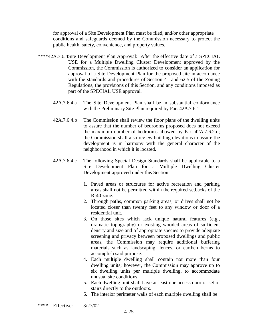for approval of a Site Development Plan must be filed, and/or other appropriate conditions and safeguards deemed by the Commission necessary to protect the public health, safety, convenience, and property values.

- \*\*\*\*42A.7.6.4 Site Development Plan Approval: After the effective date of a SPECIAL USE for a Multiple Dwelling Cluster Development approved by the Commission, the Commission is authorized to consider an application for approval of a Site Development Plan for the proposed site in accordance with the standards and procedures of Section 41 and 62.5 of the Zoning Regulations, the provisions of this Section, and any conditions imposed as part of the SPECIAL USE approval.
	- 42A.7.6.4.a The Site Development Plan shall be in substantial conformance with the Preliminary Site Plan required by Par. 42A.7.6.1.
	- 42A.7.6.4.b The Commission shall review the floor plans of the dwelling units to assure that the number of bedrooms proposed does not exceed the maximum number of bedrooms allowed by Par. 42A.7.6.2.d; the Commission shall also review building elevations to assure the development is in harmony with the general character of the neighborhood in which it is located.
	- 42A.7.6.4.c The following Special Design Standards shall be applicable to a Site Development Plan for a Multiple Dwelling Cluster Development approved under this Section:
		- 1. Paved areas or structures for active recreation and parking areas shall not be permitted within the required setbacks of the R-40 zone.
		- 2. Through paths, common parking areas, or drives shall not be located closer than twenty feet to any window or door of a residential unit.
		- 3. On those sites which lack unique natural features (e.g., dramatic topography) or existing wooded areas of sufficient density and size and of appropriate species to provide adequate screening and privacy between proposed dwellings and public areas, the Commission may require additional buffering materials such as landscaping, fences, or earthen berms to accomplish said purpose.
		- 4. Each multiple dwelling shall contain not more than four dwelling units; however, the Commission may approve up to six dwelling units per multiple dwelling, to accommodate unusual site conditions.
		- 5. Each dwelling unit shall have at least one access door or set of stairs directly to the outdoors.
		- 6. The interior perimeter walls of each multiple dwelling shall be
- \*\*\*\* Effective: 3/27/02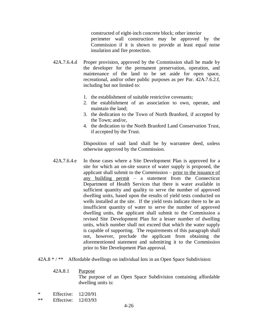constructed of eight-inch concrete block; other interior perimeter wall construction may be approved by the Commission if it is shown to provide at least equal noise insulation and fire protection.

- 42A.7.6.4.d Proper provision, approved by the Commission shall be made by the developer for the permanent preservation, operation, and maintenance of the land to be set aside for open space, recreational, and/or other public purposes as per Par. 42A.7.6.2.f, including but not limited to:
	- 1. the establishment of suitable restrictive covenants;
	- 2. the establishment of an association to own, operate, and maintain the land;
	- 3. the dedication to the Town of North Branford, if accepted by the Town; and/or,
	- 4. the dedication to the North Branford Land Conservation Trust, if accepted by the Trust.

Disposition of said land shall be by warrantee deed, unless otherwise approved by the Commission.

- 42A.7.6.4.e In those cases where a Site Development Plan is approved for a site for which an on-site source of water supply is proposed, the applicant shall submit to the Commission – prior to the issuance of any building permit  $-\alpha$  statement from the Connecticut Department of Health Services that there is water available in sufficient quantity and quality to serve the number of approved dwelling units, based upon the results of yield tests conducted on wells installed at the site. If the yield tests indicate there to be an insufficient quantity of water to serve the number of approved dwelling units, the applicant shall submit to the Commission a revised Site Development Plan for a lesser number of dwelling units, which number shall not exceed that which the water supply is capable of supporting. The requirements of this paragraph shall not, however, preclude the applicant from obtaining the aforementioned statement and submitting it to the Commission prior to Site Development Plan approval.
- 42A.8 \* / \*\* Affordable dwellings on individual lots in an Open Space Subdivision:
	- 42A.8.1 Purpose

The purpose of an Open Space Subdivision containing affordable dwelling units is:

- \* Effective: 12/20/91
- \*\* Effective: 12/03/93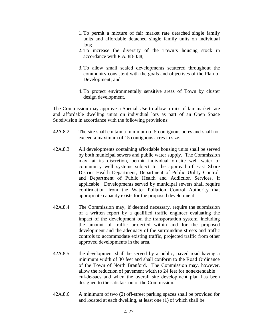- 1. To permit a mixture of fair market rate detached single family units and affordable detached single family units on individual lots;
- 2. To increase the diversity of the Town's housing stock in accordance with P.A. 88-338;
- 3. To allow small scaled developments scattered throughout the community consistent with the goals and objectives of the Plan of Development; and
- 4. To protect environmentally sensitive areas of Town by cluster design development.

 The Commission may approve a Special Use to allow a mix of fair market rate and affordable dwelling units on individual lots as part of an Open Space Subdivision in accordance with the following provisions:

- 42A.8.2 The site shall contain a minimum of 5 contiguous acres and shall not exceed a maximum of 15 contiguous acres in size.
- 42A.8.3 All developments containing affordable housing units shall be served by both municipal sewers and public water supply. The Commission may, at its discretion, permit individual on-site well water or community well systems subject to the approval of East Shore District Health Department, Department of Public Utility Control, and Department of Public Health and Addiction Services, if applicable. Developments served by municipal sewers shall require confirmation from the Water Pollution Control Authority that appropriate capacity exists for the proposed development.
- 42A.8.4 The Commission may, if deemed necessary, require the submission of a written report by a qualified traffic engineer evaluating the impact of the development on the transportation system, including the amount of traffic projected within and for the proposed development and the adequacy of the surrounding streets and traffic controls to accommodate existing traffic, projected traffic from other approved developments in the area.
- 42A.8.5 the development shall be served by a public, paved road having a minimum width of 30 feet and shall conform to the Road Ordinance of the Town of North Branford. The Commission may, however, allow the reduction of pavement width to 24 feet for nonextendable cul-de-sacs and when the overall site development plan has been designed to the satisfaction of the Commission.
- 42A.8.6 A minimum of two (2) off-street parking spaces shall be provided for and located at each dwelling, at least one (1) of which shall be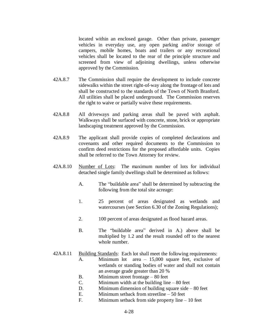located within an enclosed garage. Other than private, passenger vehicles in everyday use, any open parking and/or storage of campers, mobile homes, boats and trailers or any recreational vehicles shall be located to the rear of the principle structure and screened from view of adjoining dwellings, unless otherwise approved by the Commission.

- 42A.8.7 The Commission shall require the development to include concrete sidewalks within the street right-of-way along the frontage of lots and shall be constructed to the standards of the Town of North Branford. All utilities shall be placed underground. The Commission reserves the right to waive or partially waive these requirements.
- 42A.8.8 All driveways and parking areas shall be paved with asphalt. Walkways shall be surfaced with concrete, stone, brick or appropriate landscaping treatment approved by the Commission.
- 42A.8.9 The applicant shall provide copies of completed declarations and covenants and other required documents to the Commission to confirm deed restrictions for the proposed affordable units. Copies shall be referred to the Town Attorney for review.
- 42A.8.10 Number of Lots: The maximum number of lots for individual detached single family dwellings shall be determined as follows:
	- A. The "buildable area" shall be determined by subtracting the following from the total site acreage:
	- 1. 25 percent of areas designated as wetlands and watercourses (see Section 6.30 of the Zoning Regulations);
	- 2. 100 percent of areas designated as flood hazard areas.
	- B. The "buildable area" derived in A.) above shall be multiplied by 1.2 and the result rounded off to the nearest whole number.
- 42A.8.11 Building Standards: Each lot shall meet the following requirements:
	- A. Minimum lot area  $-15,000$  square feet, exclusive of wetlands or standing bodies of water and shall not contain an average grade greater than 20 %
	- B. Minimum street frontage  $-80$  feet
	- C. Minimum width at the building line  $-80$  feet
	- D. Minimum dimension of building square side  $-80$  feet
	- E. Minimum setback from streetline  $-50$  feet
	- F. Minimum setback from side property line  $-10$  feet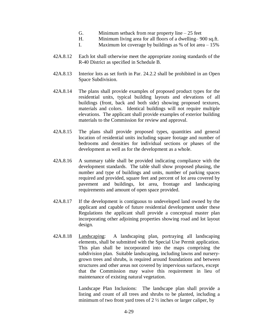- G. Minimum setback from rear property line  $-25$  feet
- H. Minimum living area for all floors of a dwelling 900 sq.ft.
- I. Maximum lot coverage by buildings as % of lot area  $-15%$
- 42A.8.12 Each lot shall otherwise meet the appropriate zoning standards of the R-40 District as specified in Schedule B.
- 42A.8.13 Interior lots as set forth in Par. 24.2.2 shall be prohibited in an Open Space Subdivision.
- 42A.8.14 The plans shall provide examples of proposed product types for the residential units, typical building layouts and elevations of all buildings (front, back and both side) showing proposed textures, materials and colors. Identical buildings will not require multiple elevations. The applicant shall provide examples of exterior building materials to the Commission for review and approval.
- 42A.8.15 The plans shall provide proposed types, quantities and general location of residential units including square footage and number of bedrooms and densities for individual sections or phases of the development as well as for the development as a whole.
- 42A.8.16 A summary table shall be provided indicating compliance with the development standards. The table shall show proposed phasing, the number and type of buildings and units, number of parking spaces required and provided, square feet and percent of lot area covered by pavement and buildings, lot area, frontage and landscaping requirements and amount of open space provided.
- 42A.8.17 If the development is contiguous to undeveloped land owned by the applicant and capable of future residential development under these Regulations the applicant shall provide a conceptual master plan incorporating other adjoining properties showing road and lot layout design.
- 42A.8.18 Landscaping: A landscaping plan, portraying all landscaping elements, shall be submitted with the Special Use Permit application. This plan shall be incorporated into the maps comprising the subdivision plan. Suitable landscaping, including lawns and nurserygrown trees and shrubs, is required around foundations and between structures and other areas not covered by impervious surfaces, except that the Commission may waive this requirement in lieu of maintenance of existing natural vegetation.

 Landscape Plan Inclusions: The landscape plan shall provide a listing and count of all trees and shrubs to be planted, including a minimum of two front yard trees of  $2\frac{1}{2}$  inches or larger caliper, by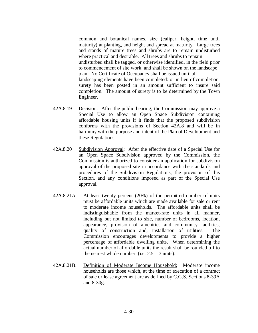common and botanical names, size (caliper, height, time until maturity) at planting, and height and spread at maturity. Large trees and stands of mature trees and shrubs are to remain undisturbed where practical and desirable. All trees and shrubs to remain undisturbed shall be tagged, or otherwise identified, in the field prior to commencement of site work, and shall be shown on the landscape plan. No Certificate of Occupancy shall be issued until all landscaping elements have been completed: or in lieu of completion, surety has been posted in an amount sufficient to insure said completion. The amount of surety is to be determined by the Town Engineer.

- 42A.8.19 Decision: After the public hearing, the Commission may approve a Special Use to allow an Open Space Subdivision containing affordable housing units if it finds that the proposed subdivision conforms with the provisions of Section 42A.8 and will be in harmony with the purpose and intent of the Plan of Development and these Regulations.
- 42A.8.20 Subdivision Approval: After the effective date of a Special Use for an Open Space Subdivision approved by the Commission, the Commission is authorized to consider an application for subdivision approval of the proposed site in accordance with the standards and procedures of the Subdivision Regulations, the provision of this Section, and any conditions imposed as part of the Special Use approval.
- 42A.8.21A. At least twenty percent (20%) of the permitted number of units must be affordable units which are made available for sale or rent to moderate income households. The affordable units shall be indistinguishable from the market-rate units in all manner, including but not limited to size, number of bedrooms, location, appearance, provision of amenities and community facilities, quality of construction and, installation of utilities. The Commission encourages developments to provide a higher percentage of affordable dwelling units. When determining the actual number of affordable units the result shall be rounded off to the nearest whole number. (i.e.  $2.5 = 3$  units).
- 42A.8.21B. Definition of Moderate Income Household: Moderate income households are those which, at the time of execution of a contract of sale or lease agreement are as defined by C.G.S. Sections 8-39A and 8-30g.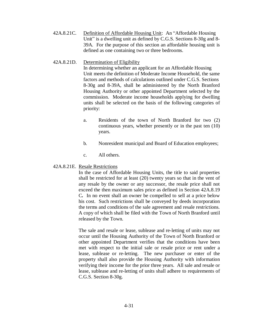42A.8.21C. Definition of Affordable Housing Unit: An "Affordable Housing Unit" is a dwelling unit as defined by C.G.S. Sections  $8-30g$  and  $8-$ 39A. For the purpose of this section an affordable housing unit is defined as one containing two or three bedrooms.

42A.8.21D. Determination of Eligibility

In determining whether an applicant for an Affordable Housing Unit meets the definition of Moderate Income Household, the same factors and methods of calculations outlined under C.G.S. Sections 8-30g and 8-39A, shall be administered by the North Branford Housing Authority or other appointed Department selected by the commission. Moderate income households applying for dwelling units shall be selected on the basis of the following categories of priority:

- a. Residents of the town of North Branford for two (2) continuous years, whether presently or in the past ten (10) years.
- b. Nonresident municipal and Board of Education employees;
- c. All others.

## 42A.8.21E. Resale Restrictions

In the case of Affordable Housing Units, the title to said properties shall be restricted for at least (20) twenty years so that in the vent of any resale by the owner or any successor, the resale price shall not exceed the then maximum sales price as defined in Section 42A.8.19 C*.* In no event shall an owner be compelled to sell at a price below his cost. Such restrictions shall be conveyed by deeds incorporation the terms and conditions of the sale agreement and resale restrictions. A copy of which shall be filed with the Town of North Branford until released by the Town.

The sale and resale or lease, sublease and re-letting of units may not occur until the Housing Authority of the Town of North Branford or other appointed Department verifies that the conditions have been met with respect to the initial sale or resale price or rent under a lease, sublease or re-letting. The new purchaser or enter of the property shall also provide the Housing Authority with information verifying their income for the prior three years. All sale and resale or lease, sublease and re-letting of units shall adhere to requirements of C.G.S. Section 8-30g.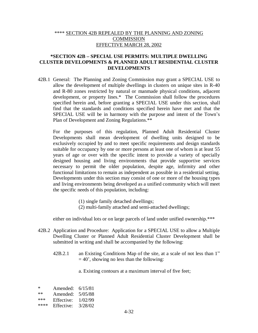## \*\*\*\* SECTION 42B REPEALED BY THE PLANNING AND ZONING **COMMISSION** EFFECTIVE MARCH 28, 2002

## **\*SECTION 42B – SPECIAL USE PERMITS: MULTIPLE DWELLING CLUSTER DEVELOPMENTS & PLANNED ADULT RESIDENTIAL CLUSTER DEVELOPMENTS**

42B.1 General: The Planning and Zoning Commission may grant a SPECIAL USE to allow the development of multiple dwellings in clusters on unique sites in R-40 and R-80 zones restricted by natural or manmade physical conditions, adjacent development, or property lines.\* The Commission shall follow the procedures specified herein and, before granting a SPECIAL USE under this section, shall find that the standards and conditions specified herein have met and that the SPECIAL USE will be in harmony with the purpose and intent of the Town's Plan of Development and Zoning Regulations.\*\*

For the purposes of this regulation, Planned Adult Residential Cluster Developments shall mean development of dwelling units designed to be exclusively occupied by and to meet specific requirements and design standards suitable for occupancy by one or more persons at least one of whom is at least 55 years of age or over with the specific intent to provide a variety of specially designed housing and living environments that provide supportive services necessary to permit the older population, despite age, infirmity and other functional limitations to remain as independent as possible in a residential setting. Developments under this section may consist of one or more of the housing types and living environments being developed as a unified community which will meet the specific needs of this population, including:

- (1) single family detached dwellings;
- (2) multi-family attached and semi-attached dwellings;

either on individual lots or on large parcels of land under unified ownership.\*\*\*

- 42B.2 Application and Procedure: Application for a SPECIAL USE to allow a Multiple Dwelling Cluster or Planned Adult Residential Cluster Development shall be submitted in writing and shall be accompanied by the following:
	- 42B.2.1 an Existing Conditions Map of the site, at a scale of not less than 1<sup>"</sup>  $= 40$ , showing no less than the following:
		- a. Existing contours at a maximum interval of five feet;

\* Amended:  $6/15/81$ <br>\*\* Amended:  $5/05/88$ Amended: 5/05/88 \*\*\* Effective: 1/02/99 \*\*\*\* Effective: 3/28/02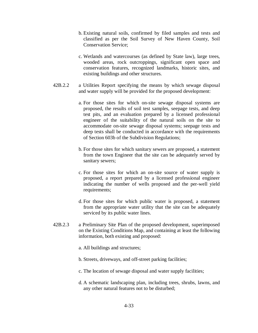- b. Existing natural soils, confirmed by filed samples and tests and classified as per the Soil Survey of New Haven County, Soil Conservation Service;
- c. Wetlands and watercourses (as defined by State law), large trees, wooded areas, rock outcroppings, significant open space and conservation features, recognized landmarks, historic sites, and existing buildings and other structures.
- 42B.2.2 a Utilities Report specifying the means by which sewage disposal and water supply will be provided for the proposed development:
	- a. For those sites for which on-site sewage disposal systems are proposed, the results of soil test samples, seepage tests, and deep test pits, and an evaluation prepared by a licensed professional engineer of the suitability of the natural soils on the site to accommodate on-site sewage disposal systems; seepage tests and deep tests shall be conducted in accordance with the requirements of Section 603b of the Subdivision Regulations;
	- b. For those sites for which sanitary sewers are proposed, a statement from the town Engineer that the site can be adequately served by sanitary sewers;
	- c. For those sites for which an on-site source of water supply is proposed, a report prepared by a licensed professional engineer indicating the number of wells proposed and the per-well yield requirements;
	- d. For those sites for which public water is proposed, a statement from the appropriate water utility that the site can be adequately serviced by its public water lines.
- 42B.2.3 a Preliminary Site Plan of the proposed development, superimposed on the Existing Conditions Map, and containing at least the following information, both existing and proposed:
	- a. All buildings and structures;
	- b. Streets, driveways, and off-street parking facilities;
	- c. The location of sewage disposal and water supply facilities;
	- d. A schematic landscaping plan, including trees, shrubs, lawns, and any other natural features not to be disturbed;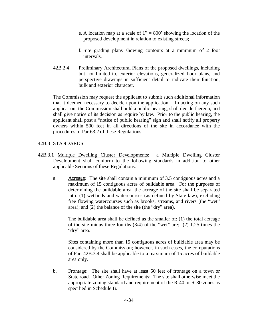- e. A location map at a scale of  $1'' = 800'$  showing the location of the proposed development in relation to existing streets;
- f. Site grading plans showing contours at a minimum of 2 foot intervals.
- 42B.2.4 Preliminary Architectural Plans of the proposed dwellings, including but not limited to, exterior elevations, generalized floor plans, and perspective drawings in sufficient detail to indicate their function, bulk and exterior character.

The Commission may request the applicant to submit such additional information that it deemed necessary to decide upon the application. In acting on any such application, the Commission shall hold a public hearing, shall decide thereon, and shall give notice of its decision as require by law. Prior to the public hearing, the applicant shall post a "notice of public hearing" sign and shall notify all property owners within 500 feet in all directions of the site in accordance with the procedures of Par.63.2 of these Regulations.

## 42B.3 STANDARDS:

- 42B.3.1 Multiple Dwelling Cluster Developments: a Multiple Dwelling Cluster Development shall conform to the following standards in addition to other applicable Sections of these Regulations:
	- a. Acreage: The site shall contain a minimum of 3.5 contiguous acres and a maximum of 15 contiguous acres of buildable area. For the purposes of determining the buildable area, the acreage of the site shall be separated into: (1) wetlands and watercourses (as defined by State law), excluding free flowing watercourses such as brooks, streams, and rivers (the "wet" area); and  $(2)$  the balance of the site (the "dry" area).

 The buildable area shall be defined as the smaller of: (1) the total acreage of the site minus three-fourths  $(3/4)$  of the "wet" are; (2) 1.25 times the "dry" area.

 Sites containing more than 15 contiguous acres of buildable area may be considered by the Commission; however, in such cases, the computations of Par. 42B.3.4 shall be applicable to a maximum of 15 acres of buildable area only.

 b. Frontage: The site shall have at least 50 feet of frontage on a town or State road. Other Zoning Requirements: The site shall otherwise meet the appropriate zoning standard and requirement of the R-40 or R-80 zones as specified in Schedule B.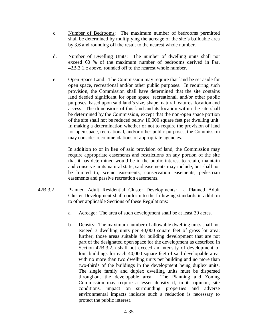- c. Number of Bedrooms: The maximum number of bedrooms permitted shall be determined by multiplying the acreage of the site's buildable area by 3.6 and rounding off the result to the nearest whole number.
- d. Number of Dwelling Units: The number of dwelling units shall not exceed 60 % of the maximum number of bedrooms derived in Par. 42B.3.1.c above, rounded off to the nearest whole number.
- e. Open Space Land: The Commission may require that land be set aside for open space, recreational and/or other public purposes. In requiring such provision, the Commission shall have determined that the site contains land deeded significant for open space, recreational, and/or other public purposes, based upon said land's size, shape, natural features, location and access. The dimensions of this land and its location within the site shall be determined by the Commission, except that the non-open space portion of the site shall not be reduced below 10,000 square feet per dwelling unit. In making a determination whether or not to require the provision of land for open space, recreational, and/or other public purposes, the Commission may consider recommendations of appropriate agencies.

 In addition to or in lieu of said provision of land, the Commission may require appropriate easements and restrictions on any portion of the site that it has determined would be in the public interest to retain, maintain and conserve in its natural state; said easements may include, but shall not be limited to, scenic easements, conservation easements, pedestrian easements and passive recreation easements.

- 42B.3.2 Planned Adult Residential Cluster Developments: a Planned Adult Cluster Development shall conform to the following standards in addition to other applicable Sections of these Regulations:
	- a. Acreage: The area of such development shall be at least 30 acres.
	- b. Density: The maximum number of allowable dwelling units shall not exceed 3 dwelling units per 40,000 square feet of gross lot area; further, those areas suitable for building development that are not part of the designated open space for the development as described in Section 42B.3.2.h shall not exceed an intensity of development of four buildings for each 40,000 square feet of said developable area, with no more than two dwelling units per building and no more than two-thirds of the buildings in the development being duplex units. The single family and duplex dwelling units must be dispersed throughout the developable area. The Planning and Zoning Commission may require a lesser density if, in its opinion, site conditions, impact on surrounding properties and adverse environmental impacts indicate such a reduction is necessary to protect the public interest.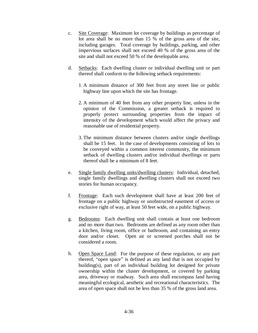- c. Site Coverage: Maximum lot coverage by buildings as percentage of lot area shall be no more than 15 % of the gross area of the site, including garages. Total coverage by buildings, parking, and other impervious surfaces shall not exceed 40 % of the gross area of the site and shall not exceed 50 % of the developable area.
- d. Setbacks: Each dwelling cluster or individual dwelling unit or part thereof shall conform to the following setback requirements:
	- 1. A minimum distance of 300 feet from any street line or public highway line upon which the site has frontage.
	- 2. A minimum of 40 feet from any other property line, unless in the opinion of the Commission, a greater setback is required to properly protect surrounding properties from the impact of intensity of the development which would affect the privacy and reasonable use of residential property.
	- 3. The minimum distance between clusters and/or single dwellings shall be 15 feet. In the case of developments consisting of lots to be conveyed within a common interest community, the minimum setback of dwelling clusters and/or individual dwellings or parts thereof shall be a minimum of 8 feet.
- e. Single family dwelling units/dwelling clusters: Individual, detached, single family dwellings and dwelling clusters shall not exceed two stories for human occupancy.
- f. Frontage: Each such development shall have at least 200 feet of frontage on a public highway or unobstructed easement of access or exclusive right of way, at least 50 feet wide, on a public highway.
- g. Bedrooms: Each dwelling unit shall contain at least one bedroom and no more than two. Bedrooms are defined as any room other than a kitchen, living room, office or bathroom, and containing an entry door and/or closet. Open air or screened porches shall not be considered a room.
- h. Open Space Land: For the purpose of these regulation, or any part thereof, "open space" is defined as any land that is not occupied by building(s), part of an individual building lot designed for private ownership within the cluster development, or covered by parking area, driveway or roadway. Such area shall encompass land having meaningful ecological, aesthetic and recreational characteristics. The area of open space shall not be less than 35 % of the gross land area.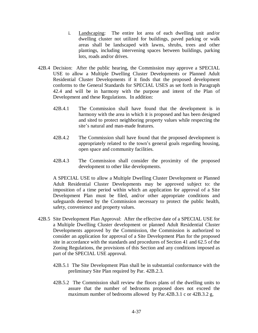- i. Landscaping: The entire lot area of each dwelling unit and/or dwelling cluster not utilized for buildings, paved parking or walk areas shall be landscaped with lawns, shrubs, trees and other plantings, including intervening spaces between buildings, parking lots, roads and/or drives.
- 42B.4 Decision: After the public hearing, the Commission may approve a SPECIAL USE to allow a Multiple Dwelling Cluster Developments or Planned Adult Residential Cluster Developments if it finds that the proposed development conforms to the General Standards for SPECIAL USES as set forth in Paragraph 42.4 and will be in harmony with the purpose and intent of the Plan of Development and these Regulations. In addition:
	- 42B.4.1 The Commission shall have found that the development is in harmony with the area in which it is proposed and has been designed and sited to protect neighboring property values while respecting the site's natural and man-made features.
	- 42B.4.2 The Commission shall have found that the proposed development is appropriately related to the town's general goals regarding housing, open space and community facilities.
	- 42B.4.3 The Commission shall consider the proximity of the proposed development to other like developments.

A SPECIAL USE to allow a Multiple Dwelling Cluster Development or Planned Adult Residential Cluster Developments may be approved subject to: the imposition of a time period within which an application for approval of a Site Development Plan must be filed, and/or other appropriate conditions and safeguards deemed by the Commission necessary to protect the public health, safety, convenience and property values.

- 42B.5 Site Development Plan Approval: After the effective date of a SPECIAL USE for a Multiple Dwelling Cluster development or planned Adult Residential Cluster Developments approved by the Commission, the Commission is authorized to consider an application for approval of a Site Development Plan for the proposed site in accordance with the standards and procedures of Section 41 and 62.5 of the Zoning Regulations, the provisions of this Section and any conditions imposed as part of the SPECIAL USE approval.
	- 42B.5.1 The Site Development Plan shall be in substantial conformance with the preliminary Site Plan required by Par. 42B.2.3.
	- 42B.5.2 The Commission shall review the floors plans of the dwelling units to assure that the number of bedrooms proposed does not exceed the maximum number of bedrooms allowed by Par.42B.3.1 c or 42B.3.2 g,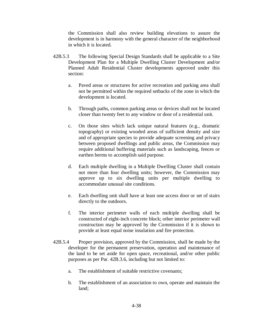the Commission shall also review building elevations to assure the development is in harmony with the general character of the neighborhood in which it is located.

- 42B.5.3 The following Special Design Standards shall be applicable to a Site Development Plan for a Multiple Dwelling Cluster Development and/or Planned Adult Residential Cluster developments approved under this section:
	- a. Paved areas or structures for active recreation and parking area shall not be permitted within the required setbacks of the zone in which the development is located.
	- b. Through paths, common parking areas or devices shall not be located closer than twenty feet to any window or door of a residential unit.
	- c. On those sites which lack unique natural features (e.g., dramatic topography) or existing wooded areas of sufficient density and size and of appropriate species to provide adequate screening and privacy between proposed dwellings and public areas, the Commission may require additional buffering materials such as landscaping, fences or earthen berms to accomplish said purpose.
	- d. Each multiple dwelling in a Multiple Dwelling Cluster shall contain not more than four dwelling units; however, the Commission may approve up to six dwelling units per multiple dwelling to accommodate unusual site conditions.
	- e. Each dwelling unit shall have at least one access door or set of stairs directly to the outdoors.
	- f. The interior perimeter walls of each multiple dwelling shall be constructed of eight-inch concrete block; other interior perimeter wall construction may be approved by the Commission if it is shown to provide at least equal noise insulation and fire protection.
- 42B.5.4 Proper provision, approved by the Commission, shall be made by the developer for the permanent preservation, operation and maintenance of the land to be set aside for open space, recreational, and/or other public purposes as per Par. 42B.3.6, including but not limited to:
	- a. The establishment of suitable restrictive covenants;
	- b. The establishment of an association to own, operate and maintain the land;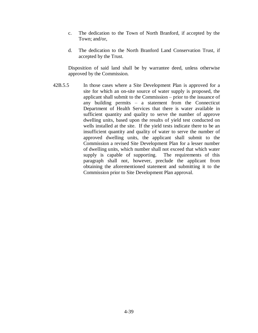- c. The dedication to the Town of North Branford, if accepted by the Town; and/or,
- d. The dedication to the North Branford Land Conservation Trust, if accepted by the Trust.

Disposition of said land shall be by warrantee deed, unless otherwise approved by the Commission.

42B.5.5 In those cases where a Site Development Plan is approved for a site for which an on-site source of water supply is proposed, the applicant shall submit to the Commission – prior to the issuance of any building permits  $-\alpha$  statement from the Connecticut Department of Health Services that there is water available in sufficient quantity and quality to serve the number of approve dwelling units, based upon the results of yield test conducted on wells installed at the site. If the yield tests indicate there to be an insufficient quantity and quality of water to serve the number of approved dwelling units, the applicant shall submit to the Commission a revised Site Development Plan for a lesser number of dwelling units, which number shall not exceed that which water supply is capable of supporting. The requirements of this paragraph shall not, however, preclude the applicant from obtaining the aforementioned statement and submitting it to the Commission prior to Site Development Plan approval.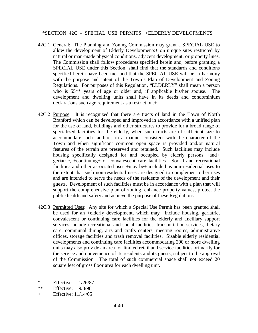\*SECTION 42C - SPECIAL USE PERMITS: +ELDERLY DEVELOPMENTS+

- 42C.1 General: The Planning and Zoning Commission may grant a SPECIAL USE to allow the development of Elderly Developments+ on unique sites restricted by natural or man-made physical conditions, adjacent development, or property lines. The Commission shall follow procedures specified herein and, before granting a SPECIAL USE under this Section, shall find that the standards and conditions specified herein have been met and that the SPECIAL USE will be in harmony with the purpose and intent of the Town's Plan of Development and Zoning Regulations. For purposes of this Regulation, "ELDERLY" shall mean a person who is 55\*\* years of age or older and, if applicable his/her spouse. The development and dwelling units shall have in its deeds and condominium declarations such age requirement as a restriction.+
- 42C.2 Purpose: It is recognized that there are tracts of land in the Town of North Branford which can be developed and improved in accordance with a unified plan for the use of land, buildings and other structures to provide for a broad range of specialized facilities for the elderly, when such tracts are of sufficient size to accommodate such facilities in a manner consistent with the character of the Town and when significant common open space is provided and/or natural features of the terrain are preserved and retained. Such facilities may include housing specifically designed for and occupied by elderly persons +and+ geriatric, +continuing+ or convalescent care facilities. Social and recreational facilities and other associated uses +may be+ included as non-residential uses to the extent that such non-residential uses are designed to complement other uses and are intended to serve the needs of the residents of the development and their guests. Development of such facilities must be in accordance with a plan that will support the comprehensive plan of zoning, enhance property values, protect the public health and safety and achieve the purpose of these Regulations.
- 42C.3 Permitted Uses: Any site for which a Special Use Permit has been granted shall be used for an +elderly development, which may+ include housing, geriatric, convalescent or continuing care facilities for the elderly and ancillary support services include recreational and social facilities, transportation services, dietary care, communal dining, arts and crafts centers, meeting rooms, administrative offices, storage facilities and trash removal facilities. Sizable elderly residential developments and continuing care facilities accommodating 200 or more dwelling units may also provide an area for limited retail and service facilities primarily for the service and convenience of its residents and its guests, subject to the approval of the Commission. The total of such commercial space shall not exceed 20 square feet of gross floor area for each dwelling unit.
- \* Effective: 1/26/87
- \*\* Effective: 9/3/98
- + Effective: 11/14/05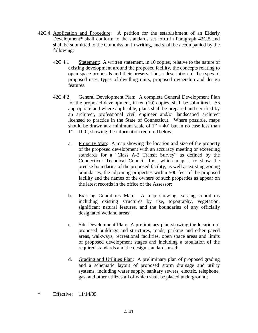- 42C.4 Application and Procedure: A petition for the establishment of an Elderly Development\* shall conform to the standards set forth in Paragraph 42C.5 and shall be submitted to the Commission in writing, and shall be accompanied by the following:
	- 42C.4.1 Statement: A written statement, in 10 copies, relative to the nature of existing development around the proposed facility, the concepts relating to open space proposals and their preservation, a description of the types of proposed uses, types of dwelling units, proposed ownership and design features.
	- 42C.4.2 General Development Plan: A complete General Development Plan for the proposed development, in ten (10) copies, shall be submitted. As appropriate and where applicable, plans shall be prepared and certified by an architect, professional civil engineer and/or landscaped architect licensed to practice in the State of Connecticut. Where possible, maps should be drawn at a minimum scale of  $1'' = 40'$  but in no case less than  $1" = 100'$ , showing the information required below:
		- a. Property Map: A map showing the location and size of the property of the proposed development with an accuracy meeting or exceeding standards for a "Class A-2 Transit Survey" as defined by the Connecticut Technical Council, Inc., which map is to show the precise boundaries of the proposed facility, as well as existing zoning boundaries, the adjoining properties within 500 feet of the proposed facility and the names of the owners of such properties as appear on the latest records in the office of the Assessor;
		- b. Existing Conditions Map: A map showing existing conditions including existing structures by use, topography, vegetation, significant natural features, and the boundaries of any officially designated wetland areas;
		- c. Site Development Plan: A preliminary plan showing the location of proposed buildings and structures, roads, parking and other paved areas, walkways, recreational facilities, open space areas and limits of proposed development stages and including a tabulation of the required standards and the design standards used;
		- d. Grading and Utilities Plan: A preliminary plan of proposed grading and a schematic layout of proposed storm drainage and utility systems, including water supply, sanitary sewers, electric, telephone, gas, and other utilizes all of which shall be placed underground;

<sup>\*</sup> Effective: 11/14/05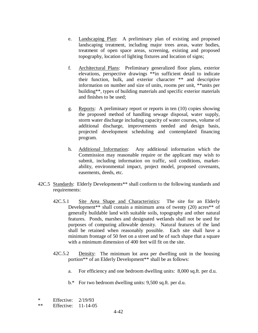- e. Landscaping Plan: A preliminary plan of existing and proposed landscaping treatment, including major trees areas, water bodies, treatment of open space areas, screening, existing and proposed topography, location of lighting fixtures and location of signs;
- f. Architectural Plans: Preliminary generalized floor plans, exterior elevations, perspective drawings \*\*in sufficient detail to indicate their function, bulk, and exterior character \*\* and descriptive information on number and size of units, rooms per unit, \*\*units per building\*\*, types of building materials and specific exterior materials and finishes to be used;
- g. Reports: A preliminary report or reports in ten (10) copies showing the proposed method of handling sewage disposal, water supply, storm water discharge including capacity of water courses, volume of additional discharge, improvements needed and design basis, projected development scheduling and contemplated financing program.
- h. Additional Information: Any additional information which the Commission may reasonable require or the applicant may wish to submit, including information on traffic, soil conditions, marketability, environmental impact, project model, proposed covenants, easements, deeds, etc.
- 42C.5 Standards: Elderly Developments<sup>\*\*</sup> shall conform to the following standards and requirements:
	- 42C.5.1 Site Area Shape and Characteristics: The site for an Elderly Development\*\* shall contain a minimum area of twenty (20) acres\*\* of generally buildable land with suitable soils, topography and other natural features. Ponds, marshes and designated wetlands shall not be used for purposes of computing allowable density. Natural features of the land shall be retained when reasonably possible. Each site shall have a minimum frontage of 50 feet on a street and be of such shape that a square with a minimum dimension of 400 feet will fit on the site.
	- 42C.5.2 Density: The minimum lot area per dwelling unit in the housing portion\*\* of an Elderly Development\*\* shall be as follows:
		- a. For efficiency and one bedroom dwelling units: 8,000 sq.ft. per d.u.
		- b.\* For two bedroom dwelling units: 9,500 sq.ft. per d.u.
- \* Effective: 2/19/93
- \*\* Effective: 11-14-05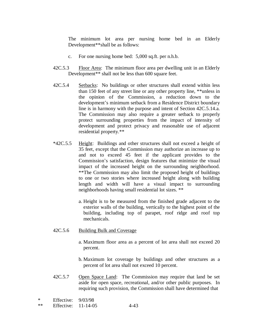The minimum lot area per nursing home bed in an Elderly Development\*\*shall be as follows:

- c. For one nursing home bed: 5,000 sq.ft. per n.h.b.
- 42C.5.3 Floor Area: The minimum floor area per dwelling unit in an Elderly Development\*\* shall not be less than 600 square feet.
- 42C.5.4 Setbacks: No buildings or other structures shall extend within less than 150 feet of any street line or any other property line, \*\*unless in the opinion of the Commission, a reduction down to the development's minimum setback from a Residence District boundary line is in harmony with the purpose and intent of Section 42C.5.14.a. The Commission may also require a greater setback to properly protect surrounding properties from the impact of intensity of development and protect privacy and reasonable use of adjacent residential property.\*\*
- \*42C.5.5 Height: Buildings and other structures shall not exceed a height of 35 feet, except that the Commission may authorize an increase up to and not to exceed 45 feet if the applicant provides to the Commission's satisfaction, design features that minimize the visual impact of the increased height on the surrounding neighborhood. \*\*The Commission may also limit the proposed height of buildings to one or two stories where increased height along with building length and width will have a visual impact to surrounding neighborhoods having small residential lot sizes. \*\*
	- a. Height is to be measured from the finished grade adjacent to the exterior walls of the building, vertically to the highest point of the building, including top of parapet, roof ridge and roof top mechanicals.
- 42C.5.6 Building Bulk and Coverage
	- a. Maximum floor area as a percent of lot area shall not exceed 20 percent.
	- b. Maximum lot coverage by buildings and other structures as a percent of lot area shall not exceed 10 percent.
- 42C.5.7 Open Space Land: The Commission may require that land be set aside for open space, recreational, and/or other public purposes. In requiring such provision, the Commission shall have determined that

```
* Effective: 9/03/98
```
\*\* Effective: 11-14-05 4-43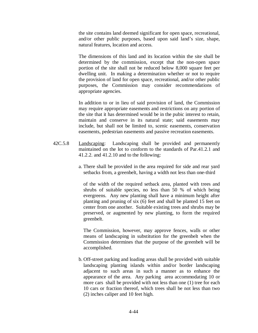the site contains land deemed significant for open space, recreational, and/or other public purposes, based upon said land's size, shape, natural features, location and access.

 The dimensions of this land and its location within the site shall be determined by the commission, except that the non-open space portion of the site shall not be reduced below 8,000 square feet per dwelling unit. In making a determination whether or not to require the provision of land for open space, recreational, and/or other public purposes, the Commission may consider recommendations of appropriate agencies.

 In addition to or in lieu of said provision of land, the Commission may require appropriate easements and restrictions on any portion of the site that it has determined would be in the pubic interest to retain, maintain and conserve in its natural state; said easements may include, but shall not be limited to, scenic easements, conservation easements, pedestrian easements and passive recreation easements.

- 42C.5.8 Landscaping: Landscaping shall be provided and permanently maintained on the lot to conform to the standards of Par.41.2.1 and 41.2.2. and 41.2.10 and to the following:
	- a. There shall be provided in the area required for side and rear yard setbacks from, a greenbelt, having a width not less than one-third

 of the width of the required setback area, planted with trees and shrubs of suitable species, no less than 50 % of which being evergreens. Any new planting shall have a minimum height after planting and pruning of six (6) feet and shall be planted 15 feet on center from one another. Suitable existing trees and shrubs may be preserved, or augmented by new planting, to form the required greenbelt.

 The Commission, however, may approve fences, walls or other means of landscaping in substitution for the greenbelt when the Commission determines that the purpose of the greenbelt will be accomplished.

 b. Off-street parking and loading areas shall be provided with suitable landscaping planting islands within and/or border landscaping adjacent to such areas in such a manner as to enhance the appearance of the area. Any parking area accommodating 10 or more cars shall be provided with not less than one (1) tree for each 10 cars or fraction thereof, which trees shall be not less than two (2) inches caliper and 10 feet high.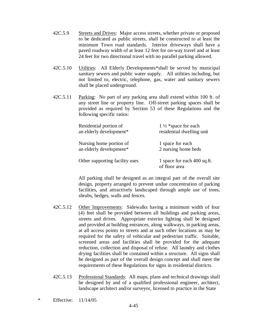- 42C.5.9 Streets and Drives: Major access streets, whether private or proposed to be dedicated as public streets, shall be constructed to at least the minimum Town road standards. Interior driveways shall have a paved roadway width of at least 12 feet for on-way travel and at least 24 feet for two directional travel with no parallel parking allowed.
- 42C.5.10 Utilities: All Elderly Developments\*shall be served by municipal sanitary sewers and public water supply. All utilities including, but not limited to, electric, telephone, gas, water and sanitary sewers shall be placed underground.
- 42C.5.11 Parking: No part of any parking area shall extend within 100 ft. of any street line or property line. Off-street parking spaces shall be provided as required by Section 53 of these Regulations and the following specific ratios:

| Residential portion of         | $1\frac{1}{2}$ *space for each               |
|--------------------------------|----------------------------------------------|
| an elderly development*        | residential dwelling unit                    |
| Nursing home portion of        | 1 space for each                             |
| an elderly development*        | 2 nursing home beds                          |
| Other supporting facility uses | 1 space for each 400 sq.ft.<br>of floor area |

All parking shall be designed as an integral part of the overall site design, property arranged to prevent undue concentration of parking facilities, and attractively landscaped through ample use of trees, shrubs, hedges, walls and fences.

- 42C.5.12 Other Improvements: Sidewalks having a minimum width of four (4) feet shall be provided between all buildings and parking areas, streets and drives. Appropriate exterior lighting shall be designed and provided at building entrances, along walkways, in parking areas, at all access points to streets and at such other locations as may be required for the safety of vehicular and pedestrian traffic. Suitable, screened areas and facilities shall be provided for the adequate reduction, collection and disposal of refuse. All laundry and clothes drying facilities shall be contained within a structure. All signs shall be designed as part of the overall design concept and shall meet the requirements of these Regulations for signs in residential districts.
- 42C.5.13 Professional Standards: All maps, plans and technical drawings shall be designed by and of a qualified professional engineer, architect, landscape architect and/or surveyor, licensed to practice in the State
- \* Effective: 11/14/05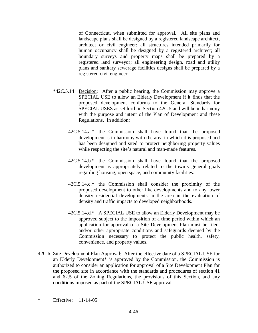of Connecticut, when submitted for approval. All site plans and landscape plans shall be designed by a registered landscape architect, architect or civil engineer; all structures intended primarily for human occupancy shall be designed by a registered architect; all boundary surveys and property maps shall be prepared by a registered land surveyor; all engineering design, road and utility plans and sanitary sewerage facilities designs shall be prepared by a registered civil engineer.

- \*42C.5.14 Decision: After a public hearing, the Commission may approve a SPECIAL USE to allow an Elderly Development if it finds that the proposed development conforms to the General Standards for SPECIAL USES as set forth in Section 42C.5 and will be in harmony with the purpose and intent of the Plan of Development and these Regulations. In addition:
	- 42C.5.14.a \* the Commission shall have found that the proposed development is in harmony with the area in which it is proposed and has been designed and sited to protect neighboring property values while respecting the site's natural and man-made features.
	- 42C.5.14.b.\* the Commission shall have found that the proposed development is appropriately related to the town's general goals regarding housing, open space, and community facilities.
	- 42C.5.14.c.\* the Commission shall consider the proximity of the proposed development to other like developments and to any lower density residential developments in the area in the evaluation of density and traffic impacts to developed neighborhoods.
	- 42C.5.14.d.\* A SPECIAL USE to allow an Elderly Development may be approved subject to the imposition of a time period within which an application for approval of a Site Development Plan must be filed, and/or other appropriate conditions and safeguards deemed by the Commission necessary to protect the public health, safety, convenience, and property values.
- 42C.6 Site Development Plan Approval: After the effective date of a SPECIAL USE for an Elderly Development\* is approved by the Commission, the Commission is authorized to consider an application for approval of a Site Development Plan for the proposed site in accordance with the standards and procedures of section 41 and 62.5 of the Zoning Regulations, the provisions of this Section, and any conditions imposed as part of the SPECIAL USE approval.
- \* Effective: 11-14-05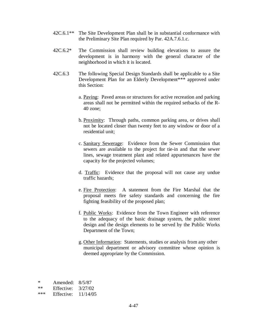- 42C.6.1\*\* The Site Development Plan shall be in substantial conformance with the Preliminary Site Plan required by Par. 42A.7.6.1.c.
- 42C.6.2\* The Commission shall review building elevations to assure the development is in harmony with the general character of the neighborhood in which it is located.
- 42C.6.3 The following Special Design Standards shall be applicable to a Site Development Plan for an Elderly Development\*\*\* approved under this Section:
	- a. Paving: Paved areas or structures for active recreation and parking areas shall not be permitted within the required setbacks of the R-40 zone;
	- b. Proximity: Through paths, common parking area, or drives shall not be located closer than twenty feet to any window or door of a residential unit;
	- c. Sanitary Sewerage: Evidence from the Sewer Commission that sewers are available to the project for tie-in and that the sewer lines, sewage treatment plant and related appurtenances have the capacity for the projected volumes;
	- d. Traffic: Evidence that the proposal will not cause any undue traffic hazards;
	- e. Fire Protection: A statement from the Fire Marshal that the proposal meets fire safety standards and concerning the fire fighting feasibility of the proposed plan;
	- f. Public Works: Evidence from the Town Engineer with reference to the adequacy of the basic drainage system, the public street design and the design elements to be served by the Public Works Department of the Town;
	- g. Other Information: Statements, studies or analysis from any other municipal department or advisory committee whose opinion is deemed appropriate by the Commission.

| *   | Amended:   | 8/5/87   |
|-----|------------|----------|
| **  | Effective: | 3/27/02  |
| *** | Effective: | 11/14/05 |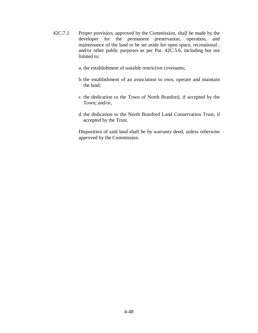- 42C.7.1 Proper provision, approved by the Commission, shall be made by the developer for the permanent preservation, operation, and maintenance of the land to be set aside for open space, recreational , and/or other public purposes as per Par. 42C.5.6, including but not limited to:
	- a. the establishment of suitable restrictive covenants;
	- b. the establishment of an association to own, operate and maintain the land;
	- c. the dedication to the Town of North Branford, if accepted by the Town; and/or,
	- d. the dedication to the North Branford Land Conservation Trust, if accepted by the Trust.

 Disposition of said land shall be by warranty deed, unless otherwise approved by the Commission.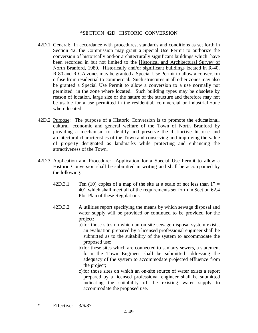### \*SECTION 42D HISTORIC CONVERSION

- 42D.1 General: In accordance with procedures, standards and conditions as set forth in Section 42, the Commission may grant a Special Use Permit to authorize the conversion of historically and/or architecturally significant buildings which have been recorded in but not limited to the Historical and Architectural Survey of North Branford, 1980. Historically and/or significant buildings located in R-40, R-80 and R-GA zones may be granted a Special Use Permit to allow a conversion o fuse from residential to commercial. Such structures in all other zones may also be granted a Special Use Permit to allow a conversion to a use normally not permitted in the zone where located. Such building types may be obsolete by reason of location, large size or the nature of the structure and therefore may not be usable for a use permitted in the residential, commercial or industrial zone where located.
- 42D.2 Purpose: The purpose of a Historic Conversion is to promote the educational, cultural, economic and general welfare of the Town of North Branford by providing a mechanism to identify and preserve the distinctive historic and architectural characteristics of the Town and conserving and improving the value of property designated as landmarks while protecting and enhancing the attractiveness of the Town.
- 42D.3 Application and Procedure: Application for a Special Use Permit to allow a Historic Conversion shall be submitted in writing and shall be accompanied by the following:
	- 42D.3.1 Ten (10) copies of a map of the site at a scale of not less than  $1'' =$ 40¶, which shall meet all of the requirements set forth in Section 62.4 Plot Plan of these Regulations.
	- 42D.3.2 A utilities report specifying the means by which sewage disposal and water supply will be provided or continued to be provided for the project:
		- a) for those sites on which an on-site sewage disposal system exists, an evaluation prepared by a licensed professional engineer shall be submitted as to the suitability of the system to accommodate the proposed use;
		- b) for these sites which are connected to sanitary sewers, a statement form the Town Engineer shall be submitted addressing the adequacy of the system to accommodate projected effluence from the project;
		- c) for those sites on which an on-site source of water exists a report prepared by a licensed professional engineer shall be submitted indicating the suitability of the existing water supply to accommodate the proposed use.

\* Effective: 3/6/87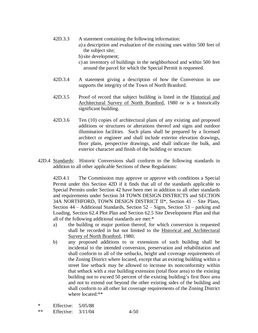- 42D.3.3 A statement containing the following information:
	- a) a description and evaluation of the existing uses within 500 feet of the subject site;
	- b) site development;
	- c) an inventory of buildings in the neighborhood and within 500 feet around the parcel for which the Special Permit is requested.
- 42D.3.4 A statement giving a description of how the Conversion in use supports the integrity of the Town of North Branford.
- 42D.3.5 Proof of record that subject building is listed in the Historical and Architectural Survey of North Branford, 1980 or is a historically significant building.
- 42D.3.6 Ten (10) copies of architectural plans of any existing and proposed additions or structures or alterations thereof and signs and outdoor illumination facilities. Such plans shall be prepared by a licensed architect or engineer and shall include exterior elevation drawings, floor plans, perspective drawings, and shall indicate the bulk, and exterior character and finish of the building or structure.
- 42D.4 Standards: Historic Conversions shall conform to the following standards in addition to all other applicable Sections of these Regulations:

 42D.4.1 The Commission may approve or approve with conditions a Special Permit under this Section 42D if it finds that all of the standards applicable to Special Permits under Section 42 have been met in addition to all other standards and requirements under Section 34 TOWN DESIGN DISTRICTS and SECTION 34A NORTHFORD, TOWN DESIGN DISTRICT  $II^*$ , Section 41 – Site Plans, Section  $44 -$  Additional Standards, Section  $52 -$  Signs, Section  $53 -$  parking and Loading, Section 62.4 Plot Plan and Section 62.5 Site Development Plan and that all of the following additional standards are met:\*

- a) the building or major portion thereof, for which conversion is requested shall be recorded in but not limited to the Historical and Architectural Survey of North Branford, 1980;
- b) any proposed additions to or extensions of such building shall be incidental to the intended conversion, preservation and rehabilitation and shall conform to all of the setbacks, height and coverage requirements of the Zoning District where located, except that an existing building within a street line setback may be allowed to increase its nonconformity within that setback with a rear building extension (total floor area) to the existing building not to exceed 50 percent of the existing building's first floor area and not to extend out beyond the other existing sides of the building and shall conform to all other lot coverage requirements of the Zoning District where located:\*\*

<sup>\*</sup> Effective: 5/05/88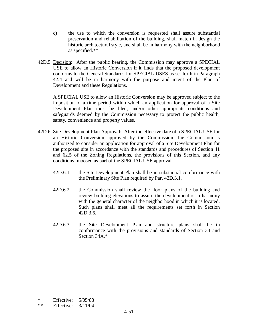- c) the use to which the conversion is requested shall assure substantial preservation and rehabilitation of the building, shall match in design the historic architectural style, and shall be in harmony with the neighborhood as specified.\*\*
- 42D.5 Decision: After the public hearing, the Commission may approve a SPECIAL USE to allow an Historic Conversion if it finds that the proposed development conforms to the General Standards for SPECIAL USES as set forth in Paragraph 42.4 and will be in harmony with the purpose and intent of the Plan of Development and these Regulations.

 A SPECIAL USE to allow an Historic Conversion may be approved subject to the imposition of a time period within which an application for approval of a Site Development Plan must be filed, and/or other appropriate conditions and safeguards deemed by the Commission necessary to protect the public health, safety, convenience and property values.

- 42D.6 Site Development Plan Approval: After the effective date of a SPECIAL USE for an Historic Conversion approved by the Commission, the Commission is authorized to consider an application for approval of a Site Development Plan for the proposed site in accordance with the standards and procedures of Section 41 and 62.5 of the Zoning Regulations, the provisions of this Section, and any conditions imposed as part of the SPECIAL USE approval.
	- 42D.6.1 the Site Development Plan shall be in substantial conformance with the Preliminary Site Plan required by Par. 42D.3.1.
	- 42D.6.2 the Commission shall review the floor plans of the building and review building elevations to assure the development is in harmony with the general character of the neighborhood in which it is located. Such plans shall meet all the requirements set forth in Section 42D.3.6.
	- 42D.6.3 the Site Development Plan and structure plans shall be in conformance with the provisions and standards of Section 34 and Section 34A.\*

\* Effective: 5/05/88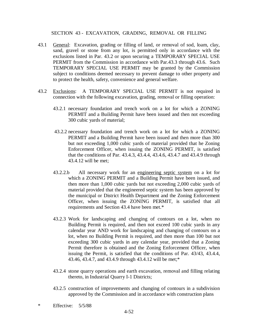### SECTION 43 - EXCAVATION, GRADING, REMOVAL OR FILLING

- 43.1 General: Excavation, grading or filling of land, or removal of sod, loam, clay, sand, gravel or stone from any lot, is permitted only in accordance with the exclusions listed in Par. 43.2 or upon securing a TEMPORARY SPECIAL USE PERMIT from the Commission in accordance with Par.43.3 through 43.6. Such TEMPORARY SPECIAL USE PERMIT may be granted by the Commission subject to conditions deemed necessary to prevent damage to other property and to protect the health, safety, convenience and general welfare.
- 43.2 Exclusions: A TEMPORARY SPECIAL USE PERMIT is not required in connection with the following excavation, grading, removal or filling operation:
	- 43.2.1 necessary foundation and trench work on a lot for which a ZONING PERMIT and a Building Permit have been issued and then not exceeding 300 cubic yards of material;
	- 43.2.2 necessary foundation and trench work on a lot for which a ZONING PERMIT and a Building Permit have been issued and then more than 300 but not exceeding 1,000 cubic yards of material provided that he Zoning Enforcement Officer, when issuing the ZONING PERMIT, is satisfied that the conditions of Par. 43.4.3, 43.4.4, 43.4.6, 43.4.7 and 43.4.9 through 43.4.12 will be met;
	- 43.2.2.b All necessary work for an engineering septic system on a lot for which a ZONING PERMIT and a Building Permit have been issued, and then more than 1,000 cubic yards but not exceeding 2,000 cubic yards of material provided that the engineered septic system has been approved by the municipal or District Health Department and the Zoning Enforcement Officer, when issuing the ZONING PERMIT, is satisfied that all requirements and Section 43.4 have been met.\*
	- 43.2.3 Work for landscaping and changing of contours on a lot, when no Building Permit is required, and then not exceed 100 cubic yards in any calendar year AND work for landscaping and changing of contours on a lot, when no Building Permit is required, and then more than 100 but not exceeding 300 cubic yards in any calendar year, provided that a Zoning Permit therefore is obtained and the Zoning Enforcement Officer, when issuing the Permit, is satisfied that the conditions of Par. 43/43, 43.4.4, 43.46, 43.4.7, and 43.4.9 through 43.4.12 will be met;\*
	- 43.2.4 stone quarry operations and earth excavation, removal and filling relating thereto, in Industrial Quarry I-1 Districts;
	- 43.2.5 construction of improvements and changing of contours in a subdivision approved by the Commission and in accordance with construction plans
- \* Effective: 5/5/88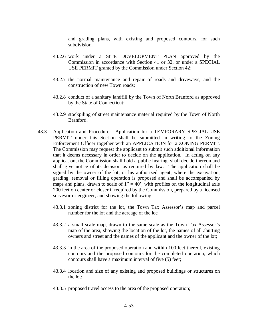and grading plans, with existing and proposed contours, for such subdivision.

- 43.2.6 work under a SITE DEVELOPMENT PLAN approved by the Commission in accordance with Section 41 or 32, or under a SPECIAL USE PERMIT granted by the Commission under Section 42;
- 43.2.7 the normal maintenance and repair of roads and driveways, and the construction of new Town roads;
- 43.2.8 conduct of a sanitary landfill by the Town of North Branford as approved by the State of Connecticut;
- 43.2.9 stockpiling of street maintenance material required by the Town of North Branford.
- 43.3 Application and Procedure: Application for a TEMPORARY SPECIAL USE PERMIT under this Section shall be submitted in writing to the Zoning Enforcement Officer together with an APPLICATION for a ZONING PERMIT. The Commission may request the applicant to submit such additional information that it deems necessary in order to decide on the application. In acting on any application, the Commission shall hold a public hearing, shall decide thereon and shall give notice of its decision as required by law. The application shall be signed by the owner of the lot, or his authorized agent, where the excavation, grading, removal or filling operation is proposed and shall be accompanied by maps and plans, drawn to scale of  $1'' = 40'$ , with profiles on the longitudinal axis 200 feet on center or closer if required by the Commission, prepared by a licensed surveyor or engineer, and showing the following:
	- 43.3.1 zoning district for the lot, the Town Tax Assessor's map and parcel number for the lot and the acreage of the lot;
	- 43.3.2 a small scale map, drawn to the same scale as the Town Tax Assessor's map of the area, showing the location of the lot, the names of all abutting owners and street and the names of the applicant and the owner of the lot;
	- 43.3.3 in the area of the proposed operation and within 100 feet thereof, existing contours and the proposed contours for the completed operation, which contours shall have a maximum interval of five (5) feet;
	- 43.3.4 location and size of any existing and proposed buildings or structures on the lot;
	- 43.3.5 proposed travel access to the area of the proposed operation;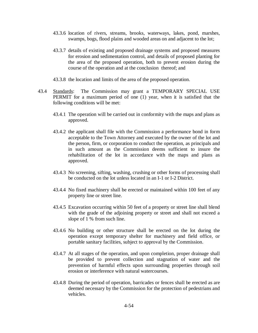- 43.3.6 location of rivers, streams, brooks, waterways, lakes, pond, marshes, swamps, bogs, flood plains and wooded areas on and adjacent to the lot;
- 43.3.7 details of existing and proposed drainage systems and proposed measures for erosion and sedimentation control, and details of proposed planting for the area of the proposed operation, both to prevent erosion during the course of the operation and at the conclusion thereof; and
- 43.3.8 the location and limits of the area of the proposed operation.
- 43.4 Standards: The Commission may grant a TEMPORARY SPECIAL USE PERMIT for a maximum period of one (1) year, when it is satisfied that the following conditions will be met:
	- 43.4.1 The operation will be carried out in conformity with the maps and plans as approved.
	- 43.4.2 the applicant shall file with the Commission a performance bond in form acceptable to the Town Attorney and executed by the owner of the lot and the person, firm, or corporation to conduct the operation, as principals and in such amount as the Commission deems sufficient to insure the rehabilitation of the lot in accordance with the maps and plans as approved.
	- 43.4.3 No screening, sifting, washing, crushing or other forms of processing shall be conducted on the lot unless located in an I-1 or I-2 District.
	- 43.4.4 No fixed machinery shall be erected or maintained within 100 feet of any property line or street line.
	- 43.4.5 Excavation occurring within 50 feet of a property or street line shall blend with the grade of the adjoining property or street and shall not exceed a slope of 1 % from such line.
	- 43.4.6 No building or other structure shall be erected on the lot during the operation except temporary shelter for machinery and field office, or portable sanitary facilities, subject to approval by the Commission.
	- 43.4.7 At all stages of the operation, and upon completion, proper drainage shall be provided to prevent collection and stagnation of water and the prevention of harmful effects upon surrounding properties through soil erosion or interference with natural watercourses.
	- 43.4.8 During the period of operation, barricades or fences shall be erected as are deemed necessary by the Commission for the protection of pedestrians and vehicles.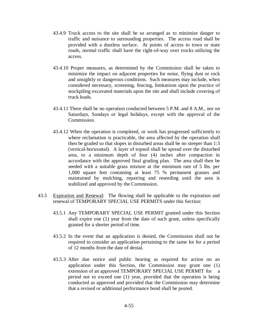- 43.4.9 Truck access to the site shall be so arranged as to minimize danger to traffic and nuisance to surrounding properties. The access road shall be provided with a dustless surface. At points of access to town or state roads, normal traffic shall have the right-of-way over trucks utilizing the access.
- 43.4.10 Proper measures, as determined by the Commission shall be taken to minimize the impact on adjacent properties for noise, flying dust or rock and unsightly or dangerous conditions. Such measures may include, when considered necessary, screening, fencing, limitations upon the practice of stockpiling excavated materials upon the site and shall include covering of truck loads.
- 43.4.11 There shall be no operation conducted between 5 P.M. and 8 A.M., nor on Saturdays, Sundays or legal holidays, except with the approval of the Commission.
- 43.4.12 When the operation is completed, or work has progressed sufficiently to where reclamation is practicable, the area affected by the operation shall then be graded so that slopes in disturbed areas shall be no steeper than 1:3 (vertical-horizontal). A layer of topsoil shall be spread over the disturbed area, to a minimum depth of four (4) inches after compaction in accordance with the approved final grading plan. The area shall then be seeded with a suitable grass mixture at the minimum rate of 5 lbs. per 1,000 square feet containing at least 75 % permanent grasses and maintained by mulching, repairing and reseeding until the area is stabilized and approved by the Commission.
- 43.5 Expiration and Renewal: The flowing shall be applicable to the expiration and renewal of TEMPORARY SPECIAL USE PERMITS under this Section:
	- 43.5.1 Any TEMPORARY SPECIAL USE PERMIT granted under this Section shall expire one (1) year from the date of such grant, unless specifically granted for a shorter period of time.
	- 43.5.2 In the event that an application is denied, the Commission shall not be required to consider an application pertaining to the same lot for a period of 12 months from the date of denial.
	- 43.5.3 After due notice and public hearing as required for action on an application under this Section, the Commission may grant one (1) extension of an approved TEMPORARY SPECIAL USE PERMIT for a period not to exceed one (1) year, provided that the operation is being conducted as approved and provided that the Commission may determine that a revised or additional performance bond shall be posted.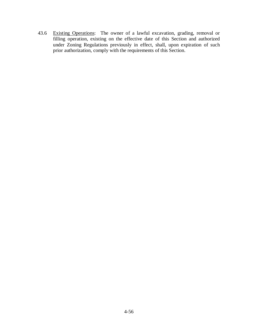43.6 Existing Operations: The owner of a lawful excavation, grading, removal or filling operation, existing on the effective date of this Section and authorized under Zoning Regulations previously in effect, shall, upon expiration of such prior authorization, comply with the requirements of this Section.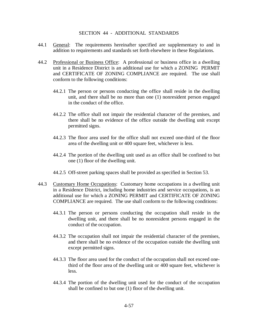### SECTION 44 - ADDITIONAL STANDARDS

- 44.1 General: The requirements hereinafter specified are supplementary to and in addition to requirements and standards set forth elsewhere in these Regulations.
- 44.2 Professional or Business Office: A professional or business office in a dwelling unit in a Residence District is an additional use for which a ZONING PERMIT and CERTIFICATE OF ZONING COMPLIANCE are required. The use shall conform to the following conditions:
	- 44.2.1 The person or persons conducting the office shall reside in the dwelling unit, and there shall be no more than one (1) nonresident person engaged in the conduct of the office.
	- 44.2.2 The office shall not impair the residential character of the premises, and there shall be no evidence of the office outside the dwelling unit except permitted signs.
	- 44.2.3 The floor area used for the office shall not exceed one-third of the floor area of the dwelling unit or 400 square feet, whichever is less.
	- 44.2.4 The portion of the dwelling unit used as an office shall be confined to but one (1) floor of the dwelling unit.
	- 44.2.5 Off-street parking spaces shall be provided as specified in Section 53.
- 44.3 Customary Home Occupations: Customary home occupations in a dwelling unit in a Residence District, including home industries and service occupations, is an additional use for which a ZONING PERMIT and CERTIFICATE OF ZONING COMPLIANCE are required. The use shall conform to the following conditions:
	- 44.3.1 The person or persons conducting the occupation shall reside in the dwelling unit, and there shall be no nonresident persons engaged in the conduct of the occupation.
	- 44.3.2 The occupation shall not impair the residential character of the premises, and there shall be no evidence of the occupation outside the dwelling unit except permitted signs.
	- 44.3.3 The floor area used for the conduct of the occupation shall not exceed onethird of the floor area of the dwelling unit or 400 square feet, whichever is less.
	- 44.3.4 The portion of the dwelling unit used for the conduct of the occupation shall be confined to but one (1) floor of the dwelling unit.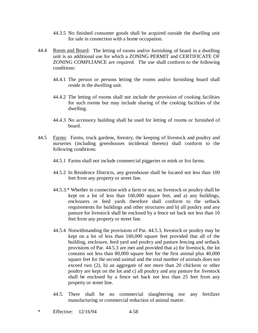- 44.3.5 No finished consumer goods shall be acquired outside the dwelling unit for sale in connection with a home occupation.
- 44.4 Room and Board: The letting of rooms and/or furnishing of board in a dwelling unit is an additional use for which a ZONING PERMIT and CERTIFICATE OF ZONING COMPLIANCE are required. The use shall conform to the following conditions:
	- 44.4.1 The person or persons letting the rooms and/or furnishing board shall reside in the dwelling unit.
	- 44.4.2 The letting of rooms shall not include the provision of cooking facilities for such rooms but may include sharing of the cooking facilities of the dwelling.
	- 44.4.3 No accessory building shall be used for letting of rooms or furnished of board.
- 44.5 Farms: Farms, truck gardens, forestry, the keeping of livestock and poultry and nurseries (including greenhouses incidental thereto) shall conform to the following conditions:
	- 44.5.1 Farms shall not include commercial piggeries or mink or fox farms.
	- 44.5.2 In Residence Districts, any greenhouse shall be located not less than 100 feet from any property or street line.
	- 44.5.3.\* Whether in connection with a farm or not, no livestock or poultry shall be kept on a lot of less than 160,000 square feet, and a) any buildings, enclosures or feed yards therefore shall conform to the setback requirements for buildings and other structures and b) all poultry and any pasture for livestock shall be enclosed by a fence set back not less than 10 feet from any property or street line.
	- 44.5.4 Notwithstanding the provisions of Par. 44.5.3, livestock or poultry may be kept on a lot of less than 160,000 square feet provided that all of the building, enclosure, feed yard and poultry and pasture fencing and setback provisions of Par. 44.5.3 are met and provided that a) for livestock, the lot contains not less than 80,000 square feet for the first animal plus 40,000 square feet for the second animal and the total number of animals does not exceed two (2), b) an aggregate of not more than 20 chickens or other poultry are kept on the lot and c) all poultry and any pasture for livestock shall be enclosed by a fence set back not less than 25 feet from any property or street line.
	- 44.5. There shall be no commercial slaughtering nor any fertilizer manufacturing or commercial reduction of animal matter.
- \* Effective: 12/16/94 4-58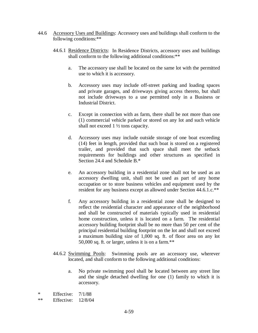- 44.6 Accessory Uses and Buildings: Accessory uses and buildings shall conform to the following conditions:\*\*
	- 44.6.1 Residence Districts: In Residence Districts, accessory uses and buildings shall conform to the following additional conditions: \*\*
		- a. The accessory use shall be located on the same lot with the permitted use to which it is accessory.
		- b. Accessory uses may include off-street parking and loading spaces and private garages, and driveways giving access thereto, but shall not include driveways to a use permitted only in a Business or Industrial District.
		- c. Except in connection with as farm, there shall be not more than one (1) commercial vehicle parked or stored on any lot and such vehicle shall not exceed 1 ½ tons capacity.
		- d. Accessory uses may include outside storage of one boat exceeding (14) feet in length, provided that such boat is stored on a registered trailer, and provided that such space shall meet the setback requirements for buildings and other structures as specified in Section 24.4 and Schedule B.\*
		- e. An accessory building in a residential zone shall not be used as an accessory dwelling unit, shall not be used as part of any home occupation or to store business vehicles and equipment used by the resident for any business except as allowed under Section 44.6.1.c.\*\*
		- f. Any accessory building in a residential zone shall be designed to reflect the residential character and appearance of the neighborhood and shall be constructed of materials typically used in residential home construction, unless it is located on a farm. The residential accessory building footprint shall be no more than 50 per cent of the principal residential building footprint on the lot and shall not exceed a maximum building size of 1,000 sq. ft. of floor area on any lot 50,000 sq. ft. or larger, unless it is on a farm.\*\*
	- 44.6.2 Swimming Pools: Swimming pools are an accessory use, wherever located, and shall conform to the following additional conditions:
		- a. No private swimming pool shall be located between any street line and the single detached dwelling for one (1) family to which it is accessory.
- \* Effective: 7/1/88

<sup>\*\*</sup> Effective: 12/8/04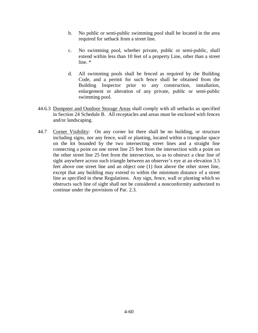- b. No public or semi-public swimming pool shall be located in the area required for setback from a street line.
- c. No swimming pool, whether private, public or semi-public, shall extend within less than 10 feet of a property Line, other than a street line. \*
- d. All swimming pools shall be fenced as required by the Building Code, and a permit for such fence shall be obtained from the Building Inspector prior to any construction, installation, enlargement or alteration of any private, public or semi-public swimming pool.
- 44.6.3 Dumpster and Outdoor Storage Areas shall comply with all setbacks as specified in Section 24 Schedule B. All receptacles and areas must be enclosed with fences and/or landscaping.
- 44.7 Corner Visibility: On any corner lot there shall be no building, or structure including signs, nor any fence, wall or planting, located within a triangular space on the lot bounded by the two intersecting street lines and a straight line connecting a point on one street line 25 feet from the intersection with a point on the other street line 25 feet from the intersection, so as to obstruct a clear line of sight anywhere across such triangle between an observer's eye at an elevation 3.5 feet above one street line and an object one (1) foot above the other street line, except that any building may extend to within the minimum distance of a street line as specified in these Regulations. Any sign, fence, wall or planting which so obstructs such line of sight shall not be considered a nonconformity authorized to continue under the provisions of Par. 2.3.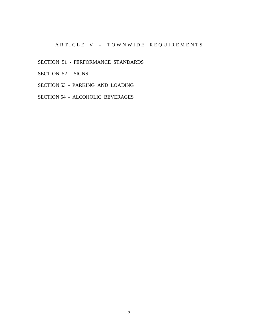# ARTICLE V - TOWNWIDE REQUIREMENTS

SECTION 51 - PERFORMANCE STANDARDS

SECTION 52 - SIGNS

SECTION 53 - PARKING AND LOADING

SECTION 54 - ALCOHOLIC BEVERAGES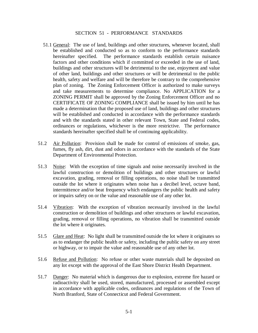### SECTION 51 - PERFORMANCE STANDARDS

- 51.1 General: The use of land, buildings and other structures, whenever located, shall be established and conducted so as to conform to the performance standards hereinafter specified. The performance standards establish certain nuisance factors and other conditions which if committed or exceeded in the use of land, buildings and other structures will be detrimental to the use, enjoyment and value of other land, buildings and other structures or will be detrimental to the public health, safety and welfare and will be therefore be contrary to the comprehensive plan of zoning. The Zoning Enforcement Officer is authorized to make surveys and take measurements to determine compliance. No APPLICATION for a ZONING PERMIT shall be approved by the Zoning Enforcement Officer and no CERTIFICATE OF ZONING COMPLIANCE shall be issued by him until he has made a determination that the proposed use of land, buildings and other structures will be established and conducted in accordance with the performance standards and with the standards stated in other relevant Town, State and Federal codes, ordinances or regulations, whichever is the more restrictive. The performance standards hereinafter specified shall be of continuing applicability.
- 51.2 Air Pollution: Provision shall be made for control of emissions of smoke, gas, fumes, fly ash, dirt, dust and odors in accordance with the standards of the State Department of Environmental Protection.
- 51.3 Noise: With the exception of time signals and noise necessarily involved in the lawful construction or demolition of buildings and other structures or lawful excavation, grading, removal or filling operations, no noise shall be transmitted outside the lot where it originates when noise has a decibel level, octave band, intermittence and/or beat frequency which endangers the public health and safety or impairs safety on or the value and reasonable use of any other lot.
- 51.4 Vibration: With the exception of vibration necessarily involved in the lawful construction or demolition of buildings and other structures or lawful excavation, grading, removal or filling operations, no vibration shall be transmitted outside the lot where it originates.
- 51.5 Glare and Heat: No light shall be transmitted outside the lot where it originates so as to endanger the public health or safety, including the public safety on any street or highway, or to impair the value and reasonable use of any other lot.
- 51.6 Refuse and Pollution: No refuse or other waste materials shall be deposited on any lot except with the approval of the East Shore District Health Department.
- 51.7 Danger: No material which is dangerous due to explosion, extreme fire hazard or radioactivity shall be used, stored, manufactured, processed or assembled except in accordance with applicable codes, ordinances and regulations of the Town of North Branford, State of Connecticut and Federal Government.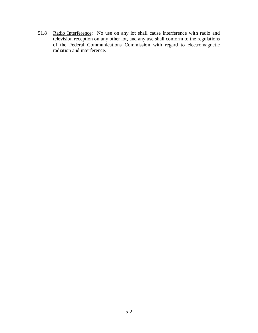51.8 Radio Interference: No use on any lot shall cause interference with radio and television reception on any other lot, and any use shall conform to the regulations of the Federal Communications Commission with regard to electromagnetic radiation and interference.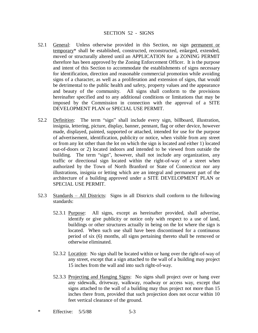#### SECTION 52 - SIGNS

- 52.1 General: Unless otherwise provided in this Section, no sign permanent or temporary\* shall be established, constructed, reconstructed, enlarged, extended, moved or structurally altered until an APPLICATION for a ZONING PERMIT therefore has been approved by the Zoning Enforcement Officer. It is the purpose and intent of this Section to accommodate the establishments of signs necessary for identification, direction and reasonable commercial promotion while avoiding signs of a character, as well as a proliferation and extension of signs, that would be detrimental to the public health and safety, property values and the appearance and beauty of the community. All signs shall conform to the provisions hereinafter specified and to any additional conditions or limitations that may be imposed by the Commission in connection with the approval of a SITE DEVELOPMENT PLAN or SPECIAL USE PERMIT.
- 52.2 Definition: The term "sign" shall include every sign, billboard, illustration, insignia, lettering, picture, display, banner, pennant, flag or other device, however made, displayed, painted, supported or attached, intended for use for the purpose of advertisement, identification, publicity or notice, when visible from any street or from any lot other than the lot on which the sign is located and either 1) located out-of-doors or 2) located indoors and intended to be viewed from outside the building. The term "sign", however, shall not include any organization, any traffic or directional sign located within the right-of-way of a street when authorized by the Town of North Branford or State of Connecticut nor any illustrations, insignia or letting which are an integral and permanent part of the architecture of a building approved under a SITE DEVELOPMENT PLAN or SPECIAL USE PERMIT.
- 52.3 Standards  $-$  All Districts: Signs in all Districts shall conform to the following standards:
	- 52.3.1 Purpose: All signs, except as hereinafter provided, shall advertise, identify or give publicity or notice only with respect to a use of land, buildings or other structures actually in being on the lot where the sign is located. When such use shall have been discontinued for a continuous period of six (6) months, all signs pertaining thereto shall be removed or otherwise eliminated.
	- 52.3.2 Location: No sign shall be located within or hang over the right-of-way of any street, except that a sign attached to the wall of a building may project 15 inches from the wall and into such right-of-way.
	- 52.3.3 Projecting and Hanging Signs: No signs shall project over or hang over any sidewalk, driveway, walkway, roadway or access way, except that signs attached to the wall of a building may thus project not more than 15 inches there from, provided that such projection does not occur within 10 feet vertical clearance of the ground.
- \* Effective: 5/5/88 5-3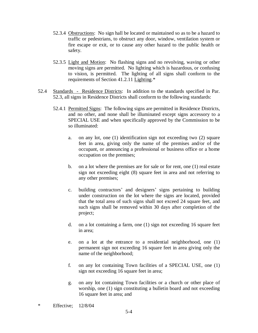- 52.3.4 Obstructions: No sign hall be located or maintained so as to be a hazard to traffic or pedestrians, to obstruct any door, window, ventilation system or fire escape or exit, or to cause any other hazard to the public health or safety.
- 52.3.5 Light and Motion: No flashing signs and no revolving, waving or other moving signs are permitted. No lighting which is hazardous, or confusing to vision, is permitted. The lighting of all signs shall conform to the requirements of Section 41.2.11 Lighting.\*
- 52.4 Standards Residence Districts: In addition to the standards specified in Par. 52.3, all signs in Residence Districts shall conform to the following standards:
	- 52.4.1 Permitted Signs: The following signs are permitted in Residence Districts, and no other, and none shall be illuminated except signs accessory to a SPECIAL USE and when specifically approved by the Commission to be so illuminated:
		- a. on any lot, one (1) identification sign not exceeding two (2) square feet in area, giving only the name of the premises and/or of the occupant, or announcing a professional or business office or a home occupation on the premises;
		- b. on a lot where the premises are for sale or for rent, one (1) real estate sign not exceeding eight (8) square feet in area and not referring to any other premises;
		- c. building contractors' and designers' signs pertaining to building under construction on the lot where the signs are located, provided that the total area of such signs shall not exceed 24 square feet, and such signs shall be removed within 30 days after completion of the project;
		- d. on a lot containing a farm, one (1) sign not exceeding 16 square feet in area;
		- e. on a lot at the entrance to a residential neighborhood, one (1) permanent sign not exceeding 16 square feet in area giving only the name of the neighborhood;
		- f. on any lot containing Town facilities of a SPECIAL USE, one (1) sign not exceeding 16 square feet in area;
		- g. on any lot containing Town facilities or a church or other place of worship, one (1) sign constituting a bulletin board and not exceeding 16 square feet in area; and
- \* Effective; 12/8/04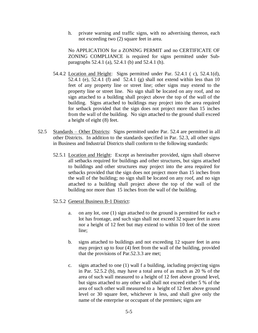h. private warning and traffic signs, with no advertising thereon, each not exceeding two (2) square feet in area.

No APPLICATION for a ZONING PERMIT and no CERTIFICATE OF ZONING COMPLIANCE is required for signs permitted under Subparagraphs 52.4.1 (a), 52.4.1 (b) and 52.4.1 (h).

- 54.4.2 Location and Height: Signs permitted under Par. 52.4.1 ( c), 52.4.1(d), 52.4.1 (e), 52.4.1 (f) and 52.4.1 (g) shall not extend within less than 10 feet of any property line or street line; other signs may extend to the property line or street line. No sign shall be located on any roof, and no sign attached to a building shall project above the top of the wall of the building. Signs attached to buildings may project into the area required for setback provided that the sign does not project more than 15 inches from the wall of the building. No sign attached to the ground shall exceed a height of eight (8) feet.
- 52.5 Standards Other Districts: Signs permitted under Par. 52.4 are permitted in all other Districts. In addition to the standards specified in Par. 52.3, all other signs in Business and Industrial Districts shall conform to the following standards:
	- 52.5.1 Location and Height: Except as hereinafter provided, signs shall observe all setbacks required for buildings and other structures, but signs attached to buildings and other structures may project into the area required for setbacks provided that the sign does not project more than 15 inches from the wall of the building; no sign shall be located on any roof, and no sign attached to a building shall project above the top of the wall of the building nor more than 15 inches from the wall of the building.
	- 52.5.2 General Business B-1 District:
		- a. on any lot, one (1) sign attached to the ground is permitted for each e lot has frontage, and such sign shall not exceed 32 square feet in area nor a height of 12 feet but may extend to within 10 feet of the street line;
		- b. signs attached to buildings and not exceeding 12 square feet in area may project up to four (4) feet from the wall of the building, provided that the provisions of Par.52.3.3 are met;
		- c. signs attached to one (1) wall f a building, including projecting signs in Par. 52.5.2 (b), may have a total area of as much as 20 % of the area of such wall measured to a height of 12 feet above ground level, but signs attached to any other wall shall not exceed either 5 % of the area of such other wall measured to a height of 12 feet above ground level or 30 square feet, whichever is less, and shall give only the name of the enterprise or occupant of the premises; signs are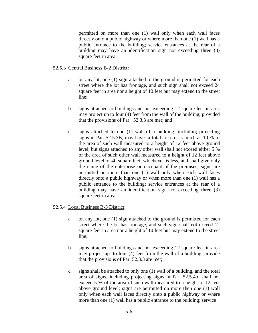permitted on more than one (1) wall only when each wall faces directly onto a public highway or where more than one (1) wall has a public entrance to the building; service entrances at the rear of a building may have an identification sign not exceeding three (3) square feet in area.

## 52.5.3 Central Business B-2 District:

- a. on any lot, one (1) sign attached to the ground is permitted for each street where the lot has frontage, and such sign shall not exceed 24 square feet in area nor a height of 10 feet but may extend to the street line;
- b. signs attached to buildings and not exceeding 12 square feet in area may project up to four (4) feet from the wall of the building, provided that the provisions of Par. 52.3.3 are met; and
- c. signs attached to one (1) wall of a building, including projecting signs in Par. 52.5.3B, may have a total area of as much as 10 % of the area of such wall measured to a height of 12 feet above ground level, but signs attached to any other wall shall not exceed either 5 % of the area of such other wall measured to a height of 12 feet above ground level or 40 square feet, whichever is less, and shall give only the name of the enterprise or occupant of the premises; signs are permitted on more than one (1) wall only when each wall faces directly onto a public highway or when more than one (1) wall has a public entrance to the building; service entrances at the rear of a building may have an identification sign not exceeding three (3) square feet in area.

### 52.5.4 Local Business B-3 District:

- a. on any lot, one (1) sign attached to the ground is permitted for each street where the lot has frontage, and such sign shall not exceed 12 square feet in area nor a height of 10 feet but may extend to the street line;
- b. signs attached to buildings and not exceeding 12 square feet in area may project up to four (4) feet from the wall of a building, provide that the provisions of Par. 52.3.3 are met;
- c. signs shall be attached to only one (1) wall of a building, and the total area of signs, including projecting signs in Par. 52.5.4b, shall not exceed 5 % of the area of such wall measured to a height of 12 feet above ground level; signs are permitted on more then one (1) wall only when each wall faces directly onto a public highway or where more than one (1) wall has a public entrance to the building; service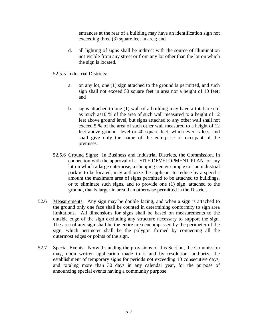entrances at the rear of a building may have an identification sign not exceeding three (3) square feet in area; and

 d. all lighting of signs shall be indirect with the source of illumination not visible from any street or from any lot other than the lot on which the sign is located.

## 52.5.5 Industrial Districts:

- a. on any lot, one (1) sign attached to the ground is permitted, and such sign shall not exceed 50 square feet in area nor a height of 10 feet; and
- b. signs attached to one (1) wall of a building may have a total area of as much as10 % of the area of such wall measured to a height of 12 feet above ground level, but signs attached to any other wall shall not exceed 5 % of the area of such other wall measured to a height of 12 feet above ground level or 40 square feet, which ever is less, and shall give only the name of the enterprise or occupant of the premises.
- 52.5.6 Ground Signs: In Business and Industrial Districts, the Commission, in connection with the approval of a SITE DEVELOPMENT PLAN for any lot on which a large enterprise, a shopping center complex or an industrial park is to be located, may authorize the applicant to reduce by a specific amount the maximum area of signs permitted to be attached to buildings, or to eliminate such signs, and to provide one (1) sign, attached to the ground, that is larger in area than otherwise permitted in the District.
- 52.6 Measurements: Any sign may be double facing, and when a sign is attached to the ground only one face shall be counted in determining conformity to sign area limitations. All dimensions for signs shall be based on measurements to the outside edge of the sign excluding any structure necessary to support the sign. The area of any sign shall be the entire area encompassed by the perimeter of the sign, which perimeter shall be the polygon formed by connecting all the outermost edges or points of the sign.
- 52.7 Special Events: Notwithstanding the provisions of this Section, the Commission may, upon written application made to it and by resolution, authorize the establishment of temporary signs for periods not exceeding 10 consecutive days, and totaling more than 30 days in any calendar year, for the purpose of announcing special events having a community purpose.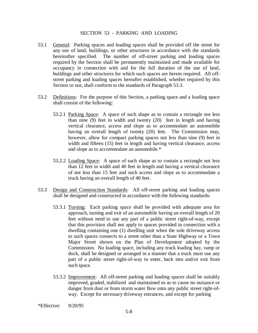### SECTION 53 - PARKING AND LOADING

- 53.1 General: Parking spaces and loading spaces shall be provided off the street for any use of land, buildings, or other structures in accordance with the standards hereinafter specified. The number of off-street parking and loading spaces required by the Section shall be permanently maintained and made available for occupancy in connection with and for the full duration of the use of land, buildings and other structures for which such spaces are herein required. All offstreet parking and loading spaces hereafter established, whether required by this Section or not, shall conform to the standards of Paragraph 53.3.
- 53.2 Definitions: For the purpose of this Section, a parking space and a loading space shall consist of the following:
	- 53.2.1 Parking Space: A space of such shape as to contain a rectangle not less than nine (9) feet in width and twenty (20) feet in length and having vertical clearance, access and slope as to accommodate an automobile having an overall length of twenty (20) feet. The Commission may, however, allow for compact parking spaces not less than nine (9) feet in width and fifteen (15) feet in length and having vertical clearance, access and slope as to accommodate an automobile.\*
	- 53.2.2 Loading Space: A space of such shape as to contain a rectangle not less than 12 feet in width and 40 feet in length and having a vertical clearance of not less than 15 feet and such access and slope as to accommodate a truck having an overall length of 40 feet.
- 53.3 Design and Construction Standards: All off-street parking and loading spaces shall be designed and constructed in accordance with the following standards:
	- 53.3.1 Turning: Each parking space shall be provided with adequate area for approach, turning and exit of an automobile having an overall length of 20 feet without need to use any part of a public street right-of-way, except that this provision shall not apply to spaces provided in connection with a dwelling containing one (1) dwelling unit when the sole driveway access to such spaces connects to a street other than a State Highway or a Town Major Street shown on the Plan of Development adopted by the Commission. No loading space, including any truck loading bay, ramp or dock, shall be designed or arranged in a manner that a truck must use any part of a public street right-of-way to enter, back into and/or exit from such space.
	- 53.3.2 Improvement: All off-street parking and loading spaces shall be suitably improved, graded, stabilized and maintained so as to cause no nuisance or danger from dust or from storm water flow onto any public street right-ofway. Except for necessary driveway entrances, and except for parking

\*Effective: 9/20/95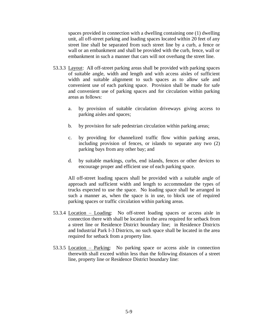spaces provided in connection with a dwelling containing one (1) dwelling unit, all off-street parking and loading spaces located within 20 feet of any street line shall be separated from such street line by a curb, a fence or wall or an embankment and shall be provided with the curb, fence, wall or embankment in such a manner that cars will not overhang the street line.

- 53.3.3 Layout: All off-street parking areas shall be provided with parking spaces of suitable angle, width and length and with access aisles of sufficient width and suitable alignment to such spaces as to allow safe and convenient use of each parking space. Provision shall be made for safe and convenient use of parking spaces and for circulation within parking areas as follows:
	- a. by provision of suitable circulation driveways giving access to parking aisles and spaces;
	- b. by provision for safe pedestrian circulation within parking areas;
	- c. by providing for channelized traffic flow within parking areas, including provision of fences, or islands to separate any two (2) parking bays from any other bay; and
	- d. by suitable markings, curbs, end islands, fences or other devices to encourage proper and efficient use of each parking space.

All off-street loading spaces shall be provided with a suitable angle of approach and sufficient width and length to accommodate the types of trucks expected to use the space. No loading space shall be arranged in such a manner as, when the space is in use, to block use of required parking spaces or traffic circulation within parking areas.

- 53.3.4 Location Loading: No off-street loading spaces or access aisle in connection there with shall be located in the area required for setback from a street line or Residence District boundary line; in Residence Districts and Industrial Park I-3 Districts, no such space shall be located in the area required for setback from a property line.
- 53.3.5 Location  $-$  Parking: No parking space or access aisle in connection therewith shall exceed within less than the following distances of a street line, property line or Residence District boundary line: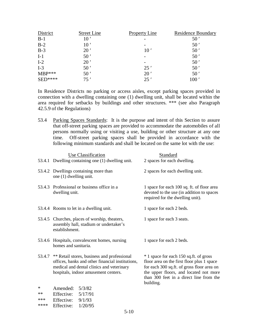| District        | <b>Street Line</b> | <b>Property Line</b>     | <b>Residence Boundary</b> |
|-----------------|--------------------|--------------------------|---------------------------|
| $B-1$           | 10 <sup>′</sup>    |                          | 50'                       |
| $B-2$           | 10 <sup>′</sup>    | $\overline{\phantom{a}}$ | 50 <sup>′</sup>           |
| $B-3$           | 20'                | 10 <sup>′</sup>          | 50'                       |
| $I-1$           | 50 <sup>′</sup>    |                          | 50'                       |
| $I-2$           | 20'                |                          | 50 <sup>′</sup>           |
| $I-3$           | 50 <sup>′</sup>    | 25'                      | 50'                       |
| $MBP***$        | 50 <sup>′</sup>    | 20'                      | 50'                       |
| $\text{SED***}$ | 75'                | 25'                      | $100$ $^{\prime}$         |

In Residence Districts no parking or access aisles, except parking spaces provided in connection with a dwelling containing one (1) dwelling unit, shall be located within the area required for setbacks by buildings and other structures. \*\*\* (see also Paragraph 42.5.9 of the Regulations)

53.4 Parking Spaces Standards: It is the purpose and intent of this Section to assure that off-street parking spaces are provided to accommodate the automobiles of all persons normally using or visiting a use, building or other structure at any one time. Off-street parking spaces shall be provided in accordance with the following minimum standards and shall be located on the same lot with the use:

|          | Use Classification                                                                                                                                                                          | <b>Standard</b>                                                                                                                                                                                                                      |
|----------|---------------------------------------------------------------------------------------------------------------------------------------------------------------------------------------------|--------------------------------------------------------------------------------------------------------------------------------------------------------------------------------------------------------------------------------------|
|          | 53.4.1 Dwelling containing one (1) dwelling unit.                                                                                                                                           | 2 spaces for each dwelling.                                                                                                                                                                                                          |
|          | 53.4.2 Dwellings containing more than<br>one (1) dwelling unit.                                                                                                                             | 2 spaces for each dwelling unit.                                                                                                                                                                                                     |
|          | 53.4.3 Professional or business office in a<br>dwelling unit.                                                                                                                               | 1 space for each 100 sq. ft. of floor area<br>devoted to the use (in addition to spaces<br>required for the dwelling unit).                                                                                                          |
|          | 53.4.4 Rooms to let in a dwelling unit.                                                                                                                                                     | 1 space for each 2 beds.                                                                                                                                                                                                             |
|          | 53.4.5 Churches, places of worship, theaters,<br>assembly hall, stadium or undertaker's<br>establishment.                                                                                   | 1 space for each 3 seats.                                                                                                                                                                                                            |
|          | 53.4.6 Hospitals, convalescent homes, nursing<br>homes and sanitaria.                                                                                                                       | 1 space for each 2 beds.                                                                                                                                                                                                             |
|          | 53.4.7 ** Retail stores, business and professional<br>offices, banks and other financial institutions,<br>medical and dental clinics and veterinary<br>hospitals, indoor amusement centers. | * 1 space for each 150 sq.ft. of gross<br>floor area on the first floor plus 1 space<br>for each 300 sq.ft. of gross floor area on<br>the upper floors, and located not more<br>than 300 feet in a direct line from the<br>building. |
| *        | Amended: $5/3/82$                                                                                                                                                                           |                                                                                                                                                                                                                                      |
| $**$     | Effective:<br>5/17/91                                                                                                                                                                       |                                                                                                                                                                                                                                      |
| sk sk sk | $\Gamma_{\text{L}}\Gamma_{\text{L}}$ $\sim$ $\sim$ 0/1/02                                                                                                                                   |                                                                                                                                                                                                                                      |

| ጥጥጥ | EITECTIVE: | 9/1/93                     |
|-----|------------|----------------------------|
| .   |            | $\sim$ 18 $\sim$ 18 $\sim$ |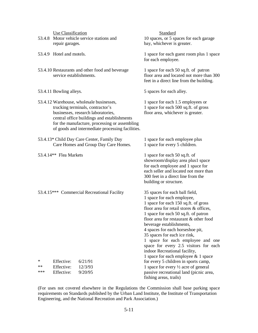|      | Use Classification       |                                                                                                                                                                                                                                                                        | Standard                                                                                                                                                                                                                                                                                                                                                                                                                                                                              |
|------|--------------------------|------------------------------------------------------------------------------------------------------------------------------------------------------------------------------------------------------------------------------------------------------------------------|---------------------------------------------------------------------------------------------------------------------------------------------------------------------------------------------------------------------------------------------------------------------------------------------------------------------------------------------------------------------------------------------------------------------------------------------------------------------------------------|
|      |                          | 53.4.8 Motor vehicle service stations and                                                                                                                                                                                                                              | 10 spaces, or 5 spaces for each garage                                                                                                                                                                                                                                                                                                                                                                                                                                                |
|      | repair garages.          |                                                                                                                                                                                                                                                                        | bay, whichever is greater.                                                                                                                                                                                                                                                                                                                                                                                                                                                            |
|      | 53.4.9 Hotel and motels. |                                                                                                                                                                                                                                                                        | 1 space for each guest room plus 1 space<br>for each employee.                                                                                                                                                                                                                                                                                                                                                                                                                        |
|      | service establishments.  | 53.4.10 Restaurants and other food and beverage                                                                                                                                                                                                                        | 1 space for each 50 sq.ft. of patron<br>floor area and located not more than 300<br>feet in a direct line from the building.                                                                                                                                                                                                                                                                                                                                                          |
|      | 53.4.11 Bowling alleys.  |                                                                                                                                                                                                                                                                        | 5 spaces for each alley.                                                                                                                                                                                                                                                                                                                                                                                                                                                              |
|      |                          | 53.4.12 Warehouse, wholesale businesses,<br>trucking terminals, contractor's<br>businesses, research laboratories,<br>central office buildings and establishments<br>for the manufacture, processing or assembling<br>of goods and intermediate processing facilities. | 1 space for each 1.5 employees or<br>1 space for each 500 sq.ft. of gross<br>floor area, whichever is greater.                                                                                                                                                                                                                                                                                                                                                                        |
|      |                          | 53.4.13* Child Day Care Center, Family Day<br>Care Homes and Group Day Care Homes.                                                                                                                                                                                     | 1 space for each employee plus<br>1 space for every 5 children.                                                                                                                                                                                                                                                                                                                                                                                                                       |
|      | 53.4.14** Flea Markets   |                                                                                                                                                                                                                                                                        | 1 space for each 50 sq.ft. of<br>showroom/display area plus1 space<br>for each employee and 1 space for<br>each seller and located not more than<br>300 feet in a direct line from the<br>building or structure.                                                                                                                                                                                                                                                                      |
|      |                          | 53.4.15*** Commercial Recreational Facility                                                                                                                                                                                                                            | 35 spaces for each ball field,<br>1 space for each employee,<br>1 space for each 150 sq.ft. of gross<br>floor area for retail stores & offices,<br>1 space for each 50 sq.ft. of patron<br>floor area for restaurant & other food<br>beverage establishments,<br>4 spaces for each horseshoe pit,<br>35 spaces for each ice rink,<br>space for each employee and one<br>space for every 2.5 visitors for each<br>indoor Recreational facility,<br>1 space for each employee & 1 space |
| ∗    | Effective:               | 6/21/91                                                                                                                                                                                                                                                                | for every 5 children in sports camp,                                                                                                                                                                                                                                                                                                                                                                                                                                                  |
| $**$ | Effective:               | 12/3/93                                                                                                                                                                                                                                                                | 1 space for every $\frac{1}{2}$ acre of general                                                                                                                                                                                                                                                                                                                                                                                                                                       |
| ***  | Effective:               | 9/20/95                                                                                                                                                                                                                                                                | passive recreational land (picnic area,<br>fishing areas, trails)                                                                                                                                                                                                                                                                                                                                                                                                                     |

(For uses not covered elsewhere in the Regulations the Commission shall base parking space requirements on Standards published by the Urban Land Institute, the Institute of Transportation Engineering, and the National Recreation and Park Association.)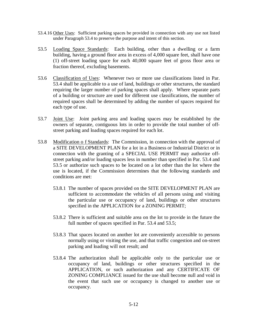- 53.4.16 Other Uses: Sufficient parking spaces be provided in connection with any use not listed under Paragraph 53.4 to preserve the purpose and intent of this section.
- 53.5 Loading Space Standards: Each building, other than a dwelling or a farm building, having a ground floor area in excess of 4,000 square feet, shall have one (1) off-street loading space for each 40,000 square feet of gross floor area or fraction thereof, excluding basements.
- 53.6 Classification of Uses: Whenever two or more use classifications listed in Par. 53.4 shall be applicable to a use of land, buildings or other structures, the standard requiring the larger number of parking spaces shall apply. Where separate parts of a building or structure are used for different use classifications, the number of required spaces shall be determined by adding the number of spaces required for each type of use.
- 53.7 Joint Use: Joint parking area and loading spaces may be established by the owners of separate, contiguous lots in order to provide the total number of offstreet parking and loading spaces required for each lot.
- 53.8 Modification o f Standards: The Commission, in connection with the approval of a SITE DEVELOPMENT PLAN for a lot in a Business or Industrial District or in connection with the granting of a SPECIAL USE PERMIT may authorize offstreet parking and/or loading spaces less in number than specified in Par. 53.4 and 53.5 or authorize such spaces to be located on a lot other than the lot where the use is located, if the Commission determines that the following standards and conditions are met:
	- 53.8.1 The number of spaces provided on the SITE DEVELOPMENT PLAN are sufficient to accommodate the vehicles of all persons using and visiting the particular use or occupancy of land, buildings or other structures specified in the APPLICATION for a ZONING PERMIT;
	- 53.8.2 There is sufficient and suitable area on the lot to provide in the future the full number of spaces specified in Par. 53.4 and 53.5;
	- 53.8.3 That spaces located on another lot are conveniently accessible to persons normally using or visiting the use, and that traffic congestion and on-street parking and loading will not result; and
	- 53.8.4 The authorization shall be applicable only to the particular use or occupancy of land, buildings or other structures specified in the APPLICATION, or such authorization and any CERTIFICATE OF ZONING COMPLIANCE issued for the use shall become null and void in the event that such use or occupancy is changed to another use or occupancy.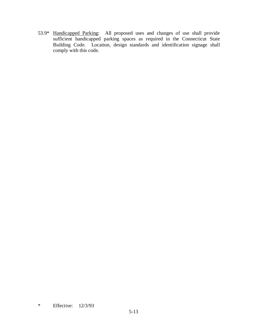53.9\* Handicapped Parking: All proposed uses and changes of use shall provide sufficient handicapped parking spaces as required in the Connecticut State Building Code. Location, design standards and identification signage shall comply with this code.

# \* Effective: 12/3/93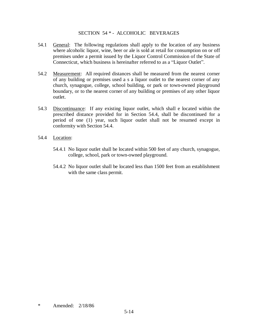### SECTION 54 \* - ALCOHOLIC BEVERAGES

- 54.1 General: The following regulations shall apply to the location of any business where alcoholic liquor, wine, beer or ale is sold at retail for consumption on or off premises under a permit issued by the Liquor Control Commission of the State of Connecticut, which business is hereinafter referred to as a "Liquor Outlet".
- 54.2 Measurement: All required distances shall be measured from the nearest corner of any building or premises used a s a liquor outlet to the nearest corner of any church, synagogue, college, school building, or park or town-owned playground boundary, or to the nearest corner of any building or premises of any other liquor outlet.
- 54.3 Discontinuance: If any existing liquor outlet, which shall e located within the prescribed distance provided for in Section 54.4, shall be discontinued for a period of one (1) year, such liquor outlet shall not be resumed except in conformity with Section 54.4.
- 54.4 Location:
	- 54.4.1 No liquor outlet shall be located within 500 feet of any church, synagogue, college, school, park or town-owned playground.
	- 54.4.2 No liquor outlet shall be located less than 1500 feet from an establishment with the same class permit.

\* Amended: 2/18/86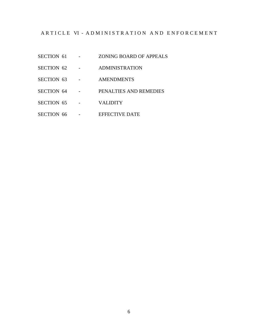## ARTICLE VI - ADMINISTRATION AND ENFORCEMENT

- SECTION 61 ZONING BOARD OF APPEALS
- SECTION 62 ADMINISTRATION
- SECTION 63 AMENDMENTS
- SECTION 64 PENALTIES AND REMEDIES
- SECTION 65 VALIDITY
- SECTION 66 EFFECTIVE DATE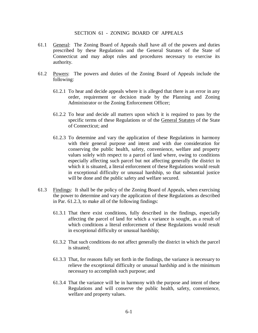### SECTION 61 - ZONING BOARD OF APPEALS

- 61.1 General: The Zoning Board of Appeals shall have all of the powers and duties prescribed by these Regulations and the General Statutes of the State of Connecticut and may adopt rules and procedures necessary to exercise its authority.
- 61.2 Powers: The powers and duties of the Zoning Board of Appeals include the following:
	- 61.2.1 To hear and decide appeals where it is alleged that there is an error in any order, requirement or decision made by the Planning and Zoning Administrator or the Zoning Enforcement Officer;
	- 61.2.2 To hear and decide all matters upon which it is required to pass by the specific terms of these Regulations or of the General Statutes of the State of Connecticut; and
	- 61.2.3 To determine and vary the application of these Regulations in harmony with their general purpose and intent and with due consideration for conserving the public health, safety, convenience, welfare and property values solely with respect to a parcel of land where, owing to conditions especially affecting such parcel but not affecting generally the district in which it is situated, a literal enforcement of these Regulations would result in exceptional difficulty or unusual hardship, so that substantial justice will be done and the public safety and welfare secured.
- 61.3 Findings: It shall be the policy of the Zoning Board of Appeals, when exercising the power to determine and vary the application of these Regulations as described in Par. 61.2.3, to make all of the following findings:
	- 61.3.1 That there exist conditions, fully described in the findings, especially affecting the parcel of land for which a variance is sought, as a result of which conditions a literal enforcement of these Regulations would result in exceptional difficulty or unusual hardship;
	- 61.3.2 That such conditions do not affect generally the district in which the parcel is situated;
	- 61.3.3 That, for reasons fully set forth in the findings, the variance is necessary to relieve the exceptional difficulty or unusual hardship and is the minimum necessary to accomplish such purpose; and
	- 61.3.4 That the variance will be in harmony with the purpose and intent of these Regulations and will conserve the public health, safety, convenience, welfare and property values.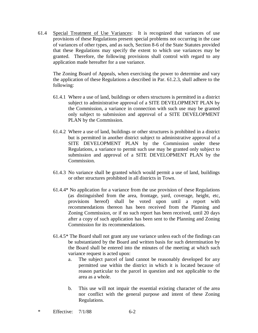61.4 Special Treatment of Use Variances: It is recognized that variances of use provisions of these Regulations present special problems not occurring in the case of variances of other types, and as such, Section 8-6 of the State Statutes provided that these Regulations may specify the extent to which use variances may be granted. Therefore, the following provisions shall control with regard to any application made hereafter for a use variance.

The Zoning Board of Appeals, when exercising the power to determine and vary the application of these Regulations a described in Par. 61.2.3, shall adhere to the following:

- 61.4.1 Where a use of land, buildings or others structures is permitted in a district subject to administrative approval of a SITE DEVELOPMENT PLAN by the Commission, a variance in connection with such use may be granted only subject to submission and approval of a SITE DEVELOPMENT PLAN by the Commission.
- 61.4.2 Where a use of land, buildings or other structures is prohibited in a district but is permitted in another district subject to administrative approval of a SITE DEVELOPMENT PLAN by the Commission under these Regulations, a variance to permit such use may be granted only subject to submission and approval of a SITE DEVELOPMENT PLAN by the Commission.
- 61.4.3 No variance shall be granted which would permit a use of land, buildings or other structures prohibited in all districts in Town.
- 61.4.4\* No application for a variance from the use provision of these Regulations (as distinguished from the area, frontage, yard, coverage, height, etc, provisions hereof) shall be voted upon until a report with recommendations thereon has been received from the Planning and Zoning Commission, or if no such report has been received, until 20 days after a copy of such application has been sent to the Planning and Zoning Commission for its recommendations.
- 61.4.5\* The Board shall not grant any use variance unless each of the findings can be substantiated by the Board and written basis for such determination by the Board shall be entered into the minutes of the meeting at which such variance request is acted upon:
	- a. The subject parcel of land cannot be reasonably developed for any permitted use within the district in which it is located because of reason particular to the parcel in question and not applicable to the area as a whole.
	- b. This use will not impair the essential existing character of the area nor conflict with the general purpose and intent of these Zoning Regulations.
- \* Effective:  $7/1/88$  6-2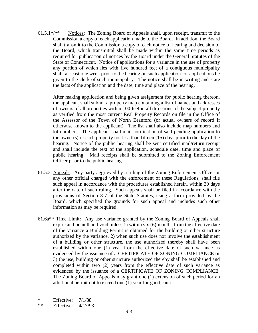61.5.1\*/\*\* Notices: The Zoning Board of Appeals shall, upon receipt, transmit to the Commission a copy of each application made to the Board. In addition, the Board shall transmit to the Commission a copy of each notice of hearing and decision of the Board, which transmittal shall be made within the same time periods as required for publication of notices by the Board under the General Statutes of the State of Connecticut. Notice of applications for a variance in the use of property any portion of which lies with five hundred feet of a contiguous municipality shall, at least one week prior to the hearing on such application for applications be given to the clerk of such municipality. The notice shall be in writing and state the facts of the application and the date, time and place of the hearing.

 After making application and being given assignment for public hearing thereon, the applicant shall submit a property map containing a list of names and addresses of owners of all properties within 100 feet in all directions of the subject property as verified from the most current Real Property Records on file in the Office of the Assessor of the Town of North Branford (or actual owners of record if otherwise known to the applicant). The list shall also include map numbers and lot numbers. The applicant shall mail notification of said pending application to the owner(s) of each property not less than fifteen (15) days prior to the day of the hearing. Notice of the public hearing shall be sent certified mail/return receipt and shall include the text of the application, schedule date, time and place of public hearing. Mail receipts shall be submitted to the Zoning Enforcement Officer prior to the public hearing.

- 61.5.2 Appeals: Any party aggrieved by a ruling of the Zoning Enforcement Officer or any other official charged with the enforcement of these Regulations, shall file such appeal in accordance with the procedures established herein, within 30 days after the date of such ruling. Such appeals shall be filed in accordance with the provisions of Section 8-7 of the State Statutes, using a form provided by the Board, which specified the grounds for such appeal and includes such other information as may be required.
- 61.6a\*\* Time Limit: Any use variance granted by the Zoning Board of Appeals shall expire and be null and void unless 1) within six (6) months from the effective date of the variance a Building Permit is obtained for the building or other structure authorized by the variance, 2) when such use does not involve the establishment of a building or other structure, the use authorized thereby shall have been established within one (1) year from the effective date of such variance as evidenced by the issuance of a CERTIFICATE OF ZONING COMPLIANCE or 3) the use, building or other structure authorized thereby shall be established and completed within two (2) years from the effective date of such variance as evidenced by the issuance of a CERTIFICATE OF ZONING COMPLIANCE. The Zoning Board of Appeals may grant one (1) extension of such period for an additional permit not to exceed one (1) year for good cause.
- \* Effective: 7/1/88
- \*\* Effective: 4/17/93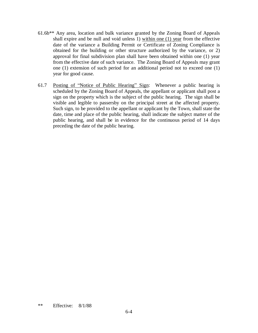- 61.6b\*\* Any area, location and bulk variance granted by the Zoning Board of Appeals shall expire and be null and void unless 1) within one (1) year from the effective date of the variance a Building Permit or Certificate of Zoning Compliance is obtained for the building or other structure authorized by the variance, or 2) approval for final subdivision plan shall have been obtained within one (1) year from the effective date of such variance. The Zoning Board of Appeals may grant one (1) extension of such period for an additional period not to exceed one (1) year for good cause.
- 61.7 Posting of "Notice of Public Hearing" Sign: Whenever a public hearing is scheduled by the Zoning Board of Appeals, the appellant or applicant shall post a sign on the property which is the subject of the public hearing. The sign shall be visible and legible to passersby on the principal street at the affected property. Such sign, to be provided to the appellant or applicant by the Town, shall state the date, time and place of the public hearing, shall indicate the subject matter of the public hearing, and shall be in evidence for the continuous period of 14 days preceding the date of the public hearing.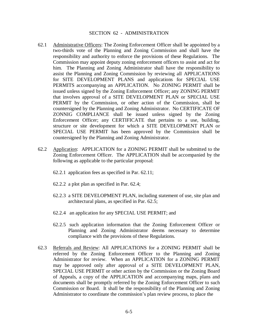### SECTION 62 - ADMINISTRATION

- 62.1 Administrative Officers: The Zoning Enforcement Officer shall be appointed by a two-thirds vote of the Planning and Zoning Commission and shall have the responsibility and authority to enforce the provisions of these Regulations. The Commission may appoint deputy zoning enforcement officers to assist and act for him. The Planning and Zoning Administrator shall have the responsibility to assist the Planning and Zoning Commission by reviewing all APPLICATIONS for SITE DEVELOPMENT PLANS and applications for SPECIAL USE PERMITS accompanying an APPLICATION. No ZONING PERMIT shall be issued unless signed by the Zoning Enforcement Officer; any ZONING PERMIT that involves approval of a SITE DEVELOPMENT PLAN or SPECIAL USE PERMIT by the Commission, or other action of the Commission, shall be countersigned by the Planning and Zoning Administrator. No CERTIFICATE OF ZONNIG COMPLIANCE shall be issued unless signed by the Zoning Enforcement Officer; any CERTIFICATE that pertains to a use, building, structure or site development for which a SITE DEVELOPMENT PLAN or SPECIAL USE PERMIT has been approved by the Commission shall be countersigned by the Planning and Zoning Administrator.
- 62.2 Application: APPLICATION for a ZONING PERMIT shall be submitted to the Zoning Enforcement Officer. The APPLICATION shall be accompanied by the following as applicable to the particular proposal:
	- 62.2.1 application fees as specified in Par. 62.11;
	- 62.2.2 a plot plan as specified in Par. 62.4;
	- 62.2.3 a SITE DEVELOPMENT PLAN, including statement of use, site plan and architectural plans, as specified in Par. 62.5;
	- 62.2.4 an application for any SPECIAL USE PERMIT; and
	- 62.2.5 such application information that the Zoning Enforcement Officer or Planning and Zoning Administrator deems necessary to determine compliance with the provisions of these Regulations.
- 62.3 Referrals and Review: All APPLICATIONS for a ZONING PERMIT shall be referred by the Zoning Enforcement Officer to the Planning and Zoning Administrator for review. When an APPLICATION for a ZONING PERMIT may be approved only after approval of a SITE DEVELOPMENT PLAN, SPECIAL USE PERMIT or other action by the Commission or the Zoning Board of Appeals, a copy of the APPLICATION and accompanying maps, plans and documents shall be promptly referred by the Zoning Enforcement Officer to such Commission or Board. It shall be the responsibility of the Planning and Zoning Administrator to coordinate the commission's plan review process, to place the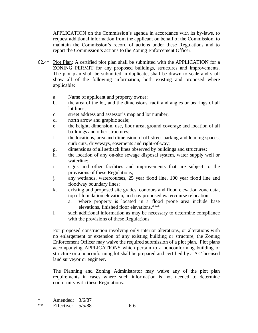APPLICATION on the Commission's agenda in accordance with its by-laws, to request additional information from the applicant on behalf of the Commission, to maintain the Commission's record of actions under these Regulations and to report the Commission's actions to the Zoning Enforcement Officer.

- $62.4*$  Plot Plan: A certified plot plan shall be submitted with the APPLICATION for a ZONING PERMIT for any proposed buildings, structures and improvements. The plot plan shall be submitted in duplicate, shall be drawn to scale and shall show all of the following information, both existing and proposed where applicable:
	- a. Name of applicant and property owner;
	- b. the area of the lot, and the dimensions, radii and angles or bearings of all lot lines;
	- c. street address and assessor's map and lot number;
	- d. north arrow and graphic scale;
	- e. the height, dimension, use, floor area, ground coverage and location of all buildings and other structures;
	- f. the locations, area and dimension of off-street parking and loading spaces, curb cuts, driveways, easements and right-of-way;
	- g. dimensions of all setback lines observed by buildings and structures;
	- h. the location of any on-site sewage disposal system, water supply well or waterline;
	- i. signs and other facilities and improvements that are subject to the provisions of these Regulations;
	- j. any wetlands, watercourses, 25 year flood line, 100 year flood line and floodway boundary lines;
	- k. existing and proposed site grades, contours and flood elevation zone data, top of foundation elevation, and nay proposed watercourse relocation:
		- a. where property is located in a flood prone area include base elevations, finished floor elevations.\*\*\*
	- l. such additional information as may be necessary to determine compliance with the provisions of these Regulations.

For proposed construction involving only interior alterations, or alterations with no enlargement or extension of any existing building or structure, the Zoning Enforcement Officer may waive the required submission of a plot plan. Plot plans accompanying APPLICATIONS which pertain to a nonconforming building or structure or a nonconforming lot shall be prepared and certified by a A-2 licensed land surveyor or engineer.

The Planning and Zoning Administrator may waive any of the plot plan requirements in cases where such information is not needed to determine conformity with these Regulations.

| ж    | Amended: $3/6/87$   |     |
|------|---------------------|-----|
| $**$ | Effective: $5/5/88$ | 6-6 |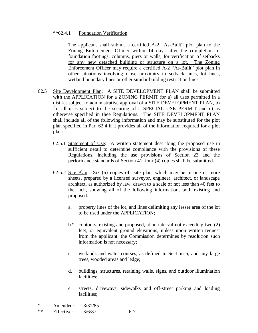### \*\*62.4.1 Foundation Verification

The applicant shall submit a certified A-2 "As-Built" plot plan to the Zoning Enforcement Officer within 14 days after the completion of foundation footings, columns, piers or walls, for verification of setbacks for any new detached building or structure on a lot. The Zoning Enforcement Officer may require a certified A-2 "As-Built" plot plan in other situations involving close proximity to setback lines, lot lines, wetland boundary lines or other similar building restriction lines.

- 62.5 Site Development Plan: A SITE DEVELOPMENT PLAN shall be submitted with the APPLICATION for a ZONING PERMIT for a) all uses permitted in a district subject to administrative approval of a SITE DEVELOPMENT PLAN, b) for all uses subject to the securing of a SPECIAL USE PERMIT and c) as otherwise specified in thee Regulations. The SITE DEVELOPMENT PLAN shall include all of the following information and may be substituted for the plot plan specified in Par. 62.4 if it provides all of the information required for a plot plan:
	- 62.5.1 Statement of Use: A written statement describing the proposed use in sufficient detail to determine compliance with the provisions of these Regulations, including the use provisions of Section 23 and the performance standards of Section 41; four (4) copies shall be submitted.
	- 62.5.2 Site Plan: Six (6) copies of site plan, which may be in one or more sheets, prepared by a licensed surveyor, engineer, architect, or landscape architect, as authorized by law, drawn to a scale of not less than 40 feet to the inch, showing all of the following information, both existing and proposed:
		- a. property lines of the lot, and lines delimiting any lesser area of the lot to be used under the APPLICATION;
		- b.\* contours, existing and proposed, at an interval not exceeding two (2) feet, or equivalent ground elevations, unless upon written request from the applicant, the Commission determines by resolution such information is not necessary;
		- c. wetlands and water courses, as defined in Section 6, and any large trees, wooded areas and ledge;
		- d. buildings, structures, retaining walls, signs, and outdoor illumination facilities;
		- e. streets, driveways, sidewalks and off-street parking and loading facilities;

| $\ast$ | Amended:   | 8/31/85 |     |
|--------|------------|---------|-----|
| $**$   | Effective: | 3/6/87  | 6-7 |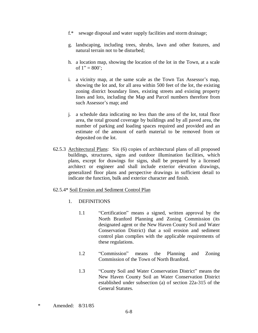- f.\* sewage disposal and water supply facilities and storm drainage;
- g. landscaping, including trees, shrubs, lawn and other features, and natural terrain not to be disturbed;
- h. a location map, showing the location of the lot in the Town, at a scale of  $1" = 800$ ;
- i. a vicinity map, at the same scale as the Town Tax Assessor's map, showing the lot and, for all area within 500 feet of the lot, the existing zoning district boundary lines, existing streets and existing property lines and lots, including the Map and Parcel numbers therefore from such Assessor's map; and
- j. a schedule data indicating no less than the area of the lot, total floor area, the total ground coverage by buildings and by all paved area, the number of parking and loading spaces required and provided and an estimate of the amount of earth material to be removed from or deposited on the lot.
- 62.5.3 Architectural Plans: Six (6) copies of architectural plans of all proposed buildings, structures, signs and outdoor illumination facilities, which plans, except for drawings for signs, shall be prepared by a licensed architect or engineer and shall include exterior elevation drawings, generalized floor plans and perspective drawings in sufficient detail to indicate the function, bulk and exterior character and finish.

### 62.5.4\* Soil Erosion and Sediment Control Plan

- 1. DEFINITIONS
	- 1.1 "Certification" means a signed, written approval by the North Branford Planning and Zoning Commission (its designated agent or the New Haven County Soil and Water Conservation District) that a soil erosion and sediment control plan complies with the applicable requirements of these regulations.
	- 1.2 "Commission" means the Planning and Zoning Commission of the Town of North Branford.
	- 1.3 <sup>4</sup>County Soil and Water Conservation District<sup>\*</sup> means the New Haven County Soil an Water Conservation District established under subsection (a) of section 22a-315 of the General Statutes.
- \* Amended: 8/31/85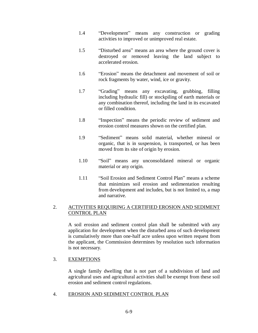- 1.4 **Text Example 1.4 Performent means** any construction or grading activities to improved or unimproved real estate.
- 1.5 <sup>T</sup>Disturbed area<sup>"</sup> means an area where the ground cover is destroyed or removed leaving the land subject to accelerated erosion.
- 1.6 **Example 1.6 Example 1.6 Example 1.6 Example 1.6 Example 1.6 Example 1.6 Example 1.6 Example 1.6 Example 1.6 Example 1.6 Example 1.6 Example 1.6 Example 1.6 Example 1.6 Example 1.6 Example** rock fragments by water, wind, ice or gravity.
- 1.7 "Grading" means any excavating, grubbing, filling including hydraulic fill) or stockpiling of earth materials or any combination thereof, including the land in its excavated or filled condition.
- 1.8 **The** "Inspection" means the periodic review of sediment and erosion control measures shown on the certified plan.
- 1.9 "Sediment" means solid material, whether mineral or organic, that is in suspension, is transported, or has been moved from its site of origin by erosion.
- 1.10 "Soil" means any unconsolidated mineral or organic material or any origin.
- 1.11 <sup>6</sup>Soil Erosion and Sediment Control Plan<sup>"</sup> means a scheme that minimizes soil erosion and sedimentation resulting from development and includes, but is not limited to, a map and narrative.

# 2. ACTIVITIES REQUIRING A CERTIFIED EROSION AND SEDIMENT CONTROL PLAN

A soil erosion and sediment control plan shall be submitted with any application for development when the disturbed area of such development is cumulatively more than one-half acre unless upon written request from the applicant, the Commission determines by resolution such information is not necessary.

# 3. EXEMPTIONS

A single family dwelling that is not part of a subdivision of land and agricultural uses and agricultural activities shall be exempt from these soil erosion and sediment control regulations.

4. EROSION AND SEDIMENT CONTROL PLAN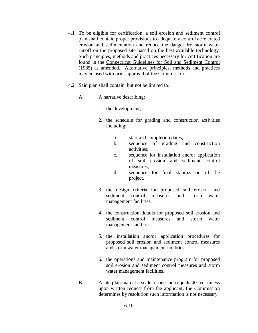- 4.1 To be eligible for certification, a soil erosion and sediment control plan shall contain proper provisions to adequately control accelerated erosion and sedimentation and reduce the danger fro storm water runoff on the proposed site based on the best available technology. Such principles, methods and practices necessary for certification are found in the Connecticut Guidelines for Soil and Sediment Control (1985) as amended. Alternative principles, methods and practices may be used with prior approval of the Commission.
- 4.2 Said plan shall contain, but not be limited to:
	- A. A narrative describing:
		- 1. the development;
		- 2. the schedule for grading and construction activities including:
			- a. start and completion dates;
			- b. sequence of grading and construction activities;
			- c. sequence for installation and/or application of soil erosion and sediment control measures;
			- d. sequence for final stabilization of the project.
		- 3. the design criteria for proposed soil erosion and sediment control measures and storm water management facilities.
		- 4. the construction details for proposed soil erosion and sediment control measures and storm water management facilities.
		- 5. the installation and/or application procedures for proposed soil erosion and sediment control measures and storm water management facilities.
		- 6. the operations and maintenance program for proposed soil erosion and sediment control measures and storm water management facilities.
	- B. A site plan map at a scale of one inch equals 40 feet unless upon written request from the applicant, the Commission determines by resolution such information is not necessary.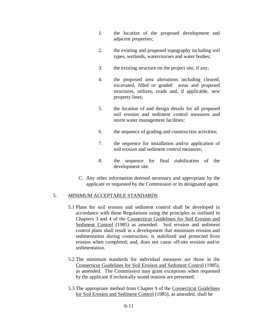- 1. the location of the proposed development and adjacent properties;
- 2. the existing and proposed topography including soil types, wetlands, watercourses and water bodies;
- 3. the existing structure on the project site, if any;
- 4. the proposed area alterations including cleared, excavated, filled or graded areas and proposed structures, utilizes, roads and, if applicable, new property lines;
- 5. the location of and design details for all proposed soil erosion and sediment control measures and storm water management facilities;
- 6. the sequence of grading and construction activities;
- 7. the sequence for installation and/or application of soil erosion and sediment control measures;
- 8. the sequence for final stabilization of the development site.
- C. Any other information deemed necessary and appropriate by the applicant or requested by the Commission or its designated agent.

## 5. MINIMUM ACCEPTABLE STANDARDS

- 5.1 Plans for soil erosion and sediment control shall be developed in accordance with these Regulations using the principles as outlined in Chapters 3 and 4 of the Connecticut Guidelines for Soil Erosion and Sediment Control (1985) as amended. Soil erosion and sediment control plans shall result in a development that minimizes erosion and sedimentation during construction; is stabilized and protected from erosion when completed; and, does not cause off-site erosion and/or sedimentation.
- 5.2 The minimum standards for individual measures are those in the Connecticut Guidelines for Soil Erosion and Sediment Control (1985), as amended. The Commission may grant exceptions when requested by the applicant if technically sound reasons are presented.
- 5.3 The appropriate method from Chapter 9 of the Connecticut Guidelines for Soil Erosion and Sediment Control (1985), as amended, shall be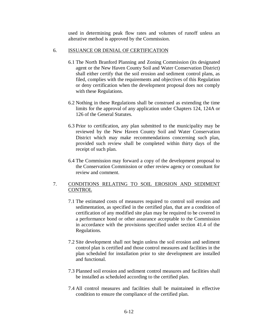used in determining peak flow rates and volumes of runoff unless an alterative method is approved by the Commission.

### 6. ISSUANCE OR DENIAL OF CERTIFICATION

- 6.1 The North Branford Planning and Zoning Commission (its designated agent or the New Haven County Soil and Water Conservation District) shall either certify that the soil erosion and sediment control plans, as filed, complies with the requirements and objectives of this Regulation or deny certification when the development proposal does not comply with these Regulations.
- 6.2 Nothing in these Regulations shall be construed as extending the time limits for the approval of any application under Chapters 124, 124A or 126 of the General Statutes.
- 6.3 Prior to certification, any plan submitted to the municipality may be reviewed by the New Haven County Soil and Water Conservation District which may make recommendations concerning such plan, provided such review shall be completed within thirty days of the receipt of such plan.
- 6.4 The Commission may forward a copy of the development proposal to the Conservation Commission or other review agency or consultant for review and comment.

## 7. CONDITIONS RELATING TO SOIL EROSION AND SEDIMENT **CONTROL**

- 7.1 The estimated costs of measures required to control soil erosion and sedimentation, as specified in the certified plan, that are a condition of certification of any modified site plan may be required to be covered in a performance bond or other assurance acceptable to the Commission in accordance with the provisions specified under section 41.4 of the Regulations.
- 7.2 Site development shall not begin unless the soil erosion and sediment control plan is certified and those control measures and facilities in the plan scheduled for installation prior to site development are installed and functional.
- 7.3 Planned soil erosion and sediment control measures and facilities shall be installed as scheduled according to the certified plan.
- 7.4 All control measures and facilities shall be maintained in effective condition to ensure the compliance of the certified plan.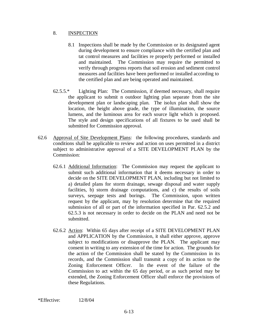## 8. INSPECTION

- 8.1 Inspections shall be made by the Commission or its designated agent during development to ensure compliance with the certified plan and tat control measures and facilities re properly performed or installed and maintained. The Commission may require the permitted to verify through progress reports that soil erosion and sediment control measures and facilities have been performed or installed according to the certified plan and are being operated and maintained.
- 62.5.5.\* Lighting Plan: The Commission, if deemed necessary, shall require the applicant to submit n outdoor lighting plan separate from the site development plan or landscaping plan. The isolux plan shall show the location, the height above grade, the type of illumination, the source lumens, and the luminous area for each source light which is proposed. The style and design specifications of all fixtures to be used shall be submitted for Commission approval.
- 62.6 Approval of Site Development Plans: the following procedures, standards and conditions shall be applicable to review and action on uses permitted in a district subject to administrative approval of a SITE DEVELOPMENT PLAN by the Commission:
	- 62.6.1 Additional Information: The Commission may request the applicant to submit such additional information that it deems necessary in order to decide on the SITE DEVELOPMENT PLAN, including but not limited to a) detailed plans for storm drainage, sewage disposal and water supply facilities, b) storm drainage computations, and c) the results of soils surveys, seepage tests and borings. The Commission, upon written request by the applicant, may by resolution determine that the required submission of all or part of the information specified in Par. 62.5.2 and 62.5.3 is not necessary in order to decide on the PLAN and need not be submitted.
	- 62.6.2 Action: Within 65 days after receipt of a SITE DEVELOPMENT PLAN and APPLICATION by the Commission, it shall either approve, approve subject to modifications or disapprove the PLAN. The applicant may consent in writing to any extension of the time for action. The grounds for the action of the Commission shall be stated by the Commission in its records, and the Commission shall transmit a copy of its action to the Zoning Enforcement Officer. In the event of the failure of the Commission to act within the 65 day period, or as such period may be extended, the Zoning Enforcement Officer shall enforce the provisions of these Regulations.

\*Effective: 12/8/04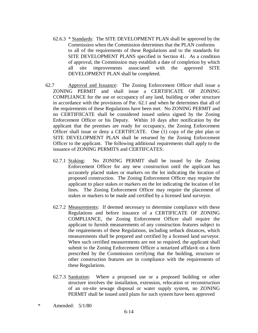- 62.6.3 \* Standards: The SITE DEVELOPMENT PLAN shall be approved by the Commission when the Commission determines that the PLAN conforms to all of the requirements of these Regulations and to the standards for SITE DEVELOPMENT PLANS specified in Section 41. As a condition of approval, the Commission may establish a date of completion by which all site improvements associated with the approved SITE DEVELOPMENT PLAN shall be completed.
- 62.7 Approval and Issuance: The Zoning Enforcement Officer shall issue a ZONING PERMIT and shall issue a CERTIFICATE OF ZONING COMPLIANCE for the use or occupancy of any land, building or other structure in accordance with the provisions of Par. 62.1 and when he determines that all of the requirements of these Regulations have been met. No ZONING PERMIT and no CERTIFIICATE shall be considered issued unless signed by the Zoning Enforcement Officer or his Deputy. Within 10 days after notification by the applicant that the premises are ready for occupancy, the Zoning Enforcement Officer shall issue or deny a CERTIFCATE. One (1) copy of the plot plan or SITE DEVELOPMENT PLAN shall be returned by the Zoning Enforcement Officer to the applicant. The following additional requirements shall apply to the issuance of ZONING PERMITS and CERTIFCATES:
	- 62.7.1 Staking: No ZONING PERMIT shall be issued by the Zoning Enforcement Officer for any new construction until the applicant has accurately placed stakes or markers on the lot indicating the location of proposed construction. The Zoning Enforcement Officer may require the applicant to place stakes or markers on the lot indicating the location of lot lines. The Zoning Enforcement Officer may require the placement of stakes or markers to be made and certified by a licensed land surveyor.
	- 62.7.2 Measurements: If deemed necessary to determine compliance with these Regulations and before issuance of a CERTIFICATE OF ZONING COMPLIANCE, the Zoning Enforcement Officer shall require the applicant to furnish measurements of any construction features subject to the requirements of these Regulations, including setback distances, which measurements shall be prepared and certified by a licensed land surveyor. When such certified measurements are not so required, the applicant shall submit to the Zoning Enforcement Officer a notarized affidavit on a form prescribed by the Commission certifying that the building, structure or other construction features are in compliance with the requirements of these Regulations.
	- 62.7.3 Sanitation: Where a proposed use or a proposed building or other structure involves the installation, extension, relocation or reconstruction of an on-site sewage disposal or water supply system, no ZONING PERMIT shall be issued until plans for such system have been approved
- \* Amended: 5/1/80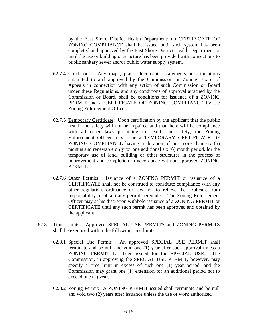by the East Shore District Health Department; no CERTIFICATE OF ZONING COMPLIANCE shall be issued until such system has been completed and approved by the East Shore District Health Department or until the use or building or structure has been provided with connections to public sanitary sewer and/or public water supply system.

- 62.7.4 Conditions: Any maps, plans, documents, statements an stipulations submitted to and approved by the Commission or Zoning Board of Appeals in connection with any action of such Commission or Board under these Regulations, and any conditions of approval attached by the Commission or Board, shall be conditions for issuance of a ZONING PERMIT and a CERTIFICATE OF ZONING COMPLIANCE by the Zoning Enforcement Officer.
- 62.7.5 Temporary Certificate: Upon certification by the applicant that the public health and safety will not be impaired and that there will be compliance with all other laws pertaining to health and safety, the Zoning Enforcement Officer may issue a TEMPORARY CERTIFICATE OF ZONING COMPLIANCE having a duration of not more than six (6) months and renewable only for one additional six (6) month period, for the temporary use of land, building or other structures in the process of improvement and completion in accordance with an approved ZONING PERMIT.
- 62.7.6 Other Permits: Issuance of a ZONING PERMIT or issuance of a CERTIFICATE shall not be construed to constitute compliance with any other regulation, ordinance or law nor to relieve the applicant from responsibility to obtain any permit hereunder. The Zoning Enforcement Officer may at his discretion withhold issuance of a ZONING PERMIT or CERTIFICATE until any such permit has been approved and obtained by the applicant.
- 62.8 Time Limits: Approved SPECIAL USE PERMITS and ZONING PERMITS shall be exercised within the following time limits:
	- 62.8.1 Special Use Permit: An approved SPECIAL USE PERMIT shall terminate and be null and void one (1) year after such approval unless a ZONING PERMIT has been issued for the SPECIAL USE. The Commission, in approving the SPECIAL USE PERMIT, however, may specify a time limit in excess of such one (1) year period, and the Commission may grant one (1) extension for an additional period not to exceed one (1) year.
	- 62.8.2 Zoning Permit: A ZONING PERMIT issued shall terminate and be null and void two (2) years after issuance unless the use or work authorized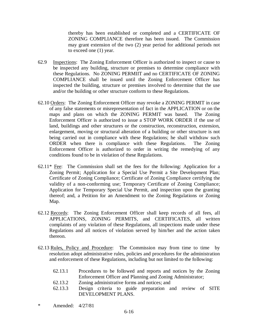thereby has been established or completed and a CERTIFICATE OF ZONING COMPLIANCE therefore has been issued. The Commission may grant extension of the two (2) year period for additional periods not to exceed one (1) year.

- 62.9 Inspections: The Zoning Enforcement Officer is authorized to inspect or cause to be inspected any building, structure or premises to determine compliance with these Regulations. No ZONING PERMIIT and no CERTIFICATE OF ZONING COMPLIANCE shall be issued until the Zoning Enforcement Officer has inspected the building, structure or premises involved to determine that the use and/or the building or other structure conform to these Regulations.
- 62.10 Orders: The Zoning Enforcement Officer may revoke a ZONING PERMIT in case of any false statements or misrepresentation of fact in the APPLICATION or on the maps and plans on which the ZONING PERMIT was based. The Zoning Enforcement Officer is authorized to issue a STOP WORK ORDER if the use of land, buildings and other structures or the construction, reconstruction, extension, enlargement, moving or structural alteration of a building or other structure is not being carried out in compliance with these Regulations; he shall withdraw such ORDER when there is compliance with these Regulations. The Zoning Enforcement Officer is authorized to order in writing the remedying of any conditions found to be in violation of these Regulations.
- $62.11*$  Fee: The Commission shall set the fees for the following: Application for a Zoning Permit; Application for a Special Use Permit a Site Development Plan; Certificate of Zoning Compliance; Certificate of Zoning Compliance certifying the validity of a non-conforming use; Temporary Certificate of Zoning Compliance; Application for Temporary Special Use Permit, and inspection upon the granting thereof; and, a Petition for an Amendment to the Zoning Regulations or Zoning Map.
- 62.12 Records: The Zoning Enforcement Officer shall keep records of all fees, all APPLICATIONS, ZONING PERMITS, and CERTIFICATES, all written complaints of any violation of these Regulations, all inspections made under these Regulations and all notices of violation served by him/her and the action taken thereon.
- 62.13 Rules, Policy and Procedure: The Commission may from time to time by resolution adopt administrative rules, policies and procedures for the administration and enforcement of these Regulations, including but not limited to the following:
	- 62.13.1 Procedures to be followed and reports and notices by the Zoning Enforcement Officer and Planning and Zoning Administrator;
	- 62.13.2 Zoning administrative forms and notices; and
	- 62.13.3 Design criteria to guide preparation and review of SITE DEVELOPMENT PLANS.
- \* Amended: 4/27/81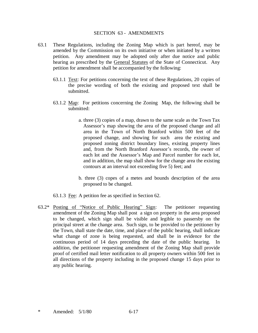#### SECTION 63 - AMENDMENTS

- 63.1 These Regulations, including the Zoning Map which is part hereof, may be amended by the Commission on its own initiative or when initiated by a written petition. Any amendment may be adopted only after due notice and public hearing as prescribed by the General Statutes of the State of Connecticut. Any petition for amendment shall be accompanied by the following:
	- 63.1.1 Text: For petitions concerning the text of these Regulations, 20 copies of the precise wording of both the existing and proposed text shall be submitted.
	- 63.1.2 Map: For petitions concerning the Zoning Map, the following shall be submitted:
		- a. three (3) copies of a map, drawn to the same scale as the Town Tax Assessor's map showing the area of the proposed change and all area in the Town of North Branford within 500 feet of the proposed change, and showing for such area the existing and proposed zoning district boundary lines, existing property lines and, from the North Branford Assessor's records, the owner of each lot and the Assessor's Map and Parcel number for each lot, and in addition, the map shall show for the change area the existing contours at an interval not exceeding five 5) feet; and
		- b. three (3) copes of a metes and bounds description of the area proposed to be changed.

63.1.3 Fee: A petition fee as specified in Section 62.

 $63.2^*$  Posting of "Notice of Public Hearing" Sign: The petitioner requesting amendment of the Zoning Map shall post a sign on property in the area proposed to be changed, which sign shall be visible and legible to passersby on the principal street at the change area. Such sign, to be provided to the petitioner by the Town, shall state the date, time, and place of the public hearing, shall indicate what change of zone is being requested, and shall be in evidence for the continuous period of 14 days preceding the date of the public hearing. In addition, the petitioner requesting amendment of the Zoning Map shall provide proof of certified mail letter notification to all property owners within 500 feet in all directions of the property including in the proposed change 15 days prior to any public hearing.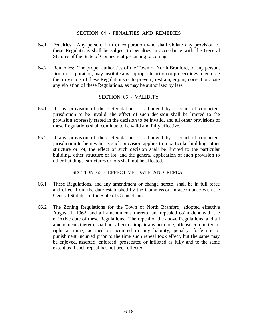### SECTION 64 - PENALTIES AND REMEDIES

- 64.1 Penalties: Any person, firm or corporation who shall violate any provision of these Regulations shall be subject to penalties in accordance with the General Statutes of the State of Connecticut pertaining to zoning.
- 64.2 Remedies: The proper authorities of the Town of North Branford, or any person, firm or corporation, may institute any appropriate action or proceedings to enforce the provisions of these Regulations or to prevent, restrain, enjoin, correct or abate any violation of these Regulations, as may be authorized by law.

### SECTION 65 - VALIDITY

- 65.1 If nay provision of these Regulations is adjudged by a court of competent jurisdiction to be invalid, the effect of such decision shall be limited to the provision expressly stated in the decision to be invalid, and all other provisions of these Regulations shall continue to be valid and fully effective.
- 65.2 If any provision of these Regulations is adjudged by a court of competent jurisdiction to be invalid as such provision applies to a particular building, other structure or lot, the effect of such decision shall be limited to the particular building, other structure or lot, and the general application of such provision to other buildings, structures or lots shall not be affected.

SECTION 66 - EFFECTIVE DATE AND REPEAL

- 66.1 These Regulations, and any amendment or change hereto, shall be in full force and effect from the date established by the Commission in accordance with the General Statutes of the State of Connecticut.
- 66.2 The Zoning Regulations for the Town of North Branford, adopted effective August 1, 1962, and all amendments thereto, are repealed coincident with the effective date of these Regulations. The repeal of the above Regulations, and all amendments thereto, shall not affect or impair any act done, offense committed or right accruing, accrued or acquired or any liability, penalty, forfeiture or punishment incurred prior to the time such repeal took effect, but the same may be enjoyed, asserted, enforced, prosecuted or inflicted as fully and to the same extent as if such repeal has not been effected.